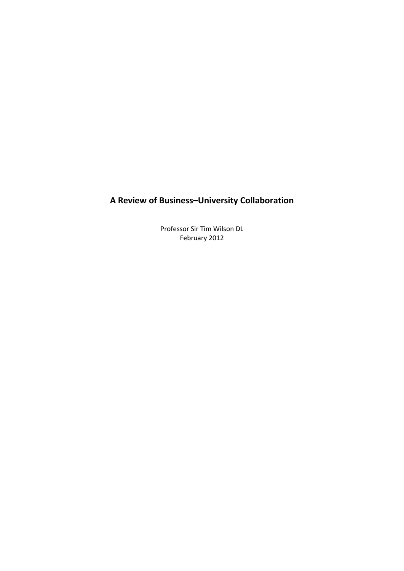# **A Review of Business–University Collaboration**

Professor Sir Tim Wilson DL February 2012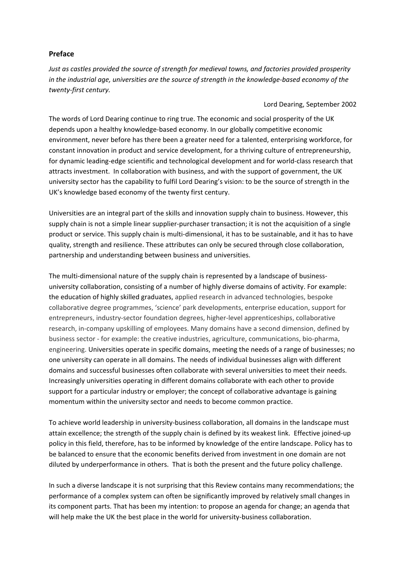# <span id="page-1-0"></span>**Preface**

*Just as castles provided the source of strength for medieval towns, and factories provided prosperity* in the industrial age, universities are the source of strength in the knowledge-based economy of the *twenty‐first century.* 

# Lord Dearing, September 2002

The words of Lord Dearing continue to ring true. The economic and social prosperity of the UK depends upon a healthy knowledge‐based economy. In our globally competitive economic environment, never before has there been a greater need for a talented, enterprising workforce, for constant innovation in product and service development, for a thriving culture of entrepreneurship, for dynamic leading‐edge scientific and technological development and for world‐class research that attracts investment. In collaboration with business, and with the support of government, the UK university sector has the capability to fulfil Lord Dearing's vision: to be the source of strength in the UK's knowledge based economy of the twenty first century.

Universities are an integral part of the skills and innovation supply chain to business. However, this supply chain is not a simple linear supplier-purchaser transaction; it is not the acquisition of a single product or service. This supply chain is multi‐dimensional, it has to be sustainable, and it has to have quality, strength and resilience. These attributes can only be secured through close collaboration, partnership and understanding between business and universities.

The multi-dimensional nature of the supply chain is represented by a landscape of businessuniversity collaboration, consisting of a number of highly diverse domains of activity. For example: the education of highly skilled graduates, applied research in advanced technologies, bespoke collaborative degree programmes, 'science' park developments, enterprise education, support for entrepreneurs, industry‐sector foundation degrees, higher‐level apprenticeships, collaborative research, in-company upskilling of employees. Many domains have a second dimension, defined by business sector ‐ for example: the creative industries, agriculture, communications, bio‐pharma, engineering. Universities operate in specific domains, meeting the needs of a range of businesses; no one university can operate in all domains. The needs of individual businesses align with different domains and successful businesses often collaborate with several universities to meet their needs. Increasingly universities operating in different domains collaborate with each other to provide support for a particular industry or employer; the concept of collaborative advantage is gaining momentum within the university sector and needs to become common practice.

To achieve world leadership in university‐business collaboration, all domains in the landscape must attain excellence; the strength of the supply chain is defined by its weakest link. Effective joined‐up policy in this field, therefore, has to be informed by knowledge of the entire landscape. Policy has to be balanced to ensure that the economic benefits derived from investment in one domain are not diluted by underperformance in others. That is both the present and the future policy challenge.

In such a diverse landscape it is not surprising that this Review contains many recommendations; the performance of a complex system can often be significantly improved by relatively small changes in its component parts. That has been my intention: to propose an agenda for change; an agenda that will help make the UK the best place in the world for university-business collaboration.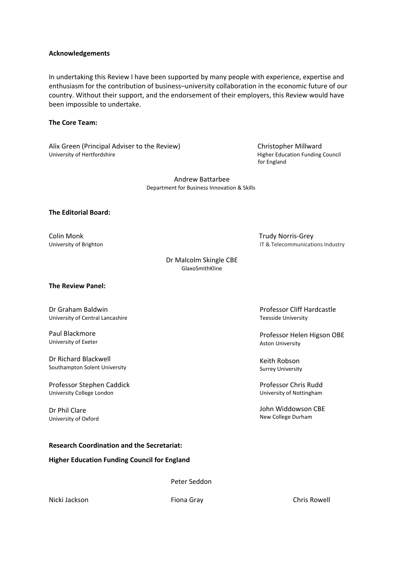### <span id="page-2-0"></span>**Acknowledgements**

In undertaking this Review I have been supported by many people with experience, expertise and enthusiasm for the contribution of business–university collaboration in the economic future of our country. Without their support, and the endorsement of their employers, this Review would have been impossible to undertake.

# <span id="page-2-1"></span>**The Core Team:**

Alix Green (Principal Adviser to the Review) University of Hertfordshire

 Christopher Millward Higher Education Funding Council for England

Andrew Battarbee Department for Business Innovation & Skills

### <span id="page-2-2"></span>**The Editorial Board:**

Colin Monk University of Brighton  Trudy Norris‐Grey IT & Telecommunications Industry

Professor Cliff Hardcastle

Professor Helen Higson OBE

Teesside University

Aston University

Keith Robson Surrey University

Professor Chris Rudd University of Nottingham

John Widdowson CBE New College Durham

Dr Malcolm Skingle CBE GlaxoSmithKline

<span id="page-2-3"></span>**The Review Panel:**

Dr Graham Baldwin University of Central Lancashire

Paul Blackmore University of Exeter

Dr Richard Blackwell Southampton Solent University

Professor Stephen Caddick University College London

Dr Phil Clare University of Oxford

### <span id="page-2-4"></span>**Research Coordination and the Secretariat:**

### <span id="page-2-5"></span>**Higher Education Funding Council for England**

Peter Seddon

Nicki Jackson Fiona Gray Chris Rowell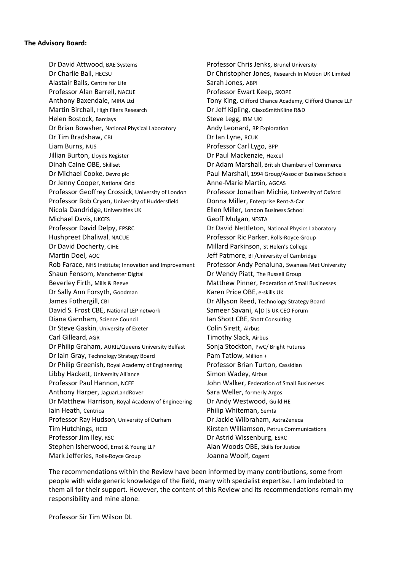### <span id="page-3-0"></span>**The Advisory Board:**

Dr David Attwood, BAE Systems Dr Charlie Ball, HECSU Alastair Balls, Centre for Life Professor Alan Barrell, NACUE Anthony Baxendale, MIRA Ltd Martin Birchall, High Fliers Research Helen Bostock, Barclays Dr Brian Bowsher, National Physical Laboratory Dr Tim Bradshaw, CBI Liam Burns, NUS Jillian Burton, Lloyds Register Dinah Caine OBE, Skillset Dr Michael Cooke, Devro plc Dr Jenny Cooper, National Grid Professor Geoffrey Crossick, University of London Professor Bob Cryan, University of Huddersfield Nicola Dandridge, Universities UK Michael Davis, UKCES Professor David Delpy, EPSRC Hushpreet Dhaliwal, NACUE Dr David Docherty, CIHE Martin Doel, AOC Rob Farace, NHS Institute; Innovation and Improvement Shaun Fensom, Manchester Digital Beverley Firth, Mills & Reeve Dr Sally Ann Forsyth, Goodman James Fothergill, CBI David S. Frost CBE, National LEP network Diana Garnham, Science Council Dr Steve Gaskin, University of Exeter Carl Gilleard, AGR Dr Philip Graham, AURIL/Queens University Belfast Dr Iain Gray, Technology Strategy Board Dr Philip Greenish, Royal Academy of Engineering Libby Hackett, University Alliance Professor Paul Hannon, NCEE Anthony Harper, JaguarLandRover Dr Matthew Harrison, Royal Academy of Engineering Iain Heath, Centrica Professor Ray Hudson, University of Durham Tim Hutchings, HCCI Professor Jim Iley, RSC Stephen Isherwood, Ernst & Young LLP Mark Jefferies, Rolls‐Royce Group

Professor Chris Jenks, Brunel University Dr Christopher Jones, Research In Motion UK Limited Sarah Jones, ABPI Professor Ewart Keep, SKOPE Tony King, Clifford Chance Academy, Clifford Chance LLP Dr Jeff Kipling, GlaxoSmithKline R&D Steve Legg, IBM UKI Andy Leonard, BP Exploration Dr Ian Lyne, RCUK Professor Carl Lygo, BPP Dr Paul Mackenzie, Hexcel Dr Adam Marshall, British Chambers of Commerce Paul Marshall, 1994 Group/Assoc of Business Schools Anne‐Marie Martin, AGCAS Professor Jonathan Michie, University of Oxford Donna Miller, Enterprise Rent‐A‐Car Ellen Miller, London Business School Geoff Mulgan, NESTA Dr David Nettleton, National Physics Laboratory Professor Ric Parker, Rolls‐Royce Group Millard Parkinson, St Helen's College Jeff Patmore, BT/University of Cambridge Professor Andy Penaluna, Swansea Met University Dr Wendy Piatt, The Russell Group Matthew Pinner, Federation of Small Businesses Karen Price OBE, e‐skills UK Dr Allyson Reed, Technology Strategy Board Sameer Savani, A|D|S UK CEO Forum Ian Shott CBE, Shott Consulting Colin Sirett, Airbus Timothy Slack, Airbus Sonia Stockton, PwC/ Bright Futures Pam Tatlow, Million + Professor Brian Turton, Cassidian Simon Wadey, Airbus John Walker, Federation of Small Businesses Sara Weller, formerly Argos Dr Andy Westwood, Guild HE Philip Whiteman, Semta Dr Jackie Wilbraham, AstraZeneca Kirsten Williamson, Petrus Communications Dr Astrid Wissenburg, ESRC Alan Woods OBE, Skills for Justice Joanna Woolf, Cogent

The recommendations within the Review have been informed by many contributions, some from people with wide generic knowledge of the field, many with specialist expertise. I am indebted to them all for their support. However, the content of this Review and its recommendations remain my responsibility and mine alone.

Professor Sir Tim Wilson DL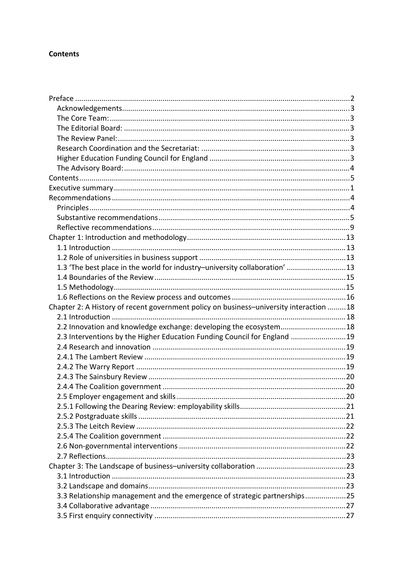# <span id="page-4-0"></span>**Contents**

| 1.3 'The best place in the world for industry-university collaboration' 13             |  |
|----------------------------------------------------------------------------------------|--|
|                                                                                        |  |
|                                                                                        |  |
|                                                                                        |  |
| Chapter 2: A History of recent government policy on business-university interaction 18 |  |
|                                                                                        |  |
| 2.2 Innovation and knowledge exchange: developing the ecosystem18                      |  |
| 2.3 Interventions by the Higher Education Funding Council for England 19               |  |
|                                                                                        |  |
|                                                                                        |  |
|                                                                                        |  |
|                                                                                        |  |
|                                                                                        |  |
|                                                                                        |  |
|                                                                                        |  |
|                                                                                        |  |
|                                                                                        |  |
|                                                                                        |  |
|                                                                                        |  |
|                                                                                        |  |
|                                                                                        |  |
|                                                                                        |  |
|                                                                                        |  |
| 3.3 Relationship management and the emergence of strategic partnerships25              |  |
|                                                                                        |  |
|                                                                                        |  |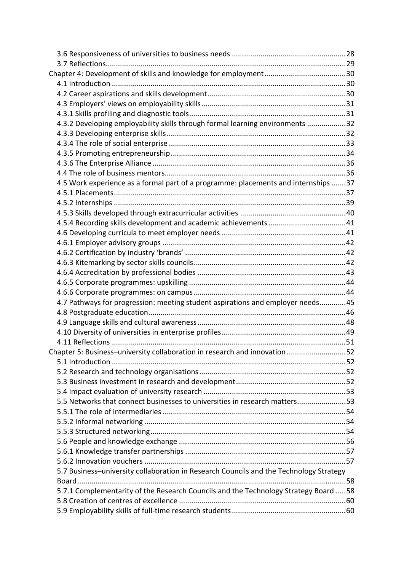| 4.3.2 Developing employability skills through formal learning environments 32          |  |
|----------------------------------------------------------------------------------------|--|
|                                                                                        |  |
|                                                                                        |  |
|                                                                                        |  |
|                                                                                        |  |
|                                                                                        |  |
| 4.5 Work experience as a formal part of a programme: placements and internships 37     |  |
|                                                                                        |  |
|                                                                                        |  |
|                                                                                        |  |
|                                                                                        |  |
|                                                                                        |  |
|                                                                                        |  |
|                                                                                        |  |
|                                                                                        |  |
|                                                                                        |  |
|                                                                                        |  |
|                                                                                        |  |
| 4.7 Pathways for progression: meeting student aspirations and employer needs45         |  |
|                                                                                        |  |
|                                                                                        |  |
|                                                                                        |  |
|                                                                                        |  |
| Chapter 5: Business-university collaboration in research and innovation 52             |  |
|                                                                                        |  |
|                                                                                        |  |
|                                                                                        |  |
|                                                                                        |  |
| 5.5 Networks that connect businesses to universities in research matters53             |  |
|                                                                                        |  |
|                                                                                        |  |
|                                                                                        |  |
|                                                                                        |  |
|                                                                                        |  |
|                                                                                        |  |
| 5.7 Business-university collaboration in Research Councils and the Technology Strategy |  |
|                                                                                        |  |
| 5.7.1 Complementarity of the Research Councils and the Technology Strategy Board 58    |  |
|                                                                                        |  |
|                                                                                        |  |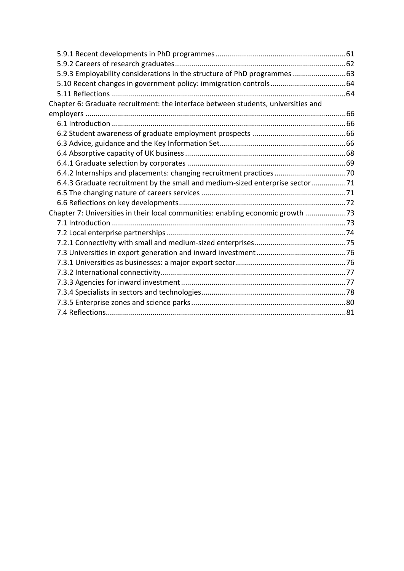| 5.9.3 Employability considerations in the structure of PhD programmes  63         |  |
|-----------------------------------------------------------------------------------|--|
|                                                                                   |  |
|                                                                                   |  |
| Chapter 6: Graduate recruitment: the interface between students, universities and |  |
|                                                                                   |  |
|                                                                                   |  |
|                                                                                   |  |
|                                                                                   |  |
|                                                                                   |  |
|                                                                                   |  |
| 6.4.2 Internships and placements: changing recruitment practices 70               |  |
| 6.4.3 Graduate recruitment by the small and medium-sized enterprise sector71      |  |
|                                                                                   |  |
|                                                                                   |  |
| Chapter 7: Universities in their local communities: enabling economic growth 73   |  |
|                                                                                   |  |
|                                                                                   |  |
|                                                                                   |  |
|                                                                                   |  |
|                                                                                   |  |
|                                                                                   |  |
|                                                                                   |  |
|                                                                                   |  |
|                                                                                   |  |
|                                                                                   |  |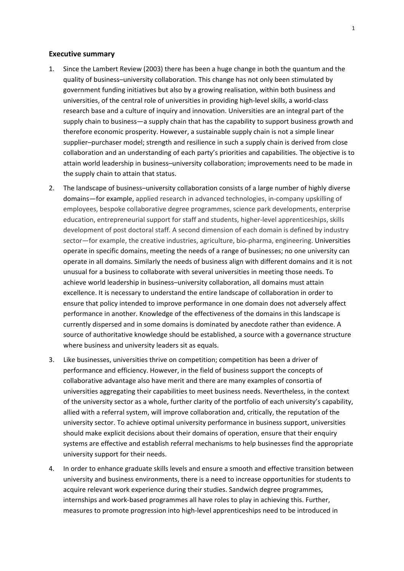### <span id="page-7-0"></span>**Executive summary**

- 1. Since the Lambert Review (2003) there has been a huge change in both the quantum and the quality of business–university collaboration. This change has not only been stimulated by government funding initiatives but also by a growing realisation, within both business and universities, of the central role of universities in providing high‐level skills, a world‐class research base and a culture of inquiry and innovation. Universities are an integral part of the supply chain to business—a supply chain that has the capability to support business growth and therefore economic prosperity. However, a sustainable supply chain is not a simple linear supplier–purchaser model; strength and resilience in such a supply chain is derived from close collaboration and an understanding of each party's priorities and capabilities. The objective is to attain world leadership in business–university collaboration; improvements need to be made in the supply chain to attain that status.
- 2. The landscape of business–university collaboration consists of a large number of highly diverse domains—for example, applied research in advanced technologies, in‐company upskilling of employees, bespoke collaborative degree programmes, science park developments, enterprise education, entrepreneurial support for staff and students, higher‐level apprenticeships, skills development of post doctoral staff. A second dimension of each domain is defined by industry sector—for example, the creative industries, agriculture, bio-pharma, engineering. Universities operate in specific domains, meeting the needs of a range of businesses; no one university can operate in all domains. Similarly the needs of business align with different domains and it is not unusual for a business to collaborate with several universities in meeting those needs. To achieve world leadership in business–university collaboration, all domains must attain excellence. It is necessary to understand the entire landscape of collaboration in order to ensure that policy intended to improve performance in one domain does not adversely affect performance in another. Knowledge of the effectiveness of the domains in this landscape is currently dispersed and in some domains is dominated by anecdote rather than evidence. A source of authoritative knowledge should be established, a source with a governance structure where business and university leaders sit as equals.
- 3. Like businesses, universities thrive on competition; competition has been a driver of performance and efficiency. However, in the field of business support the concepts of collaborative advantage also have merit and there are many examples of consortia of universities aggregating their capabilities to meet business needs. Nevertheless, in the context of the university sector as a whole, further clarity of the portfolio of each university's capability, allied with a referral system, will improve collaboration and, critically, the reputation of the university sector. To achieve optimal university performance in business support, universities should make explicit decisions about their domains of operation, ensure that their enquiry systems are effective and establish referral mechanisms to help businesses find the appropriate university support for their needs.
- 4. In order to enhance graduate skills levels and ensure a smooth and effective transition between university and business environments, there is a need to increase opportunities for students to acquire relevant work experience during their studies. Sandwich degree programmes, internships and work‐based programmes all have roles to play in achieving this. Further, measures to promote progression into high‐level apprenticeships need to be introduced in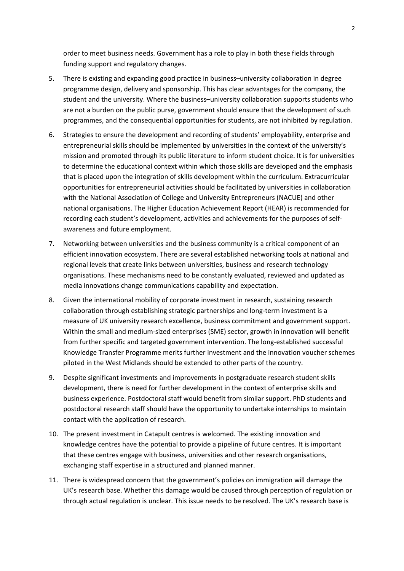order to meet business needs. Government has a role to play in both these fields through funding support and regulatory changes.

- 5. There is existing and expanding good practice in business–university collaboration in degree programme design, delivery and sponsorship. This has clear advantages for the company, the student and the university. Where the business–university collaboration supports students who are not a burden on the public purse, government should ensure that the development of such programmes, and the consequential opportunities for students, are not inhibited by regulation.
- 6. Strategies to ensure the development and recording of students' employability, enterprise and entrepreneurial skills should be implemented by universities in the context of the university's mission and promoted through its public literature to inform student choice. It is for universities to determine the educational context within which those skills are developed and the emphasis that is placed upon the integration of skills development within the curriculum. Extracurricular opportunities for entrepreneurial activities should be facilitated by universities in collaboration with the National Association of College and University Entrepreneurs (NACUE) and other national organisations. The Higher Education Achievement Report (HEAR) is recommended for recording each student's development, activities and achievements for the purposes of self‐ awareness and future employment.
- 7. Networking between universities and the business community is a critical component of an efficient innovation ecosystem. There are several established networking tools at national and regional levels that create links between universities, business and research technology organisations. These mechanisms need to be constantly evaluated, reviewed and updated as media innovations change communications capability and expectation.
- 8. Given the international mobility of corporate investment in research, sustaining research collaboration through establishing strategic partnerships and long‐term investment is a measure of UK university research excellence, business commitment and government support. Within the small and medium‐sized enterprises (SME) sector, growth in innovation will benefit from further specific and targeted government intervention. The long-established successful Knowledge Transfer Programme merits further investment and the innovation voucher schemes piloted in the West Midlands should be extended to other parts of the country.
- 9. Despite significant investments and improvements in postgraduate research student skills development, there is need for further development in the context of enterprise skills and business experience. Postdoctoral staff would benefit from similar support. PhD students and postdoctoral research staff should have the opportunity to undertake internships to maintain contact with the application of research.
- 10. The present investment in Catapult centres is welcomed. The existing innovation and knowledge centres have the potential to provide a pipeline of future centres. It is important that these centres engage with business, universities and other research organisations, exchanging staff expertise in a structured and planned manner.
- 11. There is widespread concern that the government's policies on immigration will damage the UK's research base. Whether this damage would be caused through perception of regulation or through actual regulation is unclear. This issue needs to be resolved. The UK's research base is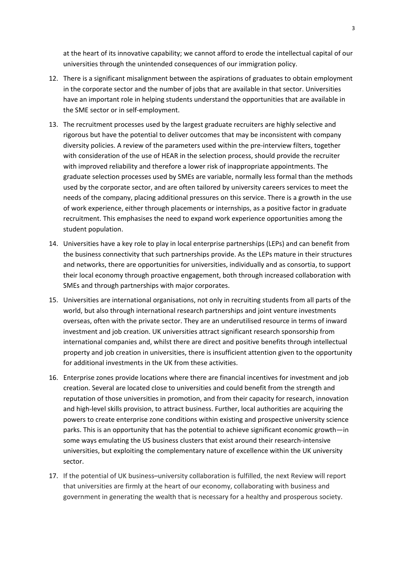at the heart of its innovative capability; we cannot afford to erode the intellectual capital of our universities through the unintended consequences of our immigration policy.

- 12. There is a significant misalignment between the aspirations of graduates to obtain employment in the corporate sector and the number of jobs that are available in that sector. Universities have an important role in helping students understand the opportunities that are available in the SME sector or in self‐employment.
- 13. The recruitment processes used by the largest graduate recruiters are highly selective and rigorous but have the potential to deliver outcomes that may be inconsistent with company diversity policies. A review of the parameters used within the pre‐interview filters, together with consideration of the use of HEAR in the selection process, should provide the recruiter with improved reliability and therefore a lower risk of inappropriate appointments. The graduate selection processes used by SMEs are variable, normally less formal than the methods used by the corporate sector, and are often tailored by university careers services to meet the needs of the company, placing additional pressures on this service. There is a growth in the use of work experience, either through placements or internships, as a positive factor in graduate recruitment. This emphasises the need to expand work experience opportunities among the student population.
- 14. Universities have a key role to play in local enterprise partnerships (LEPs) and can benefit from the business connectivity that such partnerships provide. As the LEPs mature in their structures and networks, there are opportunities for universities, individually and as consortia, to support their local economy through proactive engagement, both through increased collaboration with SMEs and through partnerships with major corporates.
- 15. Universities are international organisations, not only in recruiting students from all parts of the world, but also through international research partnerships and joint venture investments overseas, often with the private sector. They are an underutilised resource in terms of inward investment and job creation. UK universities attract significant research sponsorship from international companies and, whilst there are direct and positive benefits through intellectual property and job creation in universities, there is insufficient attention given to the opportunity for additional investments in the UK from these activities.
- 16. Enterprise zones provide locations where there are financial incentives for investment and job creation. Several are located close to universities and could benefit from the strength and reputation of those universities in promotion, and from their capacity for research, innovation and high‐level skills provision, to attract business. Further, local authorities are acquiring the powers to create enterprise zone conditions within existing and prospective university science parks. This is an opportunity that has the potential to achieve significant economic growth—in some ways emulating the US business clusters that exist around their research-intensive universities, but exploiting the complementary nature of excellence within the UK university sector.
- 17. If the potential of UK business–university collaboration is fulfilled, the next Review will report that universities are firmly at the heart of our economy, collaborating with business and government in generating the wealth that is necessary for a healthy and prosperous society.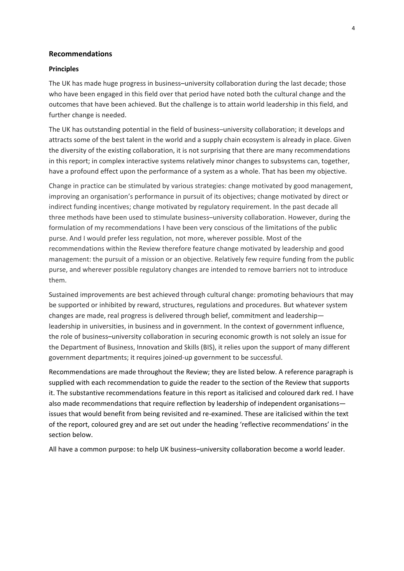### <span id="page-10-0"></span>**Recommendations**

#### <span id="page-10-1"></span>**Principles**

The UK has made huge progress in business–university collaboration during the last decade; those who have been engaged in this field over that period have noted both the cultural change and the outcomes that have been achieved. But the challenge is to attain world leadership in this field, and further change is needed.

The UK has outstanding potential in the field of business–university collaboration; it develops and attracts some of the best talent in the world and a supply chain ecosystem is already in place. Given the diversity of the existing collaboration, it is not surprising that there are many recommendations in this report; in complex interactive systems relatively minor changes to subsystems can, together, have a profound effect upon the performance of a system as a whole. That has been my objective.

Change in practice can be stimulated by various strategies: change motivated by good management, improving an organisation's performance in pursuit of its objectives; change motivated by direct or indirect funding incentives; change motivated by regulatory requirement. In the past decade all three methods have been used to stimulate business–university collaboration. However, during the formulation of my recommendations I have been very conscious of the limitations of the public purse. And I would prefer less regulation, not more, wherever possible. Most of the recommendations within the Review therefore feature change motivated by leadership and good management: the pursuit of a mission or an objective. Relatively few require funding from the public purse, and wherever possible regulatory changes are intended to remove barriers not to introduce them.

Sustained improvements are best achieved through cultural change: promoting behaviours that may be supported or inhibited by reward, structures, regulations and procedures. But whatever system changes are made, real progress is delivered through belief, commitment and leadership leadership in universities, in business and in government. In the context of government influence, the role of business–university collaboration in securing economic growth is not solely an issue for the Department of Business, Innovation and Skills (BIS), it relies upon the support of many different government departments; it requires joined‐up government to be successful.

Recommendations are made throughout the Review; they are listed below. A reference paragraph is supplied with each recommendation to guide the reader to the section of the Review that supports it. The substantive recommendations feature in this report as italicised and coloured dark red. I have also made recommendations that require reflection by leadership of independent organisations issues that would benefit from being revisited and re‐examined. These are italicised within the text of the report, coloured grey and are set out under the heading 'reflective recommendations' in the section below.

All have a common purpose: to help UK business–university collaboration become a world leader.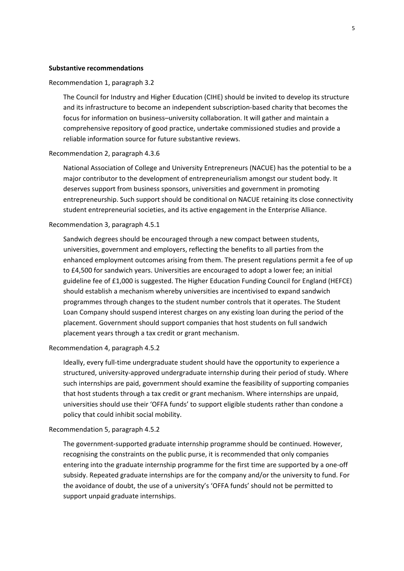#### <span id="page-11-0"></span>**Substantive recommendations**

#### Recommendation 1, paragraph 3.2

The Council for Industry and Higher Education (CIHE) should be invited to develop its structure and its infrastructure to become an independent subscription‐based charity that becomes the focus for information on business–university collaboration. It will gather and maintain a comprehensive repository of good practice, undertake commissioned studies and provide a reliable information source for future substantive reviews.

#### Recommendation 2, paragraph 4.3.6

National Association of College and University Entrepreneurs (NACUE) has the potential to be a major contributor to the development of entrepreneurialism amongst our student body. It deserves support from business sponsors, universities and government in promoting entrepreneurship. Such support should be conditional on NACUE retaining its close connectivity student entrepreneurial societies, and its active engagement in the Enterprise Alliance.

#### Recommendation 3, paragraph 4.5.1

Sandwich degrees should be encouraged through a new compact between students, universities, government and employers, reflecting the benefits to all parties from the enhanced employment outcomes arising from them. The present regulations permit a fee of up to £4,500 for sandwich years. Universities are encouraged to adopt a lower fee; an initial guideline fee of £1,000 is suggested. The Higher Education Funding Council for England (HEFCE) should establish a mechanism whereby universities are incentivised to expand sandwich programmes through changes to the student number controls that it operates. The Student Loan Company should suspend interest charges on any existing loan during the period of the placement. Government should support companies that host students on full sandwich placement years through a tax credit or grant mechanism.

#### Recommendation 4, paragraph 4.5.2

Ideally, every full‐time undergraduate student should have the opportunity to experience a structured, university‐approved undergraduate internship during their period of study. Where such internships are paid, government should examine the feasibility of supporting companies that host students through a tax credit or grant mechanism. Where internships are unpaid, universities should use their 'OFFA funds' to support eligible students rather than condone a policy that could inhibit social mobility.

#### Recommendation 5, paragraph 4.5.2

The government‐supported graduate internship programme should be continued. However, recognising the constraints on the public purse, it is recommended that only companies entering into the graduate internship programme for the first time are supported by a one‐off subsidy. Repeated graduate internships are for the company and/or the university to fund. For the avoidance of doubt, the use of a university's 'OFFA funds' should not be permitted to support unpaid graduate internships.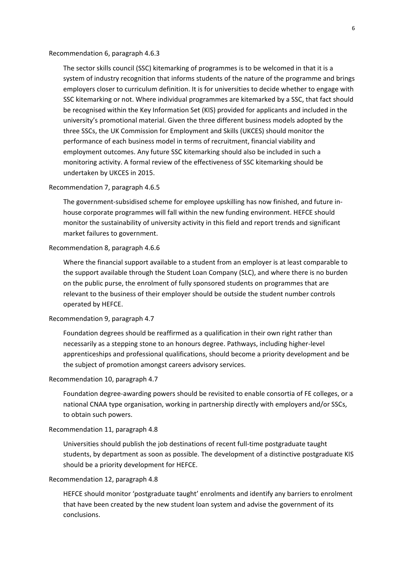Recommendation 6, paragraph 4.6.3

The sector skills council (SSC) kitemarking of programmes is to be welcomed in that it is a system of industry recognition that informs students of the nature of the programme and brings employers closer to curriculum definition. It is for universities to decide whether to engage with SSC kitemarking or not. Where individual programmes are kitemarked by a SSC, that fact should be recognised within the Key Information Set (KIS) provided for applicants and included in the university's promotional material. Given the three different business models adopted by the three SSCs, the UK Commission for Employment and Skills (UKCES) should monitor the performance of each business model in terms of recruitment, financial viability and employment outcomes. Any future SSC kitemarking should also be included in such a monitoring activity. A formal review of the effectiveness of SSC kitemarking should be undertaken by UKCES in 2015.

#### Recommendation 7, paragraph 4.6.5

The government‐subsidised scheme for employee upskilling has now finished, and future in‐ house corporate programmes will fall within the new funding environment. HEFCE should monitor the sustainability of university activity in this field and report trends and significant market failures to government.

Recommendation 8, paragraph 4.6.6

Where the financial support available to a student from an employer is at least comparable to the support available through the Student Loan Company (SLC), and where there is no burden on the public purse, the enrolment of fully sponsored students on programmes that are relevant to the business of their employer should be outside the student number controls operated by HEFCE.

#### Recommendation 9, paragraph 4.7

Foundation degrees should be reaffirmed as a qualification in their own right rather than necessarily as a stepping stone to an honours degree. Pathways, including higher‐level apprenticeships and professional qualifications, should become a priority development and be the subject of promotion amongst careers advisory services.

#### Recommendation 10, paragraph 4.7

Foundation degree‐awarding powers should be revisited to enable consortia of FE colleges, or a national CNAA type organisation, working in partnership directly with employers and/or SSCs, to obtain such powers.

#### Recommendation 11, paragraph 4.8

Universities should publish the job destinations of recent full‐time postgraduate taught students, by department as soon as possible. The development of a distinctive postgraduate KIS should be a priority development for HEFCE.

#### Recommendation 12, paragraph 4.8

HEFCE should monitor 'postgraduate taught' enrolments and identify any barriers to enrolment that have been created by the new student loan system and advise the government of its conclusions.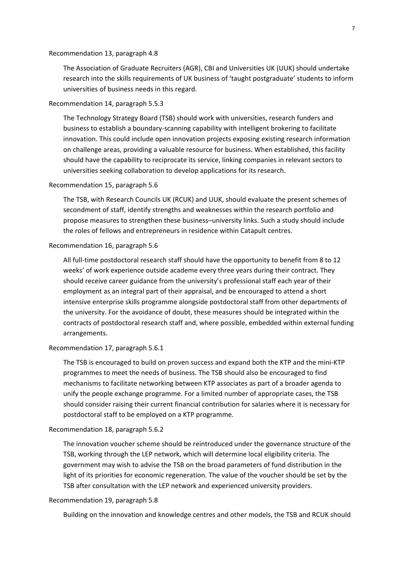#### Recommendation 13, paragraph 4.8

The Association of Graduate Recruiters (AGR), CBI and Universities UK (UUK) should undertake research into the skills requirements of UK business of 'taught postgraduate' students to inform universities of business needs in this regard.

### Recommendation 14, paragraph 5.5.3

The Technology Strategy Board (TSB) should work with universities, research funders and business to establish a boundary‐scanning capability with intelligent brokering to facilitate innovation. This could include open innovation projects exposing existing research information on challenge areas, providing a valuable resource for business. When established, this facility should have the capability to reciprocate its service, linking companies in relevant sectors to universities seeking collaboration to develop applications for its research.

#### Recommendation 15, paragraph 5.6

The TSB, with Research Councils UK (RCUK) and UUK, should evaluate the present schemes of secondment of staff, identify strengths and weaknesses within the research portfolio and propose measures to strengthen these business–university links. Such a study should include the roles of fellows and entrepreneurs in residence within Catapult centres.

#### Recommendation 16, paragraph 5.6

All full-time postdoctoral research staff should have the opportunity to benefit from 8 to 12 weeks' of work experience outside academe every three years during their contract. They should receive career guidance from the university's professional staff each year of their employment as an integral part of their appraisal, and be encouraged to attend a short intensive enterprise skills programme alongside postdoctoral staff from other departments of the university. For the avoidance of doubt, these measures should be integrated within the contracts of postdoctoral research staff and, where possible, embedded within external funding arrangements.

#### Recommendation 17, paragraph 5.6.1

The TSB is encouraged to build on proven success and expand both the KTP and the mini‐KTP programmes to meet the needs of business. The TSB should also be encouraged to find mechanisms to facilitate networking between KTP associates as part of a broader agenda to unify the people exchange programme. For a limited number of appropriate cases, the TSB should consider raising their current financial contribution for salaries where it is necessary for postdoctoral staff to be employed on a KTP programme.

#### Recommendation 18, paragraph 5.6.2

The innovation voucher scheme should be reintroduced under the governance structure of the TSB, working through the LEP network, which will determine local eligibility criteria. The government may wish to advise the TSB on the broad parameters of fund distribution in the light of its priorities for economic regeneration. The value of the voucher should be set by the TSB after consultation with the LEP network and experienced university providers.

### Recommendation 19, paragraph 5.8

Building on the innovation and knowledge centres and other models, the TSB and RCUK should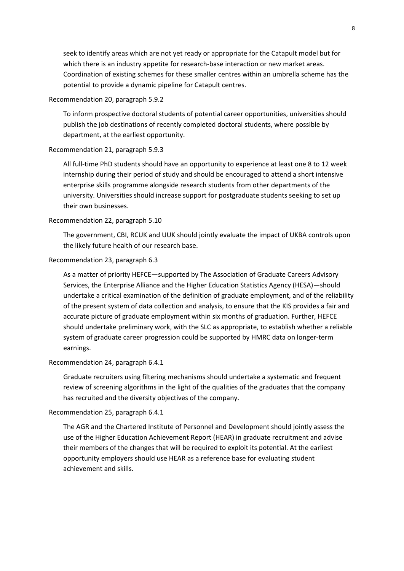seek to identify areas which are not yet ready or appropriate for the Catapult model but for which there is an industry appetite for research-base interaction or new market areas. Coordination of existing schemes for these smaller centres within an umbrella scheme has the potential to provide a dynamic pipeline for Catapult centres.

### Recommendation 20, paragraph 5.9.2

To inform prospective doctoral students of potential career opportunities, universities should publish the job destinations of recently completed doctoral students, where possible by department, at the earliest opportunity.

#### Recommendation 21, paragraph 5.9.3

All full‐time PhD students should have an opportunity to experience at least one 8 to 12 week internship during their period of study and should be encouraged to attend a short intensive enterprise skills programme alongside research students from other departments of the university. Universities should increase support for postgraduate students seeking to set up their own businesses.

### Recommendation 22, paragraph 5.10

The government, CBI, RCUK and UUK should jointly evaluate the impact of UKBA controls upon the likely future health of our research base.

#### Recommendation 23, paragraph 6.3

As a matter of priority HEFCE—supported by The Association of Graduate Careers Advisory Services, the Enterprise Alliance and the Higher Education Statistics Agency (HESA)—should undertake a critical examination of the definition of graduate employment, and of the reliability of the present system of data collection and analysis, to ensure that the KIS provides a fair and accurate picture of graduate employment within six months of graduation. Further, HEFCE should undertake preliminary work, with the SLC as appropriate, to establish whether a reliable system of graduate career progression could be supported by HMRC data on longer‐term earnings.

### Recommendation 24, paragraph 6.4.1

Graduate recruiters using filtering mechanisms should undertake a systematic and frequent review of screening algorithms in the light of the qualities of the graduates that the company has recruited and the diversity objectives of the company.

#### Recommendation 25, paragraph 6.4.1

The AGR and the Chartered Institute of Personnel and Development should jointly assess the use of the Higher Education Achievement Report (HEAR) in graduate recruitment and advise their members of the changes that will be required to exploit its potential. At the earliest opportunity employers should use HEAR as a reference base for evaluating student achievement and skills.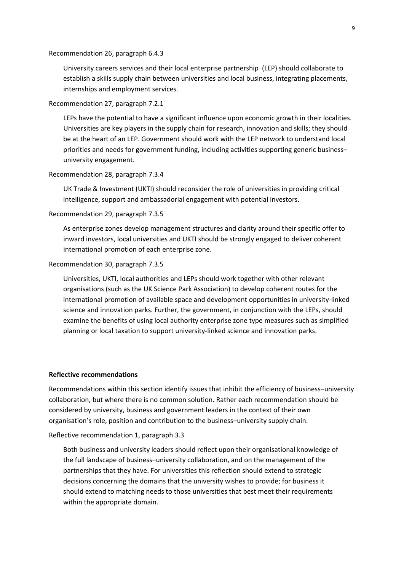Recommendation 26, paragraph 6.4.3

University careers services and their local enterprise partnership (LEP) should collaborate to establish a skills supply chain between universities and local business, integrating placements, internships and employment services.

#### Recommendation 27, paragraph 7.2.1

LEPs have the potential to have a significant influence upon economic growth in their localities. Universities are key players in the supply chain for research, innovation and skills; they should be at the heart of an LEP. Government should work with the LEP network to understand local priorities and needs for government funding, including activities supporting generic business– university engagement.

### Recommendation 28, paragraph 7.3.4

UK Trade & Investment (UKTI) should reconsider the role of universities in providing critical intelligence, support and ambassadorial engagement with potential investors.

#### Recommendation 29, paragraph 7.3.5

As enterprise zones develop management structures and clarity around their specific offer to inward investors, local universities and UKTI should be strongly engaged to deliver coherent international promotion of each enterprise zone.

### Recommendation 30, paragraph 7.3.5

Universities, UKTI, local authorities and LEPs should work together with other relevant organisations (such as the UK Science Park Association) to develop coherent routes for the international promotion of available space and development opportunities in university‐linked science and innovation parks. Further, the government, in conjunction with the LEPs, should examine the benefits of using local authority enterprise zone type measures such as simplified planning or local taxation to support university‐linked science and innovation parks.

### <span id="page-15-0"></span>**Reflective recommendations**

Recommendations within this section identify issues that inhibit the efficiency of business–university collaboration, but where there is no common solution. Rather each recommendation should be considered by university, business and government leaders in the context of their own organisation's role, position and contribution to the business–university supply chain.

#### Reflective recommendation 1, paragraph 3.3

Both business and university leaders should reflect upon their organisational knowledge of the full landscape of business–university collaboration, and on the management of the partnerships that they have. For universities this reflection should extend to strategic decisions concerning the domains that the university wishes to provide; for business it should extend to matching needs to those universities that best meet their requirements within the appropriate domain.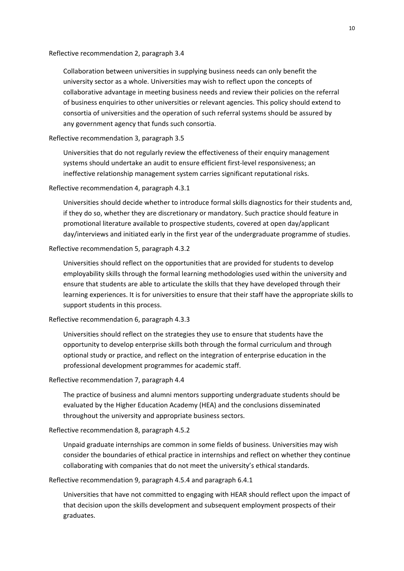#### Reflective recommendation 2, paragraph 3.4

Collaboration between universities in supplying business needs can only benefit the university sector as a whole. Universities may wish to reflect upon the concepts of collaborative advantage in meeting business needs and review their policies on the referral of business enquiries to other universities or relevant agencies. This policy should extend to consortia of universities and the operation of such referral systems should be assured by any government agency that funds such consortia.

### Reflective recommendation 3, paragraph 3.5

Universities that do not regularly review the effectiveness of their enquiry management systems should undertake an audit to ensure efficient first‐level responsiveness; an ineffective relationship management system carries significant reputational risks.

### Reflective recommendation 4, paragraph 4.3.1

Universities should decide whether to introduce formal skills diagnostics for their students and, if they do so, whether they are discretionary or mandatory. Such practice should feature in promotional literature available to prospective students, covered at open day/applicant day/interviews and initiated early in the first year of the undergraduate programme of studies.

### Reflective recommendation 5, paragraph 4.3.2

Universities should reflect on the opportunities that are provided for students to develop employability skills through the formal learning methodologies used within the university and ensure that students are able to articulate the skills that they have developed through their learning experiences. It is for universities to ensure that their staff have the appropriate skills to support students in this process.

#### Reflective recommendation 6, paragraph 4.3.3

Universities should reflect on the strategies they use to ensure that students have the opportunity to develop enterprise skills both through the formal curriculum and through optional study or practice, and reflect on the integration of enterprise education in the professional development programmes for academic staff.

#### Reflective recommendation 7, paragraph 4.4

The practice of business and alumni mentors supporting undergraduate students should be evaluated by the Higher Education Academy (HEA) and the conclusions disseminated throughout the university and appropriate business sectors.

### Reflective recommendation 8, paragraph 4.5.2

Unpaid graduate internships are common in some fields of business. Universities may wish consider the boundaries of ethical practice in internships and reflect on whether they continue collaborating with companies that do not meet the university's ethical standards.

#### Reflective recommendation 9, paragraph 4.5.4 and paragraph 6.4.1

Universities that have not committed to engaging with HEAR should reflect upon the impact of that decision upon the skills development and subsequent employment prospects of their graduates.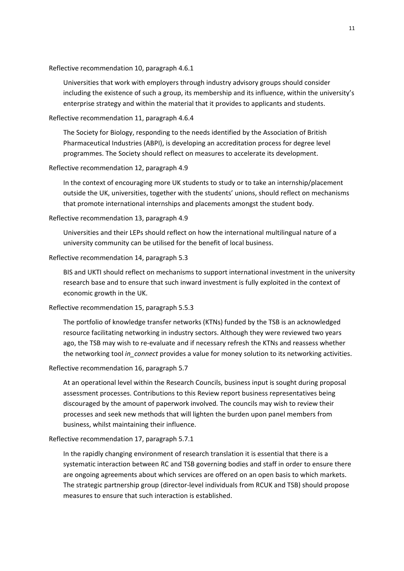Reflective recommendation 10, paragraph 4.6.1

Universities that work with employers through industry advisory groups should consider including the existence of such a group, its membership and its influence, within the university's enterprise strategy and within the material that it provides to applicants and students.

#### Reflective recommendation 11, paragraph 4.6.4

The Society for Biology, responding to the needs identified by the Association of British Pharmaceutical Industries (ABPI), is developing an accreditation process for degree level programmes. The Society should reflect on measures to accelerate its development.

### Reflective recommendation 12, paragraph 4.9

In the context of encouraging more UK students to study or to take an internship/placement outside the UK, universities, together with the students' unions, should reflect on mechanisms that promote international internships and placements amongst the student body.

#### Reflective recommendation 13, paragraph 4.9

Universities and their LEPs should reflect on how the international multilingual nature of a university community can be utilised for the benefit of local business.

#### Reflective recommendation 14, paragraph 5.3

BIS and UKTI should reflect on mechanisms to support international investment in the university research base and to ensure that such inward investment is fully exploited in the context of economic growth in the UK.

### Reflective recommendation 15, paragraph 5.5.3

The portfolio of knowledge transfer networks (KTNs) funded by the TSB is an acknowledged resource facilitating networking in industry sectors. Although they were reviewed two years ago, the TSB may wish to re‐evaluate and if necessary refresh the KTNs and reassess whether the networking tool *in\_connect* provides a value for money solution to its networking activities.

#### Reflective recommendation 16, paragraph 5.7

At an operational level within the Research Councils, business input is sought during proposal assessment processes. Contributions to this Review report business representatives being discouraged by the amount of paperwork involved*.* The councils may wish to review their processes and seek new methods that will lighten the burden upon panel members from business, whilst maintaining their influence.

### Reflective recommendation 17, paragraph 5.7.1

In the rapidly changing environment of research translation it is essential that there is a systematic interaction between RC and TSB governing bodies and staff in order to ensure there are ongoing agreements about which services are offered on an open basis to which markets. The strategic partnership group (director‐level individuals from RCUK and TSB) should propose measures to ensure that such interaction is established.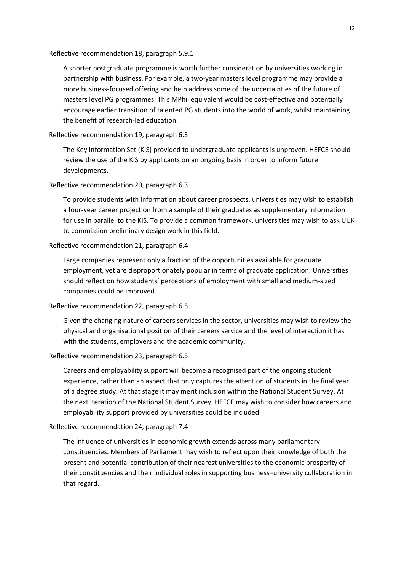Reflective recommendation 18, paragraph 5.9.1

A shorter postgraduate programme is worth further consideration by universities working in partnership with business. For example, a two-year masters level programme may provide a more business‐focused offering and help address some of the uncertainties of the future of masters level PG programmes. This MPhil equivalent would be cost-effective and potentially encourage earlier transition of talented PG students into the world of work, whilst maintaining the benefit of research‐led education.

# Reflective recommendation 19, paragraph 6.3

The Key Information Set (KIS) provided to undergraduate applicants is unproven. HEFCE should review the use of the KIS by applicants on an ongoing basis in order to inform future developments.

# Reflective recommendation 20, paragraph 6.3

To provide students with information about career prospects, universities may wish to establish a four‐year career projection from a sample of their graduates as supplementary information for use in parallel to the KIS. To provide a common framework, universities may wish to ask UUK to commission preliminary design work in this field.

### Reflective recommendation 21, paragraph 6.4

Large companies represent only a fraction of the opportunities available for graduate employment, yet are disproportionately popular in terms of graduate application. Universities should reflect on how students' perceptions of employment with small and medium‐sized companies could be improved.

### Reflective recommendation 22, paragraph 6.5

Given the changing nature of careers services in the sector, universities may wish to review the physical and organisational position of their careers service and the level of interaction it has with the students, employers and the academic community.

### Reflective recommendation 23, paragraph 6.5

Careers and employability support will become a recognised part of the ongoing student experience, rather than an aspect that only captures the attention of students in the final year of a degree study. At that stage it may merit inclusion within the National Student Survey. At the next iteration of the National Student Survey, HEFCE may wish to consider how careers and employability support provided by universities could be included.

### Reflective recommendation 24, paragraph 7.4

The influence of universities in economic growth extends across many parliamentary constituencies. Members of Parliament may wish to reflect upon their knowledge of both the present and potential contribution of their nearest universities to the economic prosperity of their constituencies and their individual roles in supporting business–university collaboration in that regard.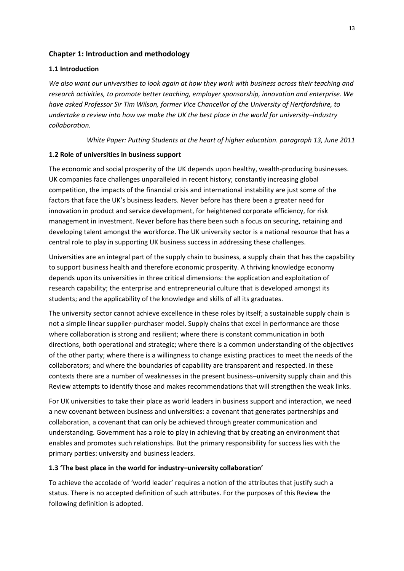# **Chapter 1: Introduction and methodology**

# <span id="page-19-1"></span>**1.1 Introduction**

We also want our universities to look again at how they work with business across their teaching and *research activities, to promote better teaching, employer sponsorship, innovation and enterprise. We have asked Professor Sir Tim Wilson, former Vice Chancellor of the University of Hertfordshire, to undertake a review into how we make the UK the best place in the world for university*–*industry collaboration.*

*White Paper: Putting Students at the heart of higher education. paragraph 13, June 2011*

# <span id="page-19-2"></span>**1.2 Role of universities in business support**

The economic and social prosperity of the UK depends upon healthy, wealth-producing businesses. UK companies face challenges unparalleled in recent history; constantly increasing global competition, the impacts of the financial crisis and international instability are just some of the factors that face the UK's business leaders. Never before has there been a greater need for innovation in product and service development, for heightened corporate efficiency, for risk management in investment. Never before has there been such a focus on securing, retaining and developing talent amongst the workforce. The UK university sector is a national resource that has a central role to play in supporting UK business success in addressing these challenges.

Universities are an integral part of the supply chain to business, a supply chain that has the capability to support business health and therefore economic prosperity. A thriving knowledge economy depends upon its universities in three critical dimensions: the application and exploitation of research capability; the enterprise and entrepreneurial culture that is developed amongst its students; and the applicability of the knowledge and skills of all its graduates.

The university sector cannot achieve excellence in these roles by itself; a sustainable supply chain is not a simple linear supplier-purchaser model. Supply chains that excel in performance are those where collaboration is strong and resilient; where there is constant communication in both directions, both operational and strategic; where there is a common understanding of the objectives of the other party; where there is a willingness to change existing practices to meet the needs of the collaborators; and where the boundaries of capability are transparent and respected. In these contexts there are a number of weaknesses in the present business–university supply chain and this Review attempts to identify those and makes recommendations that will strengthen the weak links.

For UK universities to take their place as world leaders in business support and interaction, we need a new covenant between business and universities: a covenant that generates partnerships and collaboration, a covenant that can only be achieved through greater communication and understanding. Government has a role to play in achieving that by creating an environment that enables and promotes such relationships. But the primary responsibility for success lies with the primary parties: university and business leaders.

### <span id="page-19-3"></span>**1.3 'The best place in the world for industry–university collaboration'**

<span id="page-19-0"></span>To achieve the accolade of 'world leader' requires a notion of the attributes that justify such a status. There is no accepted definition of such attributes. For the purposes of this Review the following definition is adopted.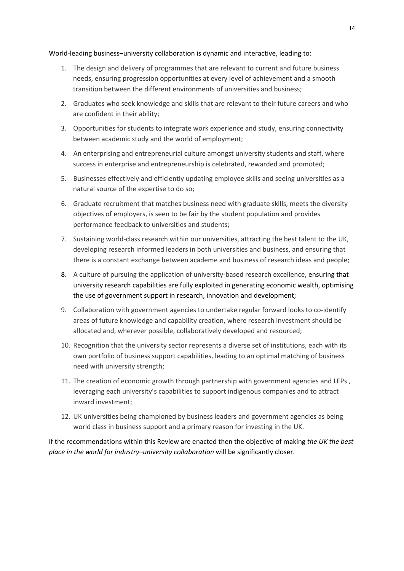World-leading business-university collaboration is dynamic and interactive, leading to:

- 1. The design and delivery of programmes that are relevant to current and future business needs, ensuring progression opportunities at every level of achievement and a smooth transition between the different environments of universities and business;
- 2. Graduates who seek knowledge and skills that are relevant to their future careers and who are confident in their ability;
- 3. Opportunities for students to integrate work experience and study, ensuring connectivity between academic study and the world of employment;
- 4. An enterprising and entrepreneurial culture amongst university students and staff, where success in enterprise and entrepreneurship is celebrated, rewarded and promoted;
- 5. Businesses effectively and efficiently updating employee skills and seeing universities as a natural source of the expertise to do so;
- 6. Graduate recruitment that matches business need with graduate skills, meets the diversity objectives of employers, is seen to be fair by the student population and provides performance feedback to universities and students;
- 7. Sustaining world-class research within our universities, attracting the best talent to the UK, developing research informed leaders in both universities and business, and ensuring that there is a constant exchange between academe and business of research ideas and people;
- 8. A culture of pursuing the application of university-based research excellence, ensuring that university research capabilities are fully exploited in generating economic wealth, optimising the use of government support in research, innovation and development;
- 9. Collaboration with government agencies to undertake regular forward looks to co-identify areas of future knowledge and capability creation, where research investment should be allocated and, wherever possible, collaboratively developed and resourced;
- 10. Recognition that the university sector represents a diverse set of institutions, each with its own portfolio of business support capabilities, leading to an optimal matching of business need with university strength;
- 11. The creation of economic growth through partnership with government agencies and LEPs , leveraging each university's capabilities to support indigenous companies and to attract inward investment;
- 12. UK universities being championed by business leaders and government agencies as being world class in business support and a primary reason for investing in the UK.

If the recommendations within this Review are enacted then the objective of making *the UK the best place in the world for industry*–*university collaboration* will be significantly closer.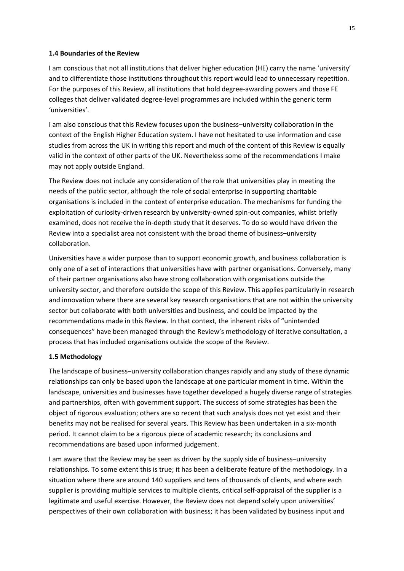### **1.4 Boundaries of the Review**

I am conscious that not all institutions that deliver higher education (HE) carry the name 'university' and to differentiate those institutions throughout this report would lead to unnecessary repetition. For the purposes of this Review, all institutions that hold degree-awarding powers and those FE colleges that deliver validated degree‐level programmes are included within the generic term 'universities'.

I am also conscious that this Review focuses upon the business–university collaboration in the context of the English Higher Education system. I have not hesitated to use information and case studies from across the UK in writing this report and much of the content of this Review is equally valid in the context of other parts of the UK. Nevertheless some of the recommendations I make may not apply outside England.

The Review does not include any consideration of the role that universities play in meeting the needs of the public sector, although the role of social enterprise in supporting charitable organisations is included in the context of enterprise education. The mechanisms for funding the exploitation of curiosity-driven research by university-owned spin-out companies, whilst briefly examined, does not receive the in‐depth study that it deserves. To do so would have driven the Review into a specialist area not consistent with the broad theme of business–university collaboration.

Universities have a wider purpose than to support economic growth, and business collaboration is only one of a set of interactions that universities have with partner organisations. Conversely, many of their partner organisations also have strong collaboration with organisations outside the university sector, and therefore outside the scope of this Review. This applies particularly in research and innovation where there are several key research organisations that are not within the university sector but collaborate with both universities and business, and could be impacted by the recommendations made in this Review. In that context, the inherent risks of "unintended consequences" have been managed through the Review's methodology of iterative consultation, a process that has included organisations outside the scope of the Review.

# <span id="page-21-1"></span>**1.5 Methodology**

The landscape of business–university collaboration changes rapidly and any study of these dynamic relationships can only be based upon the landscape at one particular moment in time. Within the landscape, universities and businesses have together developed a hugely diverse range of strategies and partnerships, often with government support. The success of some strategies has been the object of rigorous evaluation; others are so recent that such analysis does not yet exist and their benefits may not be realised for several years. This Review has been undertaken in a six‐month period. It cannot claim to be a rigorous piece of academic research; its conclusions and recommendations are based upon informed judgement.

<span id="page-21-0"></span>I am aware that the Review may be seen as driven by the supply side of business–university relationships. To some extent this is true; it has been a deliberate feature of the methodology. In a situation where there are around 140 suppliers and tens of thousands of clients, and where each supplier is providing multiple services to multiple clients, critical self‐appraisal of the supplier is a legitimate and useful exercise. However, the Review does not depend solely upon universities' perspectives of their own collaboration with business; it has been validated by business input and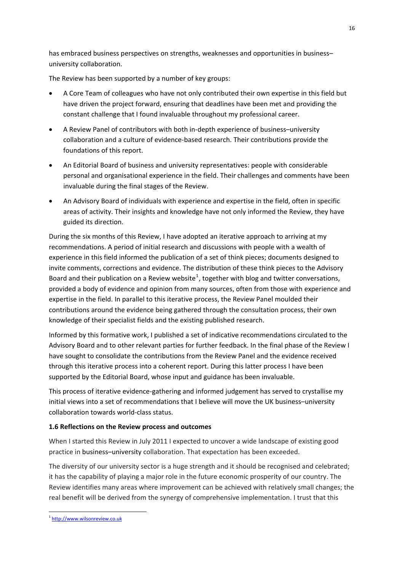has embraced business perspectives on strengths, weaknesses and opportunities in business– university collaboration.

The Review has been supported by a number of key groups:

- A Core Team of colleagues who have not only contributed their own expertise in this field but have driven the project forward, ensuring that deadlines have been met and providing the constant challenge that I found invaluable throughout my professional career.
- A Review Panel of contributors with both in‐depth experience of business–university collaboration and a culture of evidence‐based research. Their contributions provide the foundations of this report.
- An Editorial Board of business and university representatives: people with considerable personal and organisational experience in the field. Their challenges and comments have been invaluable during the final stages of the Review.
- An Advisory Board of individuals with experience and expertise in the field, often in specific areas of activity. Their insights and knowledge have not only informed the Review, they have guided its direction.

During the six months of this Review, I have adopted an iterative approach to arriving at my recommendations. A period of initial research and discussions with people with a wealth of experience in this field informed the publication of a set of think pieces; documents designed to invite comments, corrections and evidence. The distribution of these think pieces to the Advisory Board and their publication on a Review website<sup>[1](#page-22-1)</sup>, together with blog and twitter conversations, provided a body of evidence and opinion from many sources, often from those with experience and expertise in the field. In parallel to this iterative process, the Review Panel moulded their contributions around the evidence being gathered through the consultation process, their own knowledge of their specialist fields and the existing published research.

Informed by this formative work, I published a set of indicative recommendations circulated to the Advisory Board and to other relevant parties for further feedback. In the final phase of the Review I have sought to consolidate the contributions from the Review Panel and the evidence received through this iterative process into a coherent report. During this latter process I have been supported by the Editorial Board, whose input and guidance has been invaluable.

This process of iterative evidence‐gathering and informed judgement has served to crystallise my initial views into a set of recommendations that I believe will move the UK business–university collaboration towards world‐class status.

# <span id="page-22-0"></span>**1.6 Reflections on the Review process and outcomes**

When I started this Review in July 2011 I expected to uncover a wide landscape of existing good practice in business–university collaboration. That expectation has been exceeded.

The diversity of our university sector is a huge strength and it should be recognised and celebrated; it has the capability of playing a major role in the future economic prosperity of our country. The Review identifies many areas where improvement can be achieved with relatively small changes; the real benefit will be derived from the synergy of comprehensive implementation. I trust that this

1

<span id="page-22-1"></span><sup>1</sup> http://www.wilsonreview.co.uk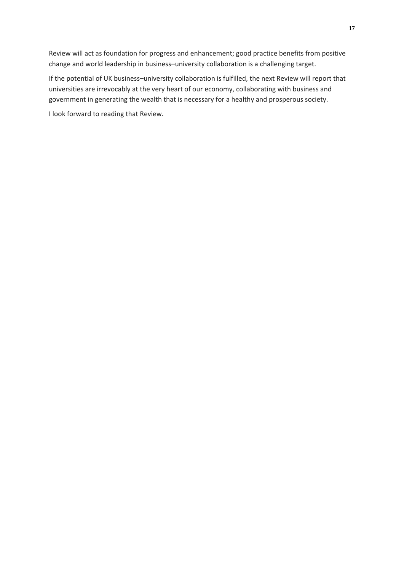Review will act as foundation for progress and enhancement; good practice benefits from positive change and world leadership in business–university collaboration is a challenging target.

If the potential of UK business–university collaboration is fulfilled, the next Review will report that universities are irrevocably at the very heart of our economy, collaborating with business and government in generating the wealth that is necessary for a healthy and prosperous society.

I look forward to reading that Review.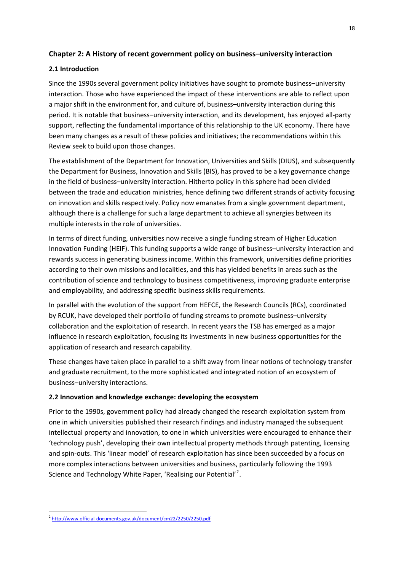# **Chapter 2: A History of recent government policy on business–university interaction**

# <span id="page-24-1"></span>**2.1 Introduction**

Since the 1990s several government policy initiatives have sought to promote business–university interaction. Those who have experienced the impact of these interventions are able to reflect upon a major shift in the environment for, and culture of, business–university interaction during this period. It is notable that business–university interaction, and its development, has enjoyed all‐party support, reflecting the fundamental importance of this relationship to the UK economy. There have been many changes as a result of these policies and initiatives; the recommendations within this Review seek to build upon those changes.

The establishment of the Department for Innovation, Universities and Skills (DIUS), and subsequently the Department for Business, Innovation and Skills (BIS), has proved to be a key governance change in the field of business–university interaction. Hitherto policy in this sphere had been divided between the trade and education ministries, hence defining two different strands of activity focusing on innovation and skills respectively. Policy now emanates from a single government department, although there is a challenge for such a large department to achieve all synergies between its multiple interests in the role of universities.

In terms of direct funding, universities now receive a single funding stream of Higher Education Innovation Funding (HEIF). This funding supports a wide range of business–university interaction and rewards success in generating business income. Within this framework, universities define priorities according to their own missions and localities, and this has yielded benefits in areas such as the contribution of science and technology to business competitiveness, improving graduate enterprise and employability, and addressing specific business skills requirements.

In parallel with the evolution of the support from HEFCE, the Research Councils (RCs), coordinated by RCUK, have developed their portfolio of funding streams to promote business–university collaboration and the exploitation of research. In recent years the TSB has emerged as a major influence in research exploitation, focusing its investments in new business opportunities for the application of research and research capability.

These changes have taken place in parallel to a shift away from linear notions of technology transfer and graduate recruitment, to the more sophisticated and integrated notion of an ecosystem of business–university interactions.

# <span id="page-24-2"></span>**2.2 Innovation and knowledge exchange: developing the ecosystem**

Prior to the 1990s, government policy had already changed the research exploitation system from one in which universities published their research findings and industry managed the subsequent intellectual property and innovation, to one in which universities were encouraged to enhance their 'technology push', developing their own intellectual property methods through patenting, licensing and spin‐outs. This 'linear model' of research exploitation has since been succeeded by a focus on more complex interactions between universities and business, particularly following the 1993 Science and Technology White Paper, 'Realising our Potential'<sup>[2](#page-24-3)</sup>.

1

<span id="page-24-3"></span><span id="page-24-0"></span><sup>2</sup> http://www.official‐[documents.gov.uk/document/cm22/2250/2250.pdf](http://www.official-documents.gov.uk/document/cm22/2250/2250.pdf)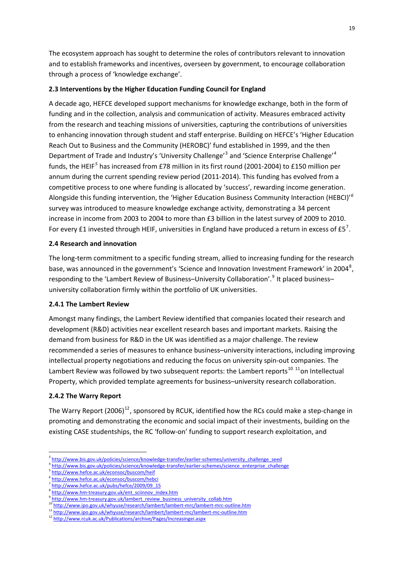The ecosystem approach has sought to determine the roles of contributors relevant to innovation and to establish frameworks and incentives, overseen by government, to encourage collaboration through a process of 'knowledge exchange'.

# <span id="page-25-0"></span>**2.3 Interventions by the Higher Education Funding Council for England**

A decade ago, HEFCE developed support mechanisms for knowledge exchange, both in the form of funding and in the collection, analysis and communication of activity. Measures embraced activity from the research and teaching missions of universities, capturing the contributions of universities to enhancing innovation through student and staff enterprise. Building on HEFCE's 'Higher Education Reach Out to Business and the Community (HEROBC)' fund established in 1999, and the then Department of Trade and Industry's 'University Challenge'<sup>[3](#page-25-4)</sup> and 'Science Enterprise Challenge'<sup>[4](#page-25-5)</sup> funds, the HEIF*[5](#page-25-6)* has increased from £78 million in its first round (2001‐2004) to £150 million per annum during the current spending review period (2011‐2014). This funding has evolved from a competitive process to one where funding is allocated by 'success', rewarding income generation. Alongside this funding intervention, the 'Higher Education Business Community Interaction (HEBCI)' *[6](#page-25-7)* survey was introduced to measure knowledge exchange activity, demonstrating a 34 percent increase in income from 2003 to 2004 to more than £3 billion in the latest survey of 2009 to 2010. For every £1 invested through HEIF, universities in England have produced a return in excess of £5<sup>[7](#page-25-8)</sup>.

# <span id="page-25-1"></span>**2.4 Research and innovation**

The long‐term commitment to a specific funding stream, allied to increasing funding for the research base, was announced in the government's 'Science and Innovation Investment Framework' in 2004<sup>[8](#page-25-9)</sup>, responding to the 'Lambert Review of Business–University Collaboration'.<sup>[9](#page-25-10)</sup> It placed business– university collaboration firmly within the portfolio of UK universities.

# <span id="page-25-2"></span>**2.4.1 The Lambert Review**

Amongst many findings, the Lambert Review identified that companies located their research and development (R&D) activities near excellent research bases and important markets. Raising the demand from business for R&D in the UK was identified as a major challenge. The review recommended a series of measures to enhance business–university interactions, including improving intellectual property negotiations and reducing the focus on university spin‐out companies. The Lambert Review was followed by two subsequent reports: the Lambert reports<sup>[10](#page-25-11) [11](#page-25-12)</sup>on Intellectual Property, which provided template agreements for business–university research collaboration.

# <span id="page-25-3"></span>**2.4.2 The Warry Report**

<u>.</u>

The Warry Report (2006)<sup>[12](#page-25-13)</sup>, sponsored by RCUK, identified how the RCs could make a step-change in promoting and demonstrating the economic and social impact of their investments, building on the existing CASE studentships, the RC 'follow‐on' funding to support research exploitation, and

http:/[/www.bis.gov.uk/policies/science/knowledge](http://www.bis.gov.uk/policies/science/knowledge-transfer/earlier-schemes/university_challenge_seed)-transfer/earlier-schemes/university\_challenge\_seed

<span id="page-25-6"></span><span id="page-25-5"></span><span id="page-25-4"></span>http:/[/www.bis.gov.uk/policies/science/knowledge](http://www.bis.gov.uk/policies/science/knowledge-transfer/earlier-schemes/science_enterprise_challenge)-transfer/earlier-schemes/science\_enterprise\_challenge

http://www.hefce.ac.uk/econsoc/buscom/heif

<span id="page-25-7"></span>http://www.hefce.ac.uk/econsoc/buscom/hebci

<span id="page-25-8"></span>http://www.hefce.ac.uk/pubs/hefce/2009/09\_15

<span id="page-25-9"></span>http://www.hm-[treasury.gov.uk/ent\\_sciinnov\\_index.htm](http://www.hm-treasury.gov.uk/ent_sciinnov_index.htm)

<span id="page-25-10"></span>http://www.hm-[treasury.gov.uk/lambert\\_review\\_business\\_university\\_collab.htm](http://www.hm-treasury.gov.uk/lambert_review_business_university_collab.htm) 10 [http://www.ipo.gov.uk/whyuse/research/lambert/lambert](http://www.ipo.gov.uk/whyuse/research/lambert/lambert-mrc/lambert-mrc-outline.htm)-[m](http://www.ipo.gov.uk/whyuse/research/lambert/lambert-mc/lambert-mc-outline.htm)rc/lambert-mrc-outline.htm

<span id="page-25-12"></span><span id="page-25-11"></span><sup>11</sup> [http://www.ipo.gov.uk/whyuse/research/lambert/lambert](http://www.ipo.gov.uk/whyuse/research/lambert/lambert-mc/lambert-mc-outline.htm)-mc/lamb[e](http://www.rcuk.ac.uk/Publications/archive/Pages/Increasingei.aspx)rt-mc-outline.htm

<span id="page-25-13"></span><sup>12</sup> <http://www.rcuk.ac.uk/Publications/archive/Pages/Increasingei.aspx>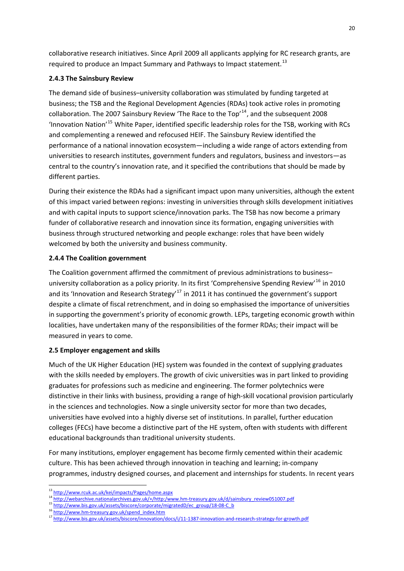collaborative research initiatives. Since April 2009 all applicants applying for RC research grants, are required to produce an Impact Summary and Pathways to Impact statement.<sup>[13](#page-26-3)</sup>

# <span id="page-26-0"></span>**2.4.3 The Sainsbury Review**

The demand side of business–university collaboration was stimulated by funding targeted at business; the TSB and the Regional Development Agencies (RDAs) took active roles in promoting collaboration. The 2007 Sainsbury Review 'The Race to the Top'<sup>[14](#page-26-4)</sup>, and the subsequent 2008 'Innovation Nation'[15](#page-26-5) White Paper, identified specific leadership roles for the TSB, working with RCs and complementing a renewed and refocused HEIF. The Sainsbury Review identified the performance of a national innovation ecosystem—including a wide range of actors extending from universities to research institutes, government funders and regulators, business and investors—as central to the country's innovation rate, and it specified the contributions that should be made by different parties.

During their existence the RDAs had a significant impact upon many universities, although the extent of this impact varied between regions: investing in universities through skills development initiatives and with capital inputs to support science/innovation parks. The TSB has now become a primary funder of collaborative research and innovation since its formation, engaging universities with business through structured networking and people exchange: roles that have been widely welcomed by both the university and business community.

# <span id="page-26-1"></span>**2.4.4 The Coalition government**

The Coalition government affirmed the commitment of previous administrations to business– university collaboration as a policy priority. In its first 'Comprehensive Spending Review'<sup>[16](#page-26-6)</sup> in 2010 and its 'Innovation and Research Strategy'<sup>[17](#page-26-7)</sup> in 2011 it has continued the government's support despite a climate of fiscal retrenchment, and in doing so emphasised the importance of universities in supporting the government's priority of economic growth. LEPs, targeting economic growth within localities, have undertaken many of the responsibilities of the former RDAs; their impact will be measured in years to come.

# <span id="page-26-2"></span>**2.5 Employer engagement and skills**

Much of the UK Higher Education (HE) system was founded in the context of supplying graduates with the skills needed by employers. The growth of civic universities was in part linked to providing graduates for professions such as medicine and engineering. The former polytechnics were distinctive in their links with business, providing a range of high‐skill vocational provision particularly in the sciences and technologies. Now a single university sector for more than two decades, universities have evolved into a highly diverse set of institutions. In parallel, further education colleges (FECs) have become a distinctive part of the HE system, often with students with different educational backgrounds than traditional university students.

For many institutions, employer engagement has become firmly cemented within their academic culture. This has been achieved through innovation in teaching and learning; in‐company programmes, industry designed courses, and placement and internships for students. In recent years

1

<sup>&</sup>lt;sup>13</sup> <http://www.rcuk.ac.uk/kei/impacts/Pages/home.aspx>

<span id="page-26-4"></span><span id="page-26-3"></span><sup>&</sup>lt;sup>14</sup> [http://webarchive.nationalarchives.gov.uk/+/http:/www.hm](http://webarchive.nationalarchives.gov.uk/+/http:/www.hm-treasury.gov.uk/d/sainsbury_review051007.pdf)-treasury.gov.uk/d/s[ai](http://www.bis.gov.uk/assets/biscore/corporate/migratedD/ec_group/18-08-C_b)nsbury\_review051007.pdf<br><sup>15</sup> http://[www.bis.gov.uk/assets/biscore/corporate/migratedD/ec\\_group/18](http://www.bis.gov.uk/assets/biscore/corporate/migratedD/ec_group/18-08-C_b)‐08‐C\_b\_

<span id="page-26-6"></span><span id="page-26-5"></span><sup>16</sup> http://www.hm-[treasury.gov.uk/spend\\_index.htm](http://www.hm-treasury.gov.uk/spend_index.htm)

<span id="page-26-7"></span><sup>17</sup> [http://www.bis.gov.uk/assets/biscore/innovation/docs/i/11](http://www.bis.gov.uk/assets/biscore/innovation/docs/i/11-1387-innovation-and-research-strategy-for-growth.pdf)-1387-innovation-and-research-strategy-[f](http://www.bis.gov.uk/assets/biscore/innovation/docs/i/11-1387-innovation-and-research-strategy-for-growth.pdf)or-growth.pdf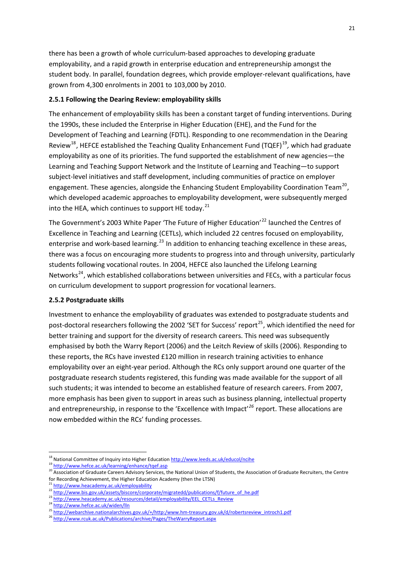there has been a growth of whole curriculum‐based approaches to developing graduate employability, and a rapid growth in enterprise education and entrepreneurship amongst the student body. In parallel, foundation degrees, which provide employer-relevant qualifications, have grown from 4,300 enrolments in 2001 to 103,000 by 2010.

# <span id="page-27-0"></span>**2.5.1 Following the Dearing Review: employability skills**

The enhancement of employability skills has been a constant target of funding interventions. During the 1990s, these included the Enterprise in Higher Education (EHE), and the Fund for the Development of Teaching and Learning (FDTL). Responding to one recommendation in the Dearing Review[18](#page-27-2), HEFCE established the Teaching Quality Enhancement Fund (TQEF)[19](#page-27-3)*,* which had graduate employability as one of its priorities. The fund supported the establishment of new agencies—the Learning and Teaching Support Network and the Institute of Learning and Teaching—to support subject-level initiatives and staff development, including communities of practice on employer engagement. These agencies, alongside the Enhancing Student Employability Coordination Team<sup>[20](#page-27-4)</sup>, which developed academic approaches to employability development, were subsequently merged into the HEA, which continues to support HE today. $^{21}$  $^{21}$  $^{21}$ 

The Government's 2003 White Paper 'The Future of Higher Education'<sup>[22](#page-27-6)</sup> launched the Centres of Excellence in Teaching and Learning (CETLs), which included 22 centres focused on employability, enterprise and work-based learning.<sup>[23](#page-27-7)</sup> In addition to enhancing teaching excellence in these areas, there was a focus on encouraging more students to progress into and through university, particularly students following vocational routes. In 2004, HEFCE also launched the Lifelong Learning Networks<sup>[24](#page-27-8)</sup>, which established collaborations between universities and FECs, with a particular focus on curriculum development to support progression for vocational learners.

### <span id="page-27-1"></span>**2.5.2 Postgraduate skills**

Investment to enhance the employability of graduates was extended to postgraduate students and post-doctoral researchers following the 2002 'SET for Success' report<sup>[25](#page-27-9)</sup>, which identified the need for better training and support for the diversity of research careers. This need was subsequently emphasised by both the Warry Report (2006) and the Leitch Review of skills (2006). Responding to these reports, the RCs have invested £120 million in research training activities to enhance employability over an eight-year period. Although the RCs only support around one quarter of the postgraduate research students registered, this funding was made available for the support of all such students; it was intended to become an established feature of research careers. From 2007, more emphasis has been given to support in areas such as business planning, intellectual property and entrepreneurship, in response to the 'Excellence with Impact'*[26](#page-27-10)* report. These allocations are now embedded within the RCs' funding processes.

<u>.</u>

<sup>&</sup>lt;sup>18</sup> Natio[n](http://www.hefce.ac.uk/learning/enhance/tqef.asp)al Committee of Inquiry into Higher Education http://www.leeds.ac.uk/educol/ncihe

<span id="page-27-3"></span><span id="page-27-2"></span><sup>19</sup> <http://www.hefce.ac.uk/learning/enhance/tqef.asp>

<span id="page-27-4"></span><sup>20</sup> Association of Graduate Careers Advisory Services, the National Union of Students, the Association of Graduate Recruiters, the Centre for Recording Achievement, the Higher Educat[io](http://www.heacademy.ac.uk/employability)n Academy (then the LTSN)

<span id="page-27-5"></span><sup>&</sup>lt;sup>21</sup> <http://www.heacademy.ac.uk/employability>

[http://www.bis.gov.uk/assets/biscore/corporate/migratedd/publications/f/future\\_of\\_he.pdf](http://www.bis.gov.uk/assets/biscore/corporate/migratedd/publications/f/future_of_he.pdf)

<span id="page-27-7"></span><span id="page-27-6"></span><sup>&</sup>lt;sup>23</sup> [http://www.heacademy.ac.uk/resources/detail/employability/EEL\\_CETLs\\_Review](http://www.heacademy.ac.uk/resources/detail/employability/EEL_CETLs_Review) <sup>24</sup> http://www.hefce.ac.uk/widen/lln

<span id="page-27-9"></span><span id="page-27-8"></span><sup>25</sup> [http://webarchive.nationalarchives.gov.uk/+/http:/www.hm](http://webarchive.nationalarchives.gov.uk/+/http:/www.hm-treasury.gov.uk/d/robertsreview_introch1.pdf)-treasury.go[v.](http://www.rcuk.ac.uk/Publications/archive/Pages/TheWarryReport.aspx)uk/d/robertsreview\_introch1.pdf

<span id="page-27-10"></span><sup>26</sup> <http://www.rcuk.ac.uk/Publications/archive/Pages/TheWarryReport.aspx>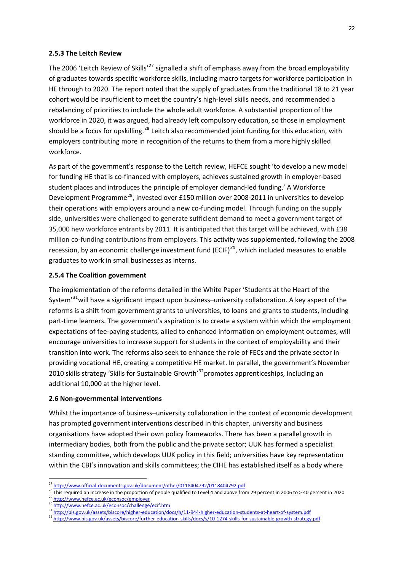#### <span id="page-28-0"></span>**2.5.3 The Leitch Review**

The 2006 'Leitch Review of Skills'<sup>[27](#page-28-3)</sup> signalled a shift of emphasis away from the broad employability of graduates towards specific workforce skills, including macro targets for workforce participation in HE through to 2020. The report noted that the supply of graduates from the traditional 18 to 21 year cohort would be insufficient to meet the country's high‐level skills needs, and recommended a rebalancing of priorities to include the whole adult workforce. A substantial proportion of the workforce in 2020, it was argued, had already left compulsory education, so those in employment should be a focus for upskilling.<sup>[28](#page-28-4)</sup> Leitch also recommended joint funding for this education, with employers contributing more in recognition of the returns to them from a more highly skilled workforce.

As part of the government's response to the Leitch review, HEFCE sought 'to develop a new model for funding HE that is co-financed with employers, achieves sustained growth in employer-based student places and introduces the principle of employer demand‐led funding.' A Workforce Development Programme<sup>[29](#page-28-5)</sup>, invested over £150 million over 2008-2011 in universities to develop their operations with employers around a new co-funding model. Through funding on the supply side, universities were challenged to generate sufficient demand to meet a government target of 35,000 new workforce entrants by 2011. It is anticipated that this target will be achieved, with £38 million co-funding contributions from employers. This activity was supplemented, following the 2008 recession, by an economic challenge investment fund (ECIF)*[30](#page-28-6)*, which included measures to enable graduates to work in small businesses as interns.

#### <span id="page-28-1"></span>**2.5.4 The Coalition government**

The implementation of the reforms detailed in the White Paper 'Students at the Heart of the System<sup>'[31](#page-28-7)</sup> will have a significant impact upon business–university collaboration. A key aspect of the reforms is a shift from government grants to universities, to loans and grants to students, including part-time learners. The government's aspiration is to create a system within which the employment expectations of fee‐paying students, allied to enhanced information on employment outcomes, will encourage universities to increase support for students in the context of employability and their transition into work. The reforms also seek to enhance the role of FECs and the private sector in providing vocational HE, creating a competitive HE market. In parallel, the government's November 2010 skills strategy 'Skills for Sustainable Growth<sup>'[32](#page-28-8)</sup> promotes apprenticeships, including an additional 10,000 at the higher level.

#### <span id="page-28-2"></span>**2.6 Non‐governmental interventions**

Whilst the importance of business–university collaboration in the context of economic development has prompted government interventions described in this chapter, university and business organisations have adopted their own policy frameworks. There has been a parallel growth in intermediary bodies, both from the public and the private sector; UUK has formed a specialist standing committee, which develops UUK policy in this field; universities have key representation within the CBI's innovation and skills committees; the CIHE has established itself as a body where

<u>.</u>

<sup>&</sup>lt;sup>27</sup> http://www.official-[documents.gov.uk/document/other/0118404792/0118404792.pdf](http://www.official-documents.gov.uk/document/other/0118404792/0118404792.pdf)

<span id="page-28-5"></span><span id="page-28-4"></span><span id="page-28-3"></span><sup>28</sup> This required an increase in the proportion of people qualified to Level 4 and above from 29 percent in 2006 to > 40 percent in 2020<br><sup>29</sup> http://www.hefce.ac.uk/econsoc/employer

<sup>&</sup>lt;sup>30</sup> <http://www.hefce.ac.uk/econsoc/challenge/ecif.htm>

<span id="page-28-7"></span><span id="page-28-6"></span><sup>31</sup> [http://bis.gov.uk/assets/biscore/higher](http://bis.gov.uk/assets/biscore/higher-education/docs/h/11-944-higher-education-students-at-heart-of-system.pdf)-education/docs/h/11-944-higher-education-students-at-heart-o[f](http://bis.gov.uk/assets/biscore/higher-education/docs/h/11-944-higher-education-students-at-heart-of-system.pdf)-system.pdf

<span id="page-28-8"></span><sup>32</sup> [http://www.bis.gov.uk/assets/biscore/further](http://www.bis.gov.uk/assets/biscore/further-education-skills/docs/s/10-1274-skills-for-sustainable-growth-strategy.pdf)-education-skills/docs/s/10-1274-skills-[f](http://www.bis.gov.uk/assets/biscore/further-education-skills/docs/s/10-1274-skills-for-sustainable-growth-strategy.pdf)or-sustainable-growth-strategy.pdf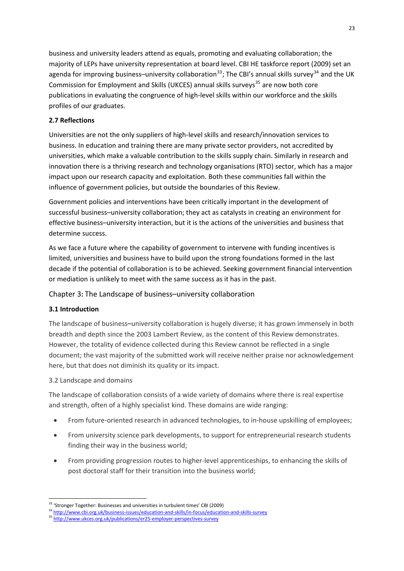business and university leaders attend as equals, promoting and evaluating collaboration; the majority of LEPs have university representation at board level. CBI HE taskforce report (2009) set an agenda for improving business–university collaboration<sup>[33](#page-29-4)</sup>; The CBI's annual skills survey<sup>[34](#page-29-5)</sup> and the UK Commission for Employment and Skills (UKCES) annual skills surveys<sup>[35](#page-29-6)</sup> are now both core publications in evaluating the congruence of high‐level skills within our workforce and the skills profiles of our graduates.

# <span id="page-29-0"></span>**2.7 Reflections**

Universities are not the only suppliers of high‐level skills and research/innovation services to business. In education and training there are many private sector providers, not accredited by universities, which make a valuable contribution to the skills supply chain. Similarly in research and innovation there is a thriving research and technology organisations (RTO) sector, which has a major impact upon our research capacity and exploitation. Both these communities fall within the influence of government policies, but outside the boundaries of this Review.

Government policies and interventions have been critically important in the development of successful business–university collaboration; they act as catalysts in creating an environment for effective business–university interaction, but it is the actions of the universities and business that determine success.

As we face a future where the capability of government to intervene with funding incentives is limited, universities and business have to build upon the strong foundations formed in the last decade if the potential of collaboration is to be achieved. Seeking government financial intervention or mediation is unlikely to meet with the same success as it has in the past.

<span id="page-29-1"></span>Chapter 3**:** The Landscape of business–university collaboration

# <span id="page-29-2"></span>**3.1 Introduction**

The landscape of business–university collaboration is hugely diverse; it has grown immensely in both breadth and depth since the 2003 Lambert Review, as the content of this Review demonstrates. However, the totality of evidence collected during this Review cannot be reflected in a single document; the vast majority of the submitted work will receive neither praise nor acknowledgement here, but that does not diminish its quality or its impact.

# <span id="page-29-3"></span>3.2 Landscape and domains

The landscape of collaboration consists of a wide variety of domains where there is real expertise and strength, often of a highly specialist kind. These domains are wide ranging:

- From future-oriented research in advanced technologies, to in-house upskilling of employees;
- From university science park developments, to support for entrepreneurial research students finding their way in the business world;
- From providing progression routes to higher-level apprenticeships, to enhancing the skills of post doctoral staff for their transition into the business world;

<sup>1</sup> <sup>33</sup> 'Stronger Together: Businesses and universities in turbulent times' CBI (2009)

<span id="page-29-5"></span><span id="page-29-4"></span><sup>34</sup> http://www.cbi.org.uk/business‐issues/education‐and‐skills/in‐focus/educ[at](http://www.ukces.org.uk/publications/er25-employer-perspectives-survey)ion‐and‐skills‐survey

<span id="page-29-6"></span><sup>35</sup> [http://www.ukces.org.uk/publications/er25](http://www.ukces.org.uk/publications/er25-employer-perspectives-survey)-employer-perspectives-survey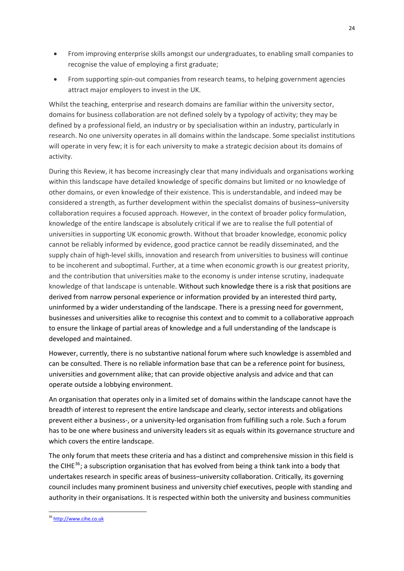- From improving enterprise skills amongst our undergraduates, to enabling small companies to recognise the value of employing a first graduate;
- From supporting spin-out companies from research teams, to helping government agencies attract major employers to invest in the UK.

Whilst the teaching, enterprise and research domains are familiar within the university sector, domains for business collaboration are not defined solely by a typology of activity; they may be defined by a professional field, an industry or by specialisation within an industry, particularly in research. No one university operates in all domains within the landscape. Some specialist institutions will operate in very few; it is for each university to make a strategic decision about its domains of activity.

During this Review, it has become increasingly clear that many individuals and organisations working within this landscape have detailed knowledge of specific domains but limited or no knowledge of other domains, or even knowledge of their existence. This is understandable, and indeed may be considered a strength, as further development within the specialist domains of business–university collaboration requires a focused approach. However, in the context of broader policy formulation, knowledge of the entire landscape is absolutely critical if we are to realise the full potential of universities in supporting UK economic growth. Without that broader knowledge, economic policy cannot be reliably informed by evidence, good practice cannot be readily disseminated, and the supply chain of high-level skills, innovation and research from universities to business will continue to be incoherent and suboptimal. Further, at a time when economic growth is our greatest priority, and the contribution that universities make to the economy is under intense scrutiny, inadequate knowledge of that landscape is untenable. Without such knowledge there is a risk that positions are derived from narrow personal experience or information provided by an interested third party, uninformed by a wider understanding of the landscape. There is a pressing need for government, businesses and universities alike to recognise this context and to commit to a collaborative approach to ensure the linkage of partial areas of knowledge and a full understanding of the landscape is developed and maintained.

However, currently, there is no substantive national forum where such knowledge is assembled and can be consulted. There is no reliable information base that can be a reference point for business, universities and government alike; that can provide objective analysis and advice and that can operate outside a lobbying environment.

An organisation that operates only in a limited set of domains within the landscape cannot have the breadth of interest to represent the entire landscape and clearly, sector interests and obligations prevent either a business‐, or a university‐led organisation from fulfilling such a role. Such a forum has to be one where business and university leaders sit as equals within its governance structure and which covers the entire landscape.

The only forum that meets these criteria and has a distinct and comprehensive mission in this field is the CIHE<sup>[36](#page-30-0)</sup>; a subscription organisation that has evolved from being a think tank into a body that undertakes research in specific areas of business–university collaboration. Critically, its governing council includes many prominent business and university chief executives, people with standing and authority in their organisations. It is respected within both the university and business communities

1

<span id="page-30-0"></span><sup>36</sup> http://www.cihe.co.uk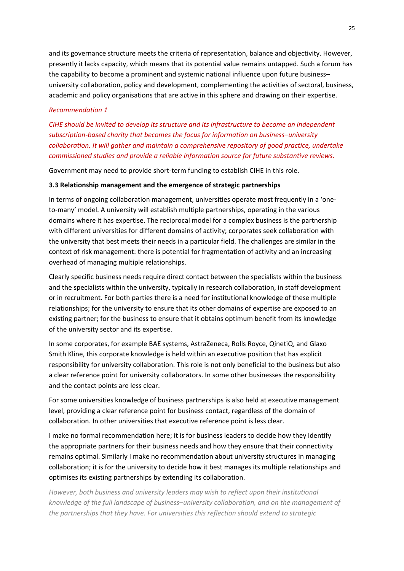and its governance structure meets the criteria of representation, balance and objectivity. However, presently it lacks capacity, which means that its potential value remains untapped. Such a forum has the capability to become a prominent and systemic national influence upon future business– university collaboration, policy and development, complementing the activities of sectoral, business, academic and policy organisations that are active in this sphere and drawing on their expertise.

# *Recommendation 1*

*CIHE should be invited to develop its structure and its infrastructure to become an independent subscription‐based charity that becomes the focus for information on business*–*university collaboration. It will gather and maintain a comprehensive repository of good practice, undertake commissioned studies and provide a reliable information source for future substantive reviews.*

Government may need to provide short‐term funding to establish CIHE in this role.

### <span id="page-31-0"></span>**3.3 Relationship management and the emergence of strategic partnerships**

In terms of ongoing collaboration management, universities operate most frequently in a 'oneto-many' model. A university will establish multiple partnerships, operating in the various domains where it has expertise. The reciprocal model for a complex business is the partnership with different universities for different domains of activity; corporates seek collaboration with the university that best meets their needs in a particular field. The challenges are similar in the context of risk management: there is potential for fragmentation of activity and an increasing overhead of managing multiple relationships.

Clearly specific business needs require direct contact between the specialists within the business and the specialists within the university, typically in research collaboration, in staff development or in recruitment. For both parties there is a need for institutional knowledge of these multiple relationships; for the university to ensure that its other domains of expertise are exposed to an existing partner; for the business to ensure that it obtains optimum benefit from its knowledge of the university sector and its expertise.

In some corporates, for example BAE systems, AstraZeneca, Rolls Royce, QinetiQ, and Glaxo Smith Kline, this corporate knowledge is held within an executive position that has explicit responsibility for university collaboration. This role is not only beneficial to the business but also a clear reference point for university collaborators. In some other businesses the responsibility and the contact points are less clear.

For some universities knowledge of business partnerships is also held at executive management level, providing a clear reference point for business contact, regardless of the domain of collaboration. In other universities that executive reference point is less clear.

I make no formal recommendation here; it is for business leaders to decide how they identify the appropriate partners for their business needs and how they ensure that their connectivity remains optimal. Similarly I make no recommendation about university structures in managing collaboration; it is for the university to decide how it best manages its multiple relationships and optimises its existing partnerships by extending its collaboration.

*However, both business and university leaders may wish to reflect upon their institutional knowledge of the full landscape of business*–*university collaboration, and on the management of the partnerships that they have. For universities this reflection should extend to strategic*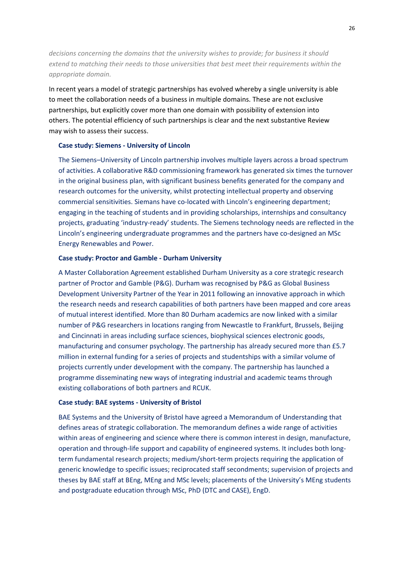*decisions concerning the domains that the university wishes to provide; for business it should extend to matching their needs to those universities that best meet their requirements within the appropriate domain.*

In recent years a model of strategic partnerships has evolved whereby a single university is able to meet the collaboration needs of a business in multiple domains. These are not exclusive partnerships, but explicitly cover more than one domain with possibility of extension into others. The potential efficiency of such partnerships is clear and the next substantive Review may wish to assess their success.

### **Case study: Siemens ‐ University of Lincoln**

The Siemens–University of Lincoln partnership involves multiple layers across a broad spectrum of activities. A collaborative R&D commissioning framework has generated six times the turnover in the original business plan, with significant business benefits generated for the company and research outcomes for the university, whilst protecting intellectual property and observing commercial sensitivities. Siemans have co-located with Lincoln's engineering department; engaging in the teaching of students and in providing scholarships, internships and consultancy projects, graduating 'industry‐ready' students. The Siemens technology needs are reflected in the Lincoln's engineering undergraduate programmes and the partners have co‐designed an MSc Energy Renewables and Power.

# **Case study: Proctor and Gamble ‐ Durham University**

A Master Collaboration Agreement established Durham University as a core strategic research partner of Proctor and Gamble (P&G). Durham was recognised by P&G as Global Business Development University Partner of the Year in 2011 following an innovative approach in which the research needs and research capabilities of both partners have been mapped and core areas of mutual interest identified. More than 80 Durham academics are now linked with a similar number of P&G researchers in locations ranging from Newcastle to Frankfurt, Brussels, Beijing and Cincinnati in areas including surface sciences, biophysical sciences electronic goods, manufacturing and consumer psychology. The partnership has already secured more than £5.7 million in external funding for a series of projects and studentships with a similar volume of projects currently under development with the company. The partnership has launched a programme disseminating new ways of integrating industrial and academic teams through existing collaborations of both partners and RCUK.

### **Case study: BAE systems ‐ University of Bristol**

BAE Systems and the University of Bristol have agreed a Memorandum of Understanding that defines areas of strategic collaboration. The memorandum defines a wide range of activities within areas of engineering and science where there is common interest in design, manufacture, operation and through‐life support and capability of engineered systems. It includes both long‐ term fundamental research projects; medium/short-term projects requiring the application of generic knowledge to specific issues; reciprocated staff secondments; supervision of projects and theses by BAE staff at BEng, MEng and MSc levels; placements of the University's MEng students and postgraduate education through MSc, PhD (DTC and CASE), EngD.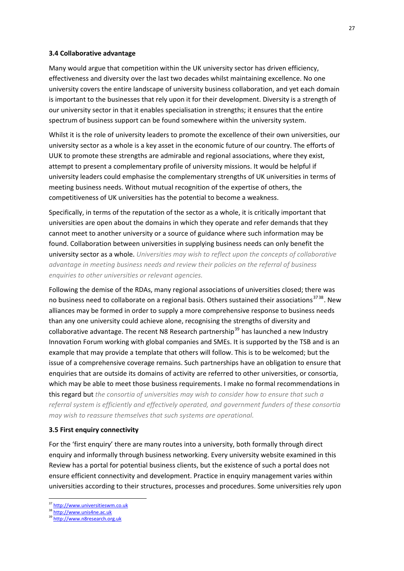#### <span id="page-33-0"></span>**3.4 Collaborative advantage**

Many would argue that competition within the UK university sector has driven efficiency, effectiveness and diversity over the last two decades whilst maintaining excellence. No one university covers the entire landscape of university business collaboration, and yet each domain is important to the businesses that rely upon it for their development. Diversity is a strength of our university sector in that it enables specialisation in strengths; it ensures that the entire spectrum of business support can be found somewhere within the university system.

Whilst it is the role of university leaders to promote the excellence of their own universities, our university sector as a whole is a key asset in the economic future of our country. The efforts of UUK to promote these strengths are admirable and regional associations, where they exist, attempt to present a complementary profile of university missions. It would be helpful if university leaders could emphasise the complementary strengths of UK universities in terms of meeting business needs. Without mutual recognition of the expertise of others, the competitiveness of UK universities has the potential to become a weakness.

Specifically, in terms of the reputation of the sector as a whole, it is critically important that universities are open about the domains in which they operate and refer demands that they cannot meet to another university or a source of guidance where such information may be found. Collaboration between universities in supplying business needs can only benefit the university sector as a whole. *Universities may wish to reflect upon the concepts of collaborative advantage in meeting business needs and review their policies on the referral of business enquiries to other universities or relevant agencies.*

Following the demise of the RDAs, many regional associations of universities closed; there was no business need to collaborate on a regional basis. Others sustained their associations<sup>3738</sup>. New alliances may be formed in order to supply a more comprehensive response to business needs than any one university could achieve alone, recognising the strengths of diversity and collaborative advantage. The recent N8 Research partnership<sup>[39](#page-33-3)</sup> has launched a new Industry Innovation Forum working with global companies and SMEs. It is supported by the TSB and is an example that may provide a template that others will follow. This is to be welcomed; but the issue of a comprehensive coverage remains. Such partnerships have an obligation to ensure that enquiries that are outside its domains of activity are referred to other universities, or consortia, which may be able to meet those business requirements. I make no formal recommendations in this regard but *the consortia of universities may wish to consider how to ensure that such a referral system is efficiently and effectively operated, and government funders of these consortia may wish to reassure themselves that such systems are operational.* 

#### <span id="page-33-1"></span>**3.5 First enquiry connectivity**

For the 'first enquiry' there are many routes into a university, both formally through direct enquiry and informally through business networking. Every university website examined in this Review has a portal for potential business clients, but the existence of such a portal does not ensure efficient connectivity and development. Practice in enquiry management varies within universities according to their structures, processes and procedures. Some universities rely upon

1

<span id="page-33-2"></span><sup>&</sup>lt;sup>37</sup> http://www.universitiesw[m](http://www.unis4ne.ac.uk/).co.uk

<span id="page-33-3"></span><sup>38</sup> [http://www.unis4ne.ac.uk](http://www.unis4ne.ac.uk/)

<sup>39</sup> [http://www.n8research.org.uk](http://www.n8research.org.uk/)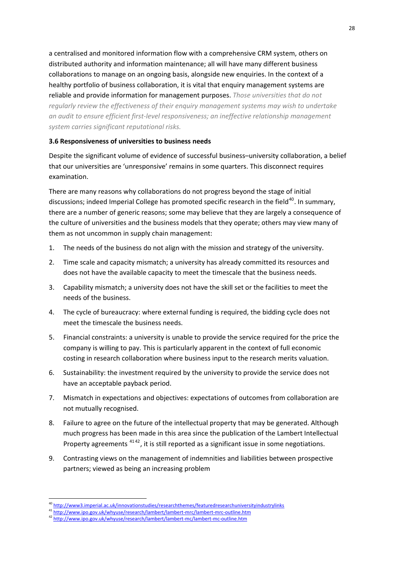a centralised and monitored information flow with a comprehensive CRM system, others on distributed authority and information maintenance; all will have many different business collaborations to manage on an ongoing basis, alongside new enquiries. In the context of a healthy portfolio of business collaboration, it is vital that enquiry management systems are reliable and provide information for management purposes. *Those universities that do not regularly review the effectiveness of their enquiry management systems may wish to undertake an audit to ensure efficient first‐level responsiveness; an ineffective relationship management system carries significant reputational risks.*

# <span id="page-34-0"></span>**3.6 Responsiveness of universities to business needs**

Despite the significant volume of evidence of successful business–university collaboration, a belief that our universities are 'unresponsive' remains in some quarters. This disconnect requires examination.

There are many reasons why collaborations do not progress beyond the stage of initial discussions; indeed Imperial College has promoted specific research in the field<sup>[40](#page-34-1)</sup>. In summary, there are a number of generic reasons; some may believe that they are largely a consequence of the culture of universities and the business models that they operate; others may view many of them as not uncommon in supply chain management:

- 1. The needs of the business do not align with the mission and strategy of the university.
- 2. Time scale and capacity mismatch; a university has already committed its resources and does not have the available capacity to meet the timescale that the business needs.
- 3. Capability mismatch; a university does not have the skill set or the facilities to meet the needs of the business.
- 4. The cycle of bureaucracy: where external funding is required, the bidding cycle does not meet the timescale the business needs.
- 5. Financial constraints: a university is unable to provide the service required for the price the company is willing to pay. This is particularly apparent in the context of full economic costing in research collaboration where business input to the research merits valuation.
- 6. Sustainability: the investment required by the university to provide the service does not have an acceptable payback period.
- 7. Mismatch in expectations and objectives: expectations of outcomes from collaboration are not mutually recognised.
- 8. Failure to agree on the future of the intellectual property that may be generated. Although much progress has been made in this area since the publication of the Lambert Intellectual Property agreements <sup>4142</sup>, it is still reported as a significant issue in some negotiations.
- 9. Contrasting views on the management of indemnities and liabilities between prospective partners; viewed as being an increasing problem

1

<sup>&</sup>lt;sup>40</sup> http://www3.imperial.ac.uk/innovationstudies/researchthemes/featuredresearchunivers[it](http://www.ipo.gov.uk/whyuse/research/lambert/lambert-mrc/lambert-mrc-outline.htm)yindustrylinks

<span id="page-34-2"></span><span id="page-34-1"></span><sup>41</sup> [http://www.ipo.gov.uk/whyuse/research/lambert/lambert](http://www.ipo.gov.uk/whyuse/research/lambert/lambert-mrc/lambert-mrc-outline.htm)-[m](http://www.ipo.gov.uk/whyuse/research/lambert/lambert-mc/lambert-mc-outline.htm)rc/lambert-mrc-outline.htm

<sup>42</sup> [http://www.ipo.gov.uk/whyuse/research/lambert/lambert](http://www.ipo.gov.uk/whyuse/research/lambert/lambert-mc/lambert-mc-outline.htm)-mc/lambert-mc-outline.htm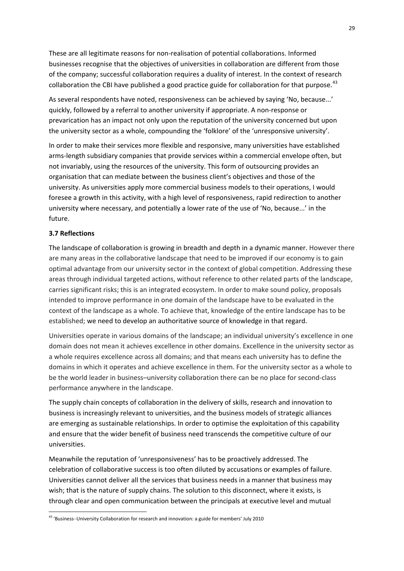These are all legitimate reasons for non‐realisation of potential collaborations. Informed businesses recognise that the objectives of universities in collaboration are different from those of the company; successful collaboration requires a duality of interest. In the context of research collaboration the CBI have published a good practice guide for collaboration for that purpose.<sup>[43](#page-35-1)</sup>

As several respondents have noted, responsiveness can be achieved by saying 'No, because...' quickly, followed by a referral to another university if appropriate. A non‐response or prevarication has an impact not only upon the reputation of the university concerned but upon the university sector as a whole, compounding the 'folklore' of the 'unresponsive university'.

In order to make their services more flexible and responsive, many universities have established arms‐length subsidiary companies that provide services within a commercial envelope often, but not invariably, using the resources of the university. This form of outsourcing provides an organisation that can mediate between the business client's objectives and those of the university. As universities apply more commercial business models to their operations, I would foresee a growth in this activity, with a high level of responsiveness, rapid redirection to another university where necessary, and potentially a lower rate of the use of 'No, because...' in the future.

# <span id="page-35-0"></span>**3.7 Reflections**

1

The landscape of collaboration is growing in breadth and depth in a dynamic manner. However there are many areas in the collaborative landscape that need to be improved if our economy is to gain optimal advantage from our university sector in the context of global competition. Addressing these areas through individual targeted actions, without reference to other related parts of the landscape, carries significant risks; this is an integrated ecosystem. In order to make sound policy, proposals intended to improve performance in one domain of the landscape have to be evaluated in the context of the landscape as a whole. To achieve that, knowledge of the entire landscape has to be established; we need to develop an authoritative source of knowledge in that regard.

Universities operate in various domains of the landscape; an individual university's excellence in one domain does not mean it achieves excellence in other domains. Excellence in the university sector as a whole requires excellence across all domains; and that means each university has to define the domains in which it operates and achieve excellence in them. For the university sector as a whole to be the world leader in business–university collaboration there can be no place for second‐class performance anywhere in the landscape.

The supply chain concepts of collaboration in the delivery of skills, research and innovation to business is increasingly relevant to universities, and the business models of strategic alliances are emerging as sustainable relationships. In order to optimise the exploitation of this capability and ensure that the wider benefit of business need transcends the competitive culture of our universities.

Meanwhile the reputation of 'unresponsiveness' has to be proactively addressed. The celebration of collaborative success is too often diluted by accusations or examples of failure. Universities cannot deliver all the services that business needs in a manner that business may wish; that is the nature of supply chains. The solution to this disconnect, where it exists, is through clear and open communication between the principals at executive level and mutual

<span id="page-35-1"></span><sup>43 &#</sup>x27;Business-University Collaboration for research and innovation: a guide for members' July 2010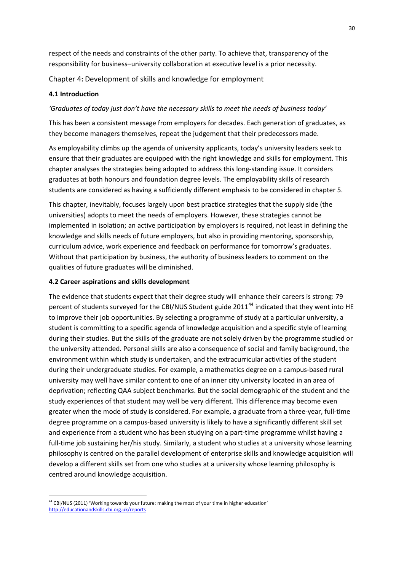respect of the needs and constraints of the other party. To achieve that, transparency of the responsibility for business–university collaboration at executive level is a prior necessity.

Chapter 4**:** Development of skills and knowledge for employment

# **4.1 Introduction**

# *'Graduates of today just don't have the necessary skills to meet the needs of business today'*

This has been a consistent message from employers for decades. Each generation of graduates, as they become managers themselves, repeat the judgement that their predecessors made.

As employability climbs up the agenda of university applicants, today's university leaders seek to ensure that their graduates are equipped with the right knowledge and skills for employment. This chapter analyses the strategies being adopted to address this long‐standing issue. It considers graduates at both honours and foundation degree levels. The employability skills of research students are considered as having a sufficiently different emphasis to be considered in chapter 5.

This chapter, inevitably, focuses largely upon best practice strategies that the supply side (the universities) adopts to meet the needs of employers. However, these strategies cannot be implemented in isolation; an active participation by employers is required, not least in defining the knowledge and skills needs of future employers, but also in providing mentoring, sponsorship, curriculum advice, work experience and feedback on performance for tomorrow's graduates. Without that participation by business, the authority of business leaders to comment on the qualities of future graduates will be diminished.

# **4.2 Career aspirations and skills development**

The evidence that students expect that their degree study will enhance their careers is strong: 79 percent of students surveyed for the CBI/NUS Student guide  $2011<sup>44</sup>$  $2011<sup>44</sup>$  $2011<sup>44</sup>$  indicated that they went into HE to improve their job opportunities. By selecting a programme of study at a particular university, a student is committing to a specific agenda of knowledge acquisition and a specific style of learning during their studies. But the skills of the graduate are not solely driven by the programme studied or the university attended. Personal skills are also a consequence of social and family background, the environment within which study is undertaken, and the extracurricular activities of the student during their undergraduate studies. For example, a mathematics degree on a campus-based rural university may well have similar content to one of an inner city university located in an area of deprivation; reflecting QAA subject benchmarks. But the social demographic of the student and the study experiences of that student may well be very different. This difference may become even greater when the mode of study is considered. For example, a graduate from a three‐year, full‐time degree programme on a campus‐based university is likely to have a significantly different skill set and experience from a student who has been studying on a part-time programme whilst having a full-time job sustaining her/his study. Similarly, a student who studies at a university whose learning philosophy is centred on the parallel development of enterprise skills and knowledge acquisition will develop a different skills set from one who studies at a university whose learning philosophy is centred around knowledge acquisition.

<span id="page-36-0"></span><sup>1</sup> <sup>44</sup> CBI/NUS (2011) 'Working towards your future: making the most of your time in higher education' http://educationandskills.cbi.org.uk/reports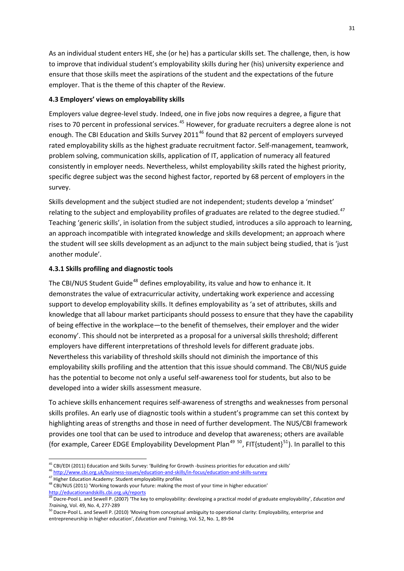As an individual student enters HE, she (or he) has a particular skills set. The challenge, then, is how to improve that individual student's employability skills during her (his) university experience and ensure that those skills meet the aspirations of the student and the expectations of the future employer. That is the theme of this chapter of the Review.

## **4.3 Employers' views on employability skills**

Employers value degree‐level study. Indeed, one in five jobs now requires a degree, a figure that rises to 70 percent in professional services.<sup>[45](#page-37-0)</sup> However, for graduate recruiters a degree alone is not enough. The CBI Education and Skills Survey 2011<sup>[46](#page-37-1)</sup> found that 82 percent of employers surveyed rated employability skills as the highest graduate recruitment factor. Self‐management, teamwork, problem solving, communication skills, application of IT, application of numeracy all featured consistently in employer needs. Nevertheless, whilst employability skills rated the highest priority, specific degree subject was the second highest factor, reported by 68 percent of employers in the survey.

Skills development and the subject studied are not independent; students develop a 'mindset' relating to the subject and employability profiles of graduates are related to the degree studied.<sup>[47](#page-37-2)</sup> Teaching 'generic skills', in isolation from the subject studied, introduces a silo approach to learning, an approach incompatible with integrated knowledge and skills development; an approach where the student will see skills development as an adjunct to the main subject being studied, that is 'just another module'.

## **4.3.1 Skills profiling and diagnostic tools**

The CBI/NUS Student Guide<sup>[48](#page-37-3)</sup> defines employability, its value and how to enhance it. It demonstrates the value of extracurricular activity, undertaking work experience and accessing support to develop employability skills. It defines employability as 'a set of attributes, skills and knowledge that all labour market participants should possess to ensure that they have the capability of being effective in the workplace—to the benefit of themselves, their employer and the wider economy'. This should not be interpreted as a proposal for a universal skills threshold; different employers have different interpretations of threshold levels for different graduate jobs. Nevertheless this variability of threshold skills should not diminish the importance of this employability skills profiling and the attention that this issue should command. The CBI/NUS guide has the potential to become not only a useful self-awareness tool for students, but also to be developed into a wider skills assessment measure.

To achieve skills enhancement requires self‐awareness of strengths and weaknesses from personal skills profiles. An early use of diagnostic tools within a student's programme can set this context by highlighting areas of strengths and those in need of further development. The NUS/CBI framework provides one tool that can be used to introduce and develop that awareness; others are available (for example, Career EDGE Employability Development Plan<sup>[49](#page-37-4) [50](#page-37-5)</sup>, FIT{student}<sup>[51](#page-37-6)</sup>). In parallel to this

<u>.</u>

<sup>45</sup> CBI/EDI (2011) Education and Skills Survey: 'Building for Growth -business priorities for education and skills'

<span id="page-37-1"></span><span id="page-37-0"></span><sup>&</sup>lt;sup>46</sup> http://www.cbi.org.uk/business-issues/education-and-skills/in-focus/education-and-skills-survey<br><sup>47</sup> Higher Education Academy: Student employability profiles

<span id="page-37-6"></span><span id="page-37-3"></span><span id="page-37-2"></span><sup>48</sup> CBI/NUS (2011) 'Working towards your future: making the most of your time in higher education' http://educationandskills.cbi.org.uk/reports

<span id="page-37-4"></span><sup>49</sup> Dacre‐Pool L. and Sewell P. (2007) 'The key to employability: developing a practical model of graduate employability', *Education and Training*, Vol. 49, No. 4, 277‐289

<span id="page-37-5"></span><sup>&</sup>lt;sup>50</sup> Dacre-Pool L. and Sewell P. (2010) 'Moving from conceptual ambiguity to operational clarity: Employability, enterprise and entrepreneurship in higher education', *Education and Training*, Vol. 52, No. 1, 89‐94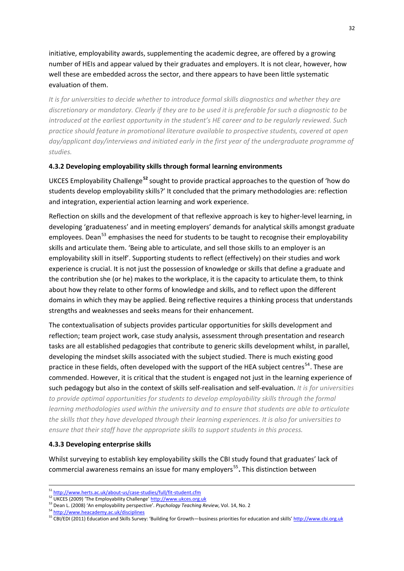initiative, employability awards, supplementing the academic degree, are offered by a growing number of HEIs and appear valued by their graduates and employers. It is not clear, however, how well these are embedded across the sector, and there appears to have been little systematic evaluation of them.

*It is for universities to decide whether to introduce formal skills diagnostics and whether they are* discretionary or mandatory. Clearly if they are to be used it is preferable for such a diagnostic to be *introduced at the earliest opportunity in the student's HE career and to be regularly reviewed. Such practice should feature in promotional literature available to prospective students, covered at open day/applicant day/interviews and initiated early in the first year of the undergraduate programme of studies.*

## **4.3.2 Developing employability skills through formal learning environments**

UKCES Employability Challenge**[52](#page-38-0)** sought to provide practical approaches to the question of 'how do students develop employability skills?' It concluded that the primary methodologies are: reflection and integration, experiential action learning and work experience.

Reflection on skills and the development of that reflexive approach is key to higher‐level learning, in developing 'graduateness' and in meeting employers' demands for analytical skills amongst graduate employees. Dean<sup>[53](#page-38-1)</sup> emphasises the need for students to be taught to recognise their employability skills and articulate them. 'Being able to articulate, and sell those skills to an employer is an employability skill in itself'. Supporting students to reflect (effectively) on their studies and work experience is crucial. It is not just the possession of knowledge or skills that define a graduate and the contribution she (or he) makes to the workplace, it is the capacity to articulate them, to think about how they relate to other forms of knowledge and skills, and to reflect upon the different domains in which they may be applied. Being reflective requires a thinking process that understands strengths and weaknesses and seeks means for their enhancement.

The contextualisation of subjects provides particular opportunities for skills development and reflection; team project work, case study analysis, assessment through presentation and research tasks are all established pedagogies that contribute to generic skills development whilst, in parallel, developing the mindset skills associated with the subject studied. There is much existing good practice in these fields, often developed with the support of the HEA subject centres<sup>[54](#page-38-2)</sup>. These are commended. However, it is critical that the student is engaged not just in the learning experience of such pedagogy but also in the context of skills self‐realisation and self‐evaluation. *It is for universities to provide optimal opportunities for students to develop employability skills through the formal learning methodologies used within the university and to ensure that students are able to articulate the skills that they have developed through their learning experiences. It is also for universities to ensure that their staff have the appropriate skills to support students in this process.*

### **4.3.3 Developing enterprise skills**

Whilst surveying to establish key employability skills the CBI study found that graduates' lack of commercial awareness remains an issue for many employers<sup>[55](#page-38-3)</sup>. This distinction between

 $51 \frac{\text{http://www.herts.ac.uk/about-us/case-studies/full/fit-student.cfm}}{\text{UKCES (2009) 'The Employability Challenge' <http://www.ukces.org.uk>$  $51 \frac{\text{http://www.herts.ac.uk/about-us/case-studies/full/fit-student.cfm}}{\text{UKCES (2009) 'The Employability Challenge' <http://www.ukces.org.uk>$  $51 \frac{\text{http://www.herts.ac.uk/about-us/case-studies/full/fit-student.cfm}}{\text{UKCES (2009) 'The Employability Challenge' <http://www.ukces.org.uk>$  $51 \frac{\text{http://www.herts.ac.uk/about-us/case-studies/full/fit-student.cfm}}{\text{UKCES (2009) 'The Employability Challenge' <http://www.ukces.org.uk>$  $51 \frac{\text{http://www.herts.ac.uk/about-us/case-studies/full/fit-student.cfm}}{\text{UKCES (2009) 'The Employability Challenge' <http://www.ukces.org.uk>$ 

<span id="page-38-0"></span>

<span id="page-38-1"></span><sup>53</sup> Dean L. (2008) 'An employability perspec[ti](http://www.heacademy.ac.uk/disciplines)ve'. *Psychology Teaching Review*, Vol. 14, No. 2

<span id="page-38-2"></span><sup>54</sup> <http://www.heacademy.ac.uk/disciplines>

<span id="page-38-3"></span><sup>55</sup> CBI/EDI (2011) Education and Skills Survey: 'Building for Growth—business priorities for education and skills' http://[www.cbi.org.uk](http://www.cbi.org.uk/)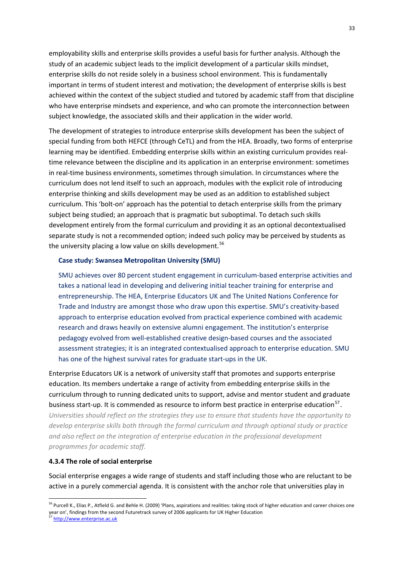employability skills and enterprise skills provides a useful basis for further analysis. Although the study of an academic subject leads to the implicit development of a particular skills mindset, enterprise skills do not reside solely in a business school environment. This is fundamentally important in terms of student interest and motivation; the development of enterprise skills is best achieved within the context of the subject studied and tutored by academic staff from that discipline who have enterprise mindsets and experience, and who can promote the interconnection between subject knowledge, the associated skills and their application in the wider world.

The development of strategies to introduce enterprise skills development has been the subject of special funding from both HEFCE (through CeTL) and from the HEA. Broadly, two forms of enterprise learning may be identified. Embedding enterprise skills within an existing curriculum provides realtime relevance between the discipline and its application in an enterprise environment: sometimes in real-time business environments, sometimes through simulation. In circumstances where the curriculum does not lend itself to such an approach, modules with the explicit role of introducing enterprise thinking and skills development may be used as an addition to established subject curriculum. This 'bolt‐on' approach has the potential to detach enterprise skills from the primary subject being studied; an approach that is pragmatic but suboptimal. To detach such skills development entirely from the formal curriculum and providing it as an optional decontextualised separate study is not a recommended option; indeed such policy may be perceived by students as the university placing a low value on skills development.<sup>[56](#page-39-0)</sup>

## **Case study: Swansea Metropolitan University (SMU)**

SMU achieves over 80 percent student engagement in curriculum‐based enterprise activities and takes a national lead in developing and delivering initial teacher training for enterprise and entrepreneurship. The HEA, Enterprise Educators UK and The United Nations Conference for Trade and Industry are amongst those who draw upon this expertise. SMU's creativity-based approach to enterprise education evolved from practical experience combined with academic research and draws heavily on extensive alumni engagement. The institution's enterprise pedagogy evolved from well‐established creative design‐based courses and the associated assessment strategies; it is an integrated contextualised approach to enterprise education. SMU has one of the highest survival rates for graduate start-ups in the UK.

Enterprise Educators UK is a network of university staff that promotes and supports enterprise education. Its members undertake a range of activity from embedding enterprise skills in the curriculum through to running dedicated units to support, advise and mentor student and graduate business start-up. It is commended as resource to inform best practice in enterprise education<sup>[57](#page-39-1)</sup>. *Universities should reflect on the strategies they use to ensure that students have the opportunity to develop enterprise skills both through the formal curriculum and through optional study or practice and also reflect on the integration of enterprise education in the professional development programmes for academic staff.* 

#### **4.3.4 The role of social enterprise**

Social enterprise engages a wide range of students and staff including those who are reluctant to be active in a purely commercial agenda. It is consistent with the anchor role that universities play in

<span id="page-39-0"></span><sup>&</sup>lt;sup>56</sup> Purcell K., Elias P., Atfield G. and Behle H. (2009) 'Plans, aspirations and realities: taking stock of higher education and career choices one year on', findings from the sec[on](http://www.enterprise.ac.uk/)d Futuretrack survey of 2006 applicants for UK Higher Education

<span id="page-39-1"></span>http://[www.enterprise.ac.uk](http://www.enterprise.ac.uk/)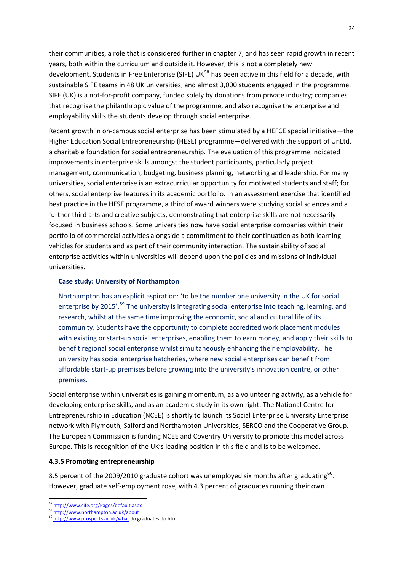their communities, a role that is considered further in chapter 7, and has seen rapid growth in recent years, both within the curriculum and outside it. However, this is not a completely new development. Students in Free Enterprise (SIFE) UK<sup>[58](#page-40-0)</sup> has been active in this field for a decade, with sustainable SIFE teams in 48 UK universities, and almost 3,000 students engaged in the programme. SIFE (UK) is a not-for-profit company, funded solely by donations from private industry; companies that recognise the philanthropic value of the programme, and also recognise the enterprise and employability skills the students develop through social enterprise.

Recent growth in on-campus social enterprise has been stimulated by a HEFCE special initiative—the Higher Education Social Entrepreneurship (HESE) programme—delivered with the support of UnLtd, a charitable foundation for social entrepreneurship. The evaluation of this programme indicated improvements in enterprise skills amongst the student participants, particularly project management, communication, budgeting, business planning, networking and leadership. For many universities, social enterprise is an extracurricular opportunity for motivated students and staff; for others, social enterprise features in its academic portfolio. In an assessment exercise that identified best practice in the HESE programme, a third of award winners were studying social sciences and a further third arts and creative subjects, demonstrating that enterprise skills are not necessarily focused in business schools. Some universities now have social enterprise companies within their portfolio of commercial activities alongside a commitment to their continuation as both learning vehicles for students and as part of their community interaction. The sustainability of social enterprise activities within universities will depend upon the policies and missions of individual universities.

#### **Case study: University of Northampton**

Northampton has an explicit aspiration: 'to be the number one university in the UK for social enterprise by 2015'.<sup>[59](#page-40-1)</sup> The university is integrating social enterprise into teaching, learning, and research, whilst at the same time improving the economic, social and cultural life of its community. Students have the opportunity to complete accredited work placement modules with existing or start-up social enterprises, enabling them to earn money, and apply their skills to benefit regional social enterprise whilst simultaneously enhancing their employability. The university has social enterprise hatcheries, where new social enterprises can benefit from affordable start‐up premises before growing into the university's innovation centre, or other premises.

Social enterprise within universities is gaining momentum, as a volunteering activity, as a vehicle for developing enterprise skills, and as an academic study in its own right. The National Centre for Entrepreneurship in Education (NCEE) is shortly to launch its Social Enterprise University Enterprise network with Plymouth, Salford and Northampton Universities, SERCO and the Cooperative Group. The European Commission is funding NCEE and Coventry University to promote this model across Europe. This is recognition of the UK's leading position in this field and is to be welcomed.

#### **4.3.5 Promoting entrepreneurship**

8.5 percent of the 2009/2010 graduate cohort was unemployed six months after graduating<sup>[60](#page-40-2)</sup>. However, graduate self-employment rose, with 4.3 percent of graduates running their own

<sup>1</sup> <sup>58</sup> <http://www.sife.org/Pages/default.aspx>

<span id="page-40-1"></span><span id="page-40-0"></span><sup>59</sup> <http://www.northampton.ac.uk/about>

<span id="page-40-2"></span><sup>60</sup> <http://www.prospects.ac.uk/what> do graduates do.htm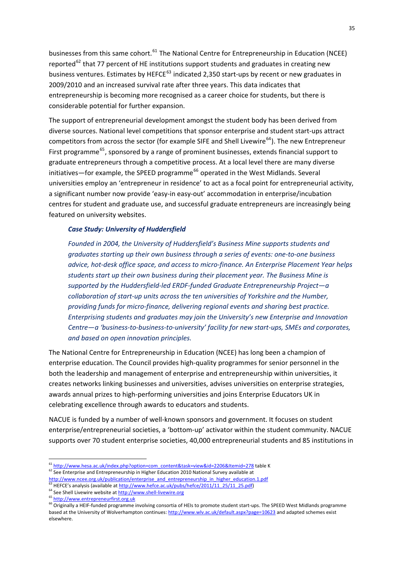businesses from this same cohort.<sup>[61](#page-41-0)</sup> The National Centre for Entrepreneurship in Education (NCEE) reported $^{62}$  $^{62}$  $^{62}$  that 77 percent of HE institutions support students and graduates in creating new business ventures. Estimates by HEFCE<sup>[63](#page-41-2)</sup> indicated 2,350 start-ups by recent or new graduates in 2009/2010 and an increased survival rate after three years. This data indicates that entrepreneurship is becoming more recognised as a career choice for students, but there is considerable potential for further expansion.

The support of entrepreneurial development amongst the student body has been derived from diverse sources. National level competitions that sponsor enterprise and student start‐ups attract competitors from across the sector (for example SIFE and Shell Livewire<sup>[64](#page-41-3)</sup>). The new Entrepreneur First programme<sup>[65](#page-41-4)</sup>, sponsored by a range of prominent businesses, extends financial support to graduate entrepreneurs through a competitive process. At a local level there are many diverse  $initiations$  – for example, the SPEED programme<sup>[66](#page-41-5)</sup> operated in the West Midlands. Several universities employ an 'entrepreneur in residence' to act as a focal point for entrepreneurial activity, a significant number now provide 'easy‐in easy‐out' accommodation in enterprise/incubation centres for student and graduate use, and successful graduate entrepreneurs are increasingly being featured on university websites.

### *Case Study: University of Huddersfield*

*Founded in 2004, the University of Huddersfield's Business Mine supports students and graduates starting up their own business through a series of events: one‐to‐one business advice, hot‐desk office space, and access to micro‐finance. An Enterprise Placement Year helps students start up their own business during their placement year. The Business Mine is supported by the Huddersfield‐led ERDF‐funded Graduate Entrepreneurship Project—a collaboration of start‐up units across the ten universities of Yorkshire and the Humber, providing funds for micro‐finance, delivering regional events and sharing best practice. Enterprising students and graduates may join the University's new Enterprise and Innovation* Centre-a 'business-to-business-to-university' facility for new start-ups, SMEs and corporates, *and based on open innovation principles.*

The National Centre for Entrepreneurship in Education (NCEE) has long been a champion of enterprise education. The Council provides high-quality programmes for senior personnel in the both the leadership and management of enterprise and entrepreneurship within universities, it creates networks linking businesses and universities, advises universities on enterprise strategies, awards annual prizes to high‐performing universities and joins Enterprise Educators UK in celebrating excellence through awards to educators and students.

NACUE is funded by a number of well‐known sponsors and government. It focuses on student enterprise/entrepreneurial societies, a 'bottom-up' activator within the student community. NACUE supports over 70 student enterprise societies, 40,000 entrepreneurial students and 85 institutions in

<u>.</u>

<sup>&</sup>lt;sup>61</sup> [http://www.hesa.ac.uk/index.php?option=com\\_content&task=view&id=2206&Itemid=278](http://www.hesa.ac.uk/index.php?option=com_content&task=view&id=2206&Itemid=278) table K

<span id="page-41-1"></span><span id="page-41-0"></span><sup>&</sup>lt;sup>62</sup> See Enterprise and Entrepreneurship in Higher Education 2010 National Survey available at

[http://www.ncee.org.uk/publication/enterprise\\_and\\_entrepreneurship\\_in\\_higher\\_education.1.pdf](http://www.ncee.org.uk/publication/enterprise_and_entrepreneurship_in_higher_education.1.pdf) <sup>63</sup> HEFCE's analysis (available at [http://www.hefce.ac.uk/pubs/hefce/2011/11\\_25/11\\_25.pdf](http://www.hefce.ac.uk/pubs/hefce/2011/11_25/11_25.pdf))

<span id="page-41-3"></span><span id="page-41-2"></span> $^{64}$  See Shell Livewire website at  $\frac{http://www.shell-livewire.org}{http://www.entrepreneurfirst.org.uk}$  $\frac{http://www.shell-livewire.org}{http://www.entrepreneurfirst.org.uk}$  $\frac{http://www.shell-livewire.org}{http://www.entrepreneurfirst.org.uk}$ 

<span id="page-41-5"></span><span id="page-41-4"></span><sup>66</sup> Originally a HEIF-funded programme involving consortia of HEIs to promote student start-ups. The SPEED West Midlands programme based at the University of Wolverhampton continues: <http://www.wlv.ac.uk/default.aspx?page=10623> and adapted schemes exist elsewhere.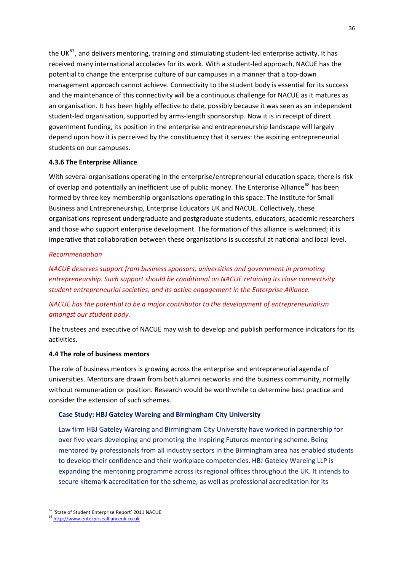the UK $^{67}$  $^{67}$  $^{67}$ , and delivers mentoring, training and stimulating student-led enterprise activity. It has received many international accolades for its work. With a student‐led approach, NACUE has the potential to change the enterprise culture of our campuses in a manner that a top-down management approach cannot achieve. Connectivity to the student body is essential for its success and the maintenance of this connectivity will be a continuous challenge for NACUE as it matures as an organisation. It has been highly effective to date, possibly because it was seen as an independent student‐led organisation, supported by arms‐length sponsorship. Now it is in receipt of direct government funding, its position in the enterprise and entrepreneurship landscape will largely depend upon how it is perceived by the constituency that it serves: the aspiring entrepreneurial students on our campuses.

## **4.3.6 The Enterprise Alliance**

With several organisations operating in the enterprise/entrepreneurial education space, there is risk of overlap and potentially an inefficient use of public money. The Enterprise Alliance<sup>[68](#page-42-1)</sup> has been formed by three key membership organisations operating in this space: The Institute for Small Business and Entrepreneurship, Enterprise Educators UK and NACUE. Collectively, these organisations represent undergraduate and postgraduate students, educators, academic researchers and those who support enterprise development. The formation of this alliance is welcomed; it is imperative that collaboration between these organisations is successful at national and local level.

## *Recommendation*

*NACUE deserves support from business sponsors, universities and government in promoting entrepreneurship. Such support should be conditional on NACUE retaining its close connectivity student entrepreneurial societies, and its active engagement in the Enterprise Alliance.*

# *NACUE has the potential to be a major contributor to the development of entrepreneurialism amongst our student body.*

The trustees and executive of NACUE may wish to develop and publish performance indicators for its activities.

## **4.4 The role of business mentors**

The role of business mentors is growing across the enterprise and entrepreneurial agenda of universities. Mentors are drawn from both alumni networks and the business community, normally without remuneration or position. Research would be worthwhile to determine best practice and consider the extension of such schemes.

## **Case Study: HBJ Gateley Wareing and Birmingham City University**

Law firm HBJ Gateley Wareing and Birmingham City University have worked in partnership for over five years developing and promoting the Inspiring Futures mentoring scheme. Being mentored by professionals from all industry sectors in the Birmingham area has enabled students to develop their confidence and their workplace competencies. HBJ Gateley Wareing LLP is expanding the mentoring programme across its regional offices throughout the UK. It intends to secure kitemark accreditation for the scheme, as well as professional accreditation for its

<sup>1</sup> <sup>67</sup> 'State of Student Enterprise Report' 2011 NACUE

<span id="page-42-1"></span><span id="page-42-0"></span><sup>68</sup> http://www.enterpriseallianceuk.co.uk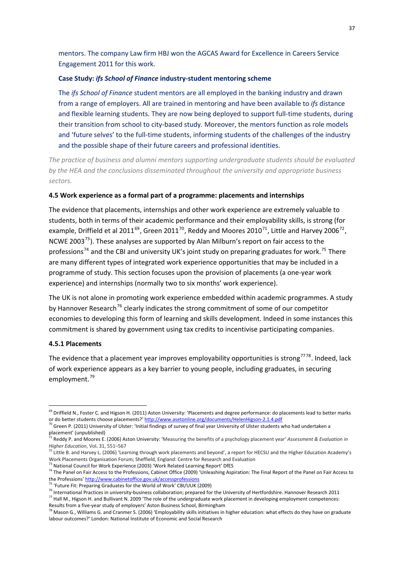mentors. The company Law firm HBJ won the AGCAS Award for Excellence in Careers Service Engagement 2011 for this work.

## **Case Study:** *ifs School of Finance* **industry‐student mentoring scheme**

The *ifs School of Finance* student mentors are all employed in the banking industry and drawn from a range of employers. All are trained in mentoring and have been available to *ifs* distance and flexible learning students. They are now being deployed to support full-time students, during their transition from school to city-based study. Moreover, the mentors function as role models and 'future selves' to the full-time students, informing students of the challenges of the industry and the possible shape of their future careers and professional identities.

*The practice of business and alumni mentors supporting undergraduate students should be evaluated by the HEA and the conclusions disseminated throughout the university and appropriate business sectors.*

#### **4.5 Work experience as a formal part of a programme: placements and internships**

The evidence that placements, internships and other work experience are extremely valuable to students, both in terms of their academic performance and their employability skills, is strong (for example, Driffield et al 2011<sup>[69](#page-43-0)</sup>, Green 2011<sup>[70](#page-43-1)</sup>, Reddy and Moores 2010<sup>[71](#page-43-2)</sup>, Little and Harvey 2006<sup>[72](#page-43-3)</sup>, NCWE 2003<sup>[73](#page-43-4)</sup>). These analyses are supported by Alan Milburn's report on fair access to the professions<sup>[74](#page-43-5)</sup> and the CBI and university UK's joint study on preparing graduates for work.<sup>[75](#page-43-6)</sup> There are many different types of integrated work experience opportunities that may be included in a programme of study. This section focuses upon the provision of placements (a one‐year work experience) and internships (normally two to six months' work experience).

The UK is not alone in promoting work experience embedded within academic programmes. A study by Hannover Research<sup>[76](#page-43-7)</sup> clearly indicates the strong commitment of some of our competitor economies to developing this form of learning and skills development. Indeed in some instances this commitment is shared by government using tax credits to incentivise participating companies.

### **4.5.1 Placements**

1

The evidence that a placement year improves employability opportunities is strong<sup>7778</sup>. Indeed, lack of work experience appears as a key barrier to young people, including graduates, in securing employment.<sup>[79](#page-43-9)</sup>

<span id="page-43-0"></span><sup>&</sup>lt;sup>69</sup> Driffield N., Foster C. and Higson H. (2011) Aston University: 'P[la](http://www.asetonline.org/documents/HelenHigson-2.1.4.pdf#_blank)cements and degree performance: do placements lead to better marks or do better students choose placements?' [http://www.asetonline.org/documents/HelenHigson](http://www.asetonline.org/documents/HelenHigson-2.1.4.pdf#_blank)-2.1.4.pdf

<span id="page-43-1"></span> $70$  Green P. (2011) University of Ulster: 'Initial findings of survey of final year University of Ulster students who had undertaken a placement' (unpublished)

<span id="page-43-2"></span><sup>71</sup> Reddy P. and Moores E. (2006) Aston University: 'Measuring the benefits of a psychology placement year' *Assessment & Evaluation in Higher Education*, Vol. 31, 551–567<br><sup>72</sup> Little B. and Harvey L. (2006) 'Learning through work placements and beyond', a report for HECSU and the Higher Education Academy's

<span id="page-43-3"></span>Work Placements Organisation Forum; Sheffield, England: Centre for Research and Evaluation

<sup>73</sup> National Council for Work Experience (2003) 'Work Related Learning Report' DfES

<span id="page-43-5"></span><span id="page-43-4"></span><sup>&</sup>lt;sup>74</sup> The Panel on Fair Access to the Professions, Cabinet Office (2009) ['U](http://www.cabinetoffice.gov.uk/accessprofessions)nleashing Aspiration: The Final Report of the Panel on Fair Access to the Professions' <http://www.cabinetoffice.gov.uk/accessprofessions>

<span id="page-43-6"></span> $5$  'Future Fit: Preparing Graduates for the World of Work' CBI/UUK (2009)

<sup>&</sup>lt;sup>76</sup> International Practices in university-business collaboration; prepared for the University of Hertfordshire. Hannover Research 2011

<span id="page-43-8"></span><span id="page-43-7"></span><sup>77</sup> Hall M., Higson H. and Bullivant N. 2009 'The role of the undergraduate work placement in developing employment competences: Results from a five‐year study of employers' Aston Business School, Birmingham

<span id="page-43-9"></span> $^{78}$  Mason G., Williams G. and Cranmer S. (2006) 'Employability skills initiatives in higher education: what effects do they have on graduate labour outcomes?' London: National Institute of Economic and Social Research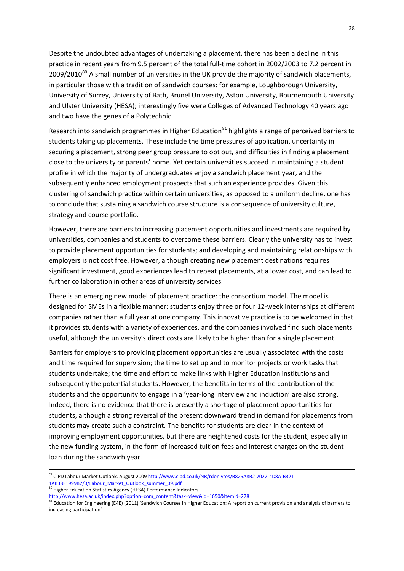Despite the undoubted advantages of undertaking a placement, there has been a decline in this practice in recent years from 9.5 percent of the total full-time cohort in 2002/2003 to 7.2 percent in 2009/2010<sup>[80](#page-44-0)</sup> A small number of universities in the UK provide the majority of sandwich placements, in particular those with a tradition of sandwich courses: for example, Loughborough University, University of Surrey, University of Bath, Brunel University, Aston University, Bournemouth University and Ulster University (HESA); interestingly five were Colleges of Advanced Technology 40 years ago and two have the genes of a Polytechnic.

Research into sandwich programmes in Higher Education<sup>[81](#page-44-1)</sup> highlights a range of perceived barriers to students taking up placements. These include the time pressures of application, uncertainty in securing a placement, strong peer group pressure to opt out, and difficulties in finding a placement close to the university or parents' home. Yet certain universities succeed in maintaining a student profile in which the majority of undergraduates enjoy a sandwich placement year, and the subsequently enhanced employment prospects that such an experience provides. Given this clustering of sandwich practice within certain universities, as opposed to a uniform decline, one has to conclude that sustaining a sandwich course structure is a consequence of university culture, strategy and course portfolio.

However, there are barriers to increasing placement opportunities and investments are required by universities, companies and students to overcome these barriers. Clearly the university has to invest to provide placement opportunities for students; and developing and maintaining relationships with employers is not cost free. However, although creating new placement destinations requires significant investment, good experiences lead to repeat placements, at a lower cost, and can lead to further collaboration in other areas of university services.

There is an emerging new model of placement practice: the consortium model. The model is designed for SMEs in a flexible manner: students enjoy three or four 12‐week internships at different companies rather than a full year at one company. This innovative practice is to be welcomed in that it provides students with a variety of experiences, and the companies involved find such placements useful, although the university's direct costs are likely to be higher than for a single placement.

Barriers for employers to providing placement opportunities are usually associated with the costs and time required for supervision; the time to set up and to monitor projects or work tasks that students undertake; the time and effort to make links with Higher Education institutions and subsequently the potential students. However, the benefits in terms of the contribution of the students and the opportunity to engage in a 'year‐long interview and induction' are also strong. Indeed, there is no evidence that there is presently a shortage of placement opportunities for students, although a strong reversal of the present downward trend in demand for placements from students may create such a constraint. The benefits for students are clear in the context of improving employment opportunities, but there are heightened costs for the student, especially in the new funding system, in the form of increased tuition fees and interest charges on the student loan during the sandwich year.

<span id="page-44-0"></span>80 Higher Education Statistics Agency (HESA) Performance Indicators

<sup>&</sup>lt;sup>79</sup> CIPD Labour Market Outlook, August 2009 [http://www.cipd.co.uk/NR/rdonlyres/B825A8B2](http://www.cipd.co.uk/NR/rdonlyres/B825A8B2-7022-4D8A-B321-1AB38F1999B2/0/Labour_Market_Outlook_summer_09.pdf)-7022-4D8A-B321-[1AB38F1999B2/0/Labour\\_Market\\_Outlook\\_summer\\_09.pdf](http://www.cipd.co.uk/NR/rdonlyres/B825A8B2-7022-4D8A-B321-1AB38F1999B2/0/Labour_Market_Outlook_summer_09.pdf)

<span id="page-44-1"></span>[http://www.hesa.ac.uk/index.php?option=com\\_content&task=view&id=1650&Itemid=278](http://www.hesa.ac.uk/index.php?option=com_content&task=view&id=1650&Itemid=278) [2011] At approvision and analysis of barriers to and analysis of barriers to current provision and analysis of barriers to increasing participation'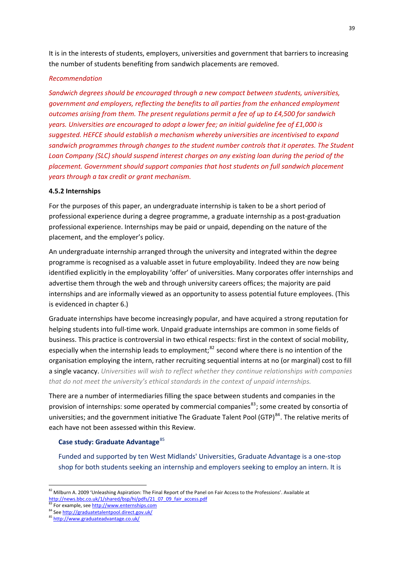It is in the interests of students, employers, universities and government that barriers to increasing the number of students benefiting from sandwich placements are removed.

## *Recommendation*

*Sandwich degrees should be encouraged through a new compact between students, universities, government and employers, reflecting the benefits to all parties from the enhanced employment outcomes arising from them. The present regulations permit a fee of up to £4,500 for sandwich years. Universities are encouraged to adopt a lower fee; an initial guideline fee of £1,000 is suggested. HEFCE should establish a mechanism whereby universities are incentivised to expand sandwich programmes through changes to the student number controls that it operates. The Student Loan Company (SLC) should suspend interest charges on any existing loan during the period of the placement. Government should support companies that host students on full sandwich placement years through a tax credit or grant mechanism.* 

## **4.5.2 Internships**

For the purposes of this paper, an undergraduate internship is taken to be a short period of professional experience during a degree programme, a graduate internship as a post‐graduation professional experience. Internships may be paid or unpaid, depending on the nature of the placement, and the employer's policy.

An undergraduate internship arranged through the university and integrated within the degree programme is recognised as a valuable asset in future employability. Indeed they are now being identified explicitly in the employability 'offer' of universities. Many corporates offer internships and advertise them through the web and through university careers offices; the majority are paid internships and are informally viewed as an opportunity to assess potential future employees. (This is evidenced in chapter 6.)

Graduate internships have become increasingly popular, and have acquired a strong reputation for helping students into full-time work. Unpaid graduate internships are common in some fields of business. This practice is controversial in two ethical respects: first in the context of social mobility, especially when the internship leads to employment; $^{82}$  $^{82}$  $^{82}$  second where there is no intention of the organisation employing the intern, rather recruiting sequential interns at no (or marginal) cost to fill a single vacancy. *Universities will wish to reflect whether they continue relationships with companies that do not meet the university's ethical standards in the context of unpaid internships.*

There are a number of intermediaries filling the space between students and companies in the provision of internships: some operated by commercial companies<sup>[83](#page-45-1)</sup>; some created by consortia of universities; and the government initiative The Graduate Talent Pool (GTP)<sup>[84](#page-45-2)</sup>. The relative merits of each have not been assessed within this Review.

## **Case study: Graduate Advantage**[85](#page-45-3)

Funded and supported by ten West Midlands' Universities, Graduate Advantage is a one‐stop shop for both students seeking an internship and employers seeking to employ an intern. It is

<span id="page-45-0"></span> $82$  Milburn A. 2009 'Unleashing Aspiration: The Final Report of the Panel on Fair Access to the Professions'. Available at http://news.bbc.co.uk/1/shared/bsp/hi/pdfs/21\_07\_09\_fair\_access.pdf<br><sup>83</sup> For exa[m](http://graduatetalentpool.direct.gov.uk/)ple, see http://www.enternships.com

<span id="page-45-2"></span><span id="page-45-1"></span><sup>84</sup> See <http://graduatetalentpool.direct.gov.uk/>

<span id="page-45-3"></span><sup>85</sup> <http://www.graduateadvantage.co.uk/>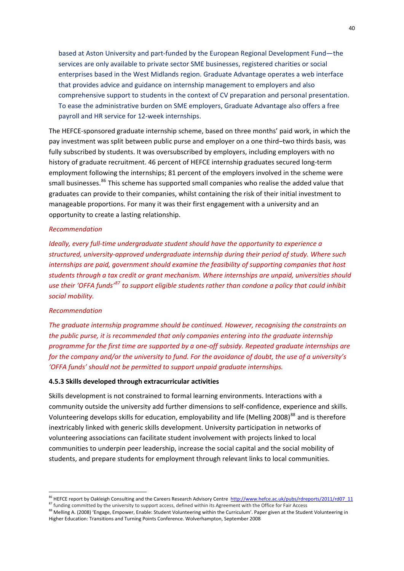based at Aston University and part‐funded by the European Regional Development Fund—the services are only available to private sector SME businesses, registered charities or social enterprises based in the West Midlands region. Graduate Advantage operates a web interface that provides advice and guidance on internship management to employers and also comprehensive support to students in the context of CV preparation and personal presentation. To ease the administrative burden on SME employers, Graduate Advantage also offers a free payroll and HR service for 12‐week internships.

The HEFCE‐sponsored graduate internship scheme, based on three months' paid work, in which the pay investment was split between public purse and employer on a one third–two thirds basis, was fully subscribed by students. It was oversubscribed by employers, including employers with no history of graduate recruitment. 46 percent of HEFCE internship graduates secured long‐term employment following the internships; 81 percent of the employers involved in the scheme were small businesses.<sup>[86](#page-46-0)</sup> This scheme has supported small companies who realise the added value that graduates can provide to their companies, whilst containing the risk of their initial investment to manageable proportions. For many it was their first engagement with a university and an opportunity to create a lasting relationship.

#### *Recommendation*

*Ideally, every full‐time undergraduate student should have the opportunity to experience a structured, university‐approved undergraduate internship during their period of study. Where such internships are paid, government should examine the feasibility of supporting companies that host students through a tax credit or grant mechanism. Where internships are unpaid, universities should use their 'OFFA funds'[87](#page-46-1) to support eligible students rather than condone a policy that could inhibit social mobility.*

## *Recommendation*

1

*The graduate internship programme should be continued. However, recognising the constraints on the public purse, it is recommended that only companies entering into the graduate internship programme for the first time are supported by a one‐off subsidy. Repeated graduate internships are* for the company and/or the university to fund. For the avoidance of doubt, the use of a university's *'OFFA funds' should not be permitted to support unpaid graduate internships.*

# **4.5.3 Skills developed through extracurricular activities**

Skills development is not constrained to formal learning environments. Interactions with a community outside the university add further dimensions to self‐confidence, experience and skills. Volunteering develops skills for education, employability and life (Melling 2008)<sup>[88](#page-46-2)</sup> and is therefore inextricably linked with generic skills development. University participation in networks of volunteering associations can facilitate student involvement with projects linked to local communities to underpin peer leadership, increase the social capital and the social mobility of students, and prepare students for employment through relevant links to local communities.

<sup>&</sup>lt;sup>86</sup> HEFCE report by Oakleigh Consulting and the Careers Research Advisory Centre http://www.hefce.ac.uk/pubs/rdreports/2011/rd07\_11<br><sup>87</sup> funding committed by the university to support access, defined within its Agreement

<span id="page-46-2"></span><span id="page-46-1"></span><span id="page-46-0"></span><sup>87</sup> furteer reporter, entirely exact the university to support access, defined within its Agreement with the Office for Fair Access<br><sup>88</sup> Melling A. (2008) 'Engage, Empower, Enable: Student Volunteering within the Curriculum Higher Education: Transitions and Turning Points Conference. Wolverhampton, September 2008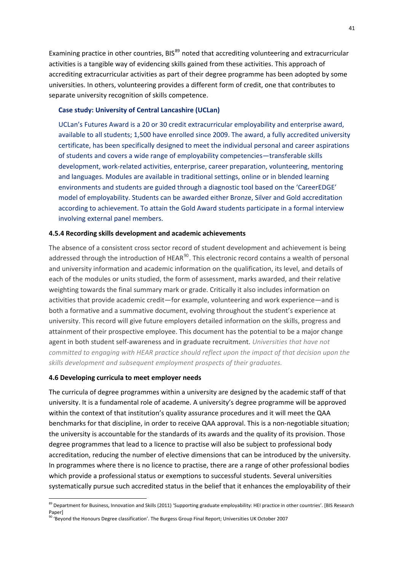Examining practice in other countries, BIS<sup>[89](#page-47-0)</sup> noted that accrediting volunteering and extracurricular activities is a tangible way of evidencing skills gained from these activities. This approach of accrediting extracurricular activities as part of their degree programme has been adopted by some universities. In others, volunteering provides a different form of credit, one that contributes to separate university recognition of skills competence.

## **Case study: University of Central Lancashire (UCLan)**

UCLan's Futures Award is a 20 or 30 credit extracurricular employability and enterprise award, available to all students; 1,500 have enrolled since 2009. The award, a fully accredited university certificate, has been specifically designed to meet the individual personal and career aspirations of students and covers a wide range of employability competencies—transferable skills development, work‐related activities, enterprise, career preparation, volunteering, mentoring and languages. Modules are available in traditional settings, online or in blended learning environments and students are guided through a diagnostic tool based on the 'CareerEDGE' model of employability. Students can be awarded either Bronze, Silver and Gold accreditation according to achievement. To attain the Gold Award students participate in a formal interview involving external panel members.

## **4.5.4 Recording skills development and academic achievements**

The absence of a consistent cross sector record of student development and achievement is being addressed through the introduction of HEAR<sup>[90](#page-47-1)</sup>. This electronic record contains a wealth of personal and university information and academic information on the qualification, its level, and details of each of the modules or units studied, the form of assessment, marks awarded, and their relative weighting towards the final summary mark or grade. Critically it also includes information on activities that provide academic credit—for example, volunteering and work experience—and is both a formative and a summative document, evolving throughout the student's experience at university. This record will give future employers detailed information on the skills, progress and attainment of their prospective employee. This document has the potential to be a major change agent in both student self‐awareness and in graduate recruitment. *Universities that have not committed to engaging with HEAR practice should reflect upon the impact of that decision upon the skills development and subsequent employment prospects of their graduates.*

### **4.6 Developing curricula to meet employer needs**

1

The curricula of degree programmes within a university are designed by the academic staff of that university. It is a fundamental role of academe. A university's degree programme will be approved within the context of that institution's quality assurance procedures and it will meet the QAA benchmarks for that discipline, in order to receive QAA approval. This is a non-negotiable situation; the university is accountable for the standards of its awards and the quality of its provision. Those degree programmes that lead to a licence to practise will also be subject to professional body accreditation, reducing the number of elective dimensions that can be introduced by the university. In programmes where there is no licence to practise, there are a range of other professional bodies which provide a professional status or exemptions to successful students. Several universities systematically pursue such accredited status in the belief that it enhances the employability of their

<span id="page-47-0"></span><sup>89</sup> Department for Business, Innovation and Skills (2011) 'Supporting graduate employability: HEI practice in other countries'. [BIS Research Paper]

<span id="page-47-1"></span><sup>90 &#</sup>x27;Beyond the Honours Degree classification'. The Burgess Group Final Report; Universities UK October 2007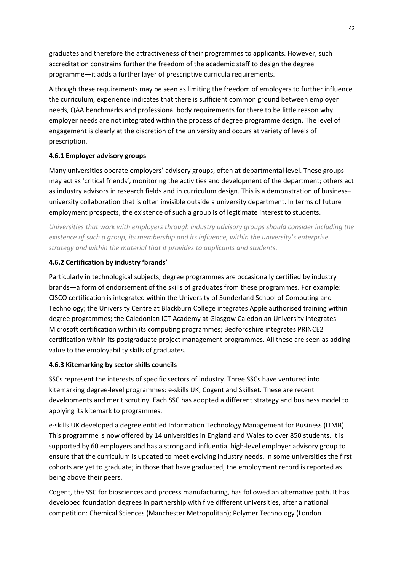graduates and therefore the attractiveness of their programmes to applicants. However, such accreditation constrains further the freedom of the academic staff to design the degree programme—it adds a further layer of prescriptive curricula requirements.

Although these requirements may be seen as limiting the freedom of employers to further influence the curriculum, experience indicates that there is sufficient common ground between employer needs, QAA benchmarks and professional body requirements for there to be little reason why employer needs are not integrated within the process of degree programme design. The level of engagement is clearly at the discretion of the university and occurs at variety of levels of prescription.

# **4.6.1 Employer advisory groups**

Many universities operate employers' advisory groups, often at departmental level. These groups may act as 'critical friends', monitoring the activities and development of the department; others act as industry advisors in research fields and in curriculum design. This is a demonstration of business– university collaboration that is often invisible outside a university department. In terms of future employment prospects, the existence of such a group is of legitimate interest to students.

*Universities that work with employers through industry advisory groups should consider including the existence of such a group, its membership and its influence, within the university's enterprise strategy and within the material that it provides to applicants and students.*

# **4.6.2 Certification by industry 'brands'**

Particularly in technological subjects, degree programmes are occasionally certified by industry brands—a form of endorsement of the skills of graduates from these programmes. For example: CISCO certification is integrated within the University of Sunderland School of Computing and Technology; the University Centre at Blackburn College integrates Apple authorised training within degree programmes; the Caledonian ICT Academy at Glasgow Caledonian University integrates Microsoft certification within its computing programmes; Bedfordshire integrates PRINCE2 certification within its postgraduate project management programmes. All these are seen as adding value to the employability skills of graduates.

## **4.6.3 Kitemarking by sector skills councils**

SSCs represent the interests of specific sectors of industry. Three SSCs have ventured into kitemarking degree‐level programmes: e‐skills UK, Cogent and Skillset. These are recent developments and merit scrutiny. Each SSC has adopted a different strategy and business model to applying its kitemark to programmes.

e‐skills UK developed a degree entitled Information Technology Management for Business (ITMB). This programme is now offered by 14 universities in England and Wales to over 850 students. It is supported by 60 employers and has a strong and influential high-level employer advisory group to ensure that the curriculum is updated to meet evolving industry needs. In some universities the first cohorts are yet to graduate; in those that have graduated, the employment record is reported as being above their peers.

Cogent, the SSC for biosciences and process manufacturing, has followed an alternative path. It has developed foundation degrees in partnership with five different universities, after a national competition: Chemical Sciences (Manchester Metropolitan); Polymer Technology (London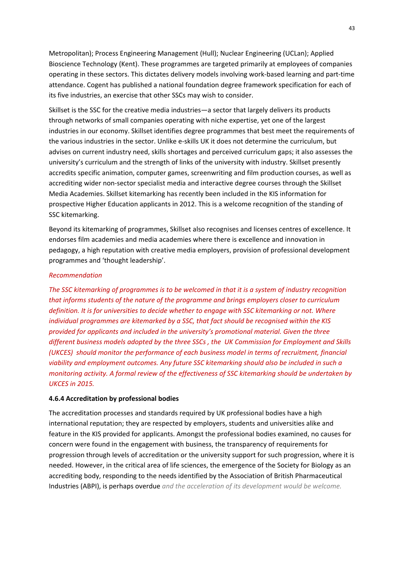Metropolitan); Process Engineering Management (Hull); Nuclear Engineering (UCLan); Applied Bioscience Technology (Kent). These programmes are targeted primarily at employees of companies operating in these sectors. This dictates delivery models involving work‐based learning and part‐time attendance. Cogent has published a national foundation degree framework specification for each of its five industries, an exercise that other SSCs may wish to consider.

Skillset is the SSC for the creative media industries—a sector that largely delivers its products through networks of small companies operating with niche expertise, yet one of the largest industries in our economy. Skillset identifies degree programmes that best meet the requirements of the various industries in the sector. Unlike e‐skills UK it does not determine the curriculum, but advises on current industry need, skills shortages and perceived curriculum gaps; it also assesses the university's curriculum and the strength of links of the university with industry. Skillset presently accredits specific animation, computer games, screenwriting and film production courses, as well as accrediting wider non‐sector specialist media and interactive degree courses through the Skillset Media Academies. Skillset kitemarking has recently been included in the KIS information for prospective Higher Education applicants in 2012. This is a welcome recognition of the standing of SSC kitemarking.

Beyond its kitemarking of programmes, Skillset also recognises and licenses centres of excellence. It endorses film academies and media academies where there is excellence and innovation in pedagogy, a high reputation with creative media employers, provision of professional development programmes and 'thought leadership'.

## *Recommendation*

*The SSC kitemarking of programmes is to be welcomed in that it is a system of industry recognition that informs students of the nature of the programme and brings employers closer to curriculum definition. It is for universities to decide whether to engage with SSC kitemarking or not. Where individual programmes are kitemarked by a SSC, that fact should be recognised within the KIS provided for applicants and included in the university's promotional material. Given the three different business models adopted by the three SSCs , the UK Commission for Employment and Skills (UKCES) should monitor the performance of each business model in terms of recruitment, financial viability and employment outcomes. Any future SSC kitemarking should also be included in such a monitoring activity. A formal review of the effectiveness of SSC kitemarking should be undertaken by UKCES in 2015.*

## **4.6.4 Accreditation by professional bodies**

The accreditation processes and standards required by UK professional bodies have a high international reputation; they are respected by employers, students and universities alike and feature in the KIS provided for applicants. Amongst the professional bodies examined, no causes for concern were found in the engagement with business, the transparency of requirements for progression through levels of accreditation or the university support for such progression, where it is needed. However, in the critical area of life sciences, the emergence of the Society for Biology as an accrediting body, responding to the needs identified by the Association of British Pharmaceutical Industries (ABPI), is perhaps overdue *and the acceleration of its development would be welcome.*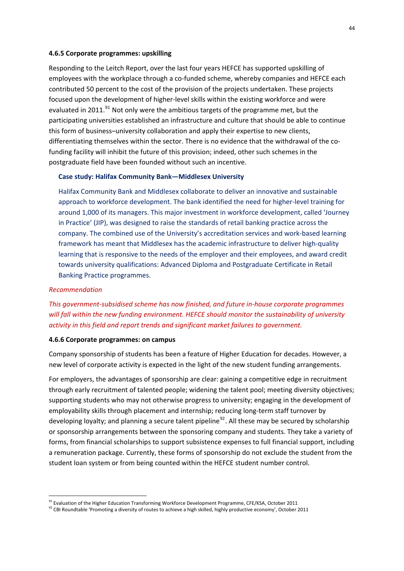#### **4.6.5 Corporate programmes: upskilling**

Responding to the Leitch Report, over the last four years HEFCE has supported upskilling of employees with the workplace through a co-funded scheme, whereby companies and HEFCE each contributed 50 percent to the cost of the provision of the projects undertaken. These projects focused upon the development of higher-level skills within the existing workforce and were evaluated in 2011. $91$  Not only were the ambitious targets of the programme met, but the participating universities established an infrastructure and culture that should be able to continue this form of business–university collaboration and apply their expertise to new clients, differentiating themselves within the sector. There is no evidence that the withdrawal of the cofunding facility will inhibit the future of this provision; indeed, other such schemes in the postgraduate field have been founded without such an incentive.

#### **Case study: Halifax Community Bank—Middlesex University**

Halifax Community Bank and Middlesex collaborate to deliver an innovative and sustainable approach to workforce development. The bank identified the need for higher‐level training for around 1,000 of its managers. This major investment in workforce development, called 'Journey in Practice' (JIP), was designed to raise the standards of retail banking practice across the company. The combined use of the University's accreditation services and work‐based learning framework has meant that Middlesex has the academic infrastructure to deliver high-quality learning that is responsive to the needs of the employer and their employees, and award credit towards university qualifications: Advanced Diploma and Postgraduate Certificate in Retail Banking Practice programmes.

## *Recommendation*

1

*This government‐subsidised scheme has now finished, and future in‐house corporate programmes will fall within the new funding environment. HEFCE should monitor the sustainability of university activity in this field and report trends and significant market failures to government.*

#### **4.6.6 Corporate programmes: on campus**

Company sponsorship of students has been a feature of Higher Education for decades. However, a new level of corporate activity is expected in the light of the new student funding arrangements.

For employers, the advantages of sponsorship are clear: gaining a competitive edge in recruitment through early recruitment of talented people; widening the talent pool; meeting diversity objectives; supporting students who may not otherwise progress to university; engaging in the development of employability skills through placement and internship; reducing long-term staff turnover by developing loyalty; and planning a secure talent pipeline<sup>[92](#page-50-1)</sup>. All these may be secured by scholarship or sponsorship arrangements between the sponsoring company and students. They take a variety of forms, from financial scholarships to support subsistence expenses to full financial support, including a remuneration package. Currently, these forms of sponsorship do not exclude the student from the student loan system or from being counted within the HEFCE student number control.

<span id="page-50-0"></span><sup>&</sup>lt;sup>91</sup> Evaluation of the Higher Education Transforming Workforce Development Programme, CFE/KSA, October 2011

<span id="page-50-1"></span><sup>92</sup> CBI Roundtable 'Promoting a diversity of routes to achieve a high skilled, highly productive economy', October 2011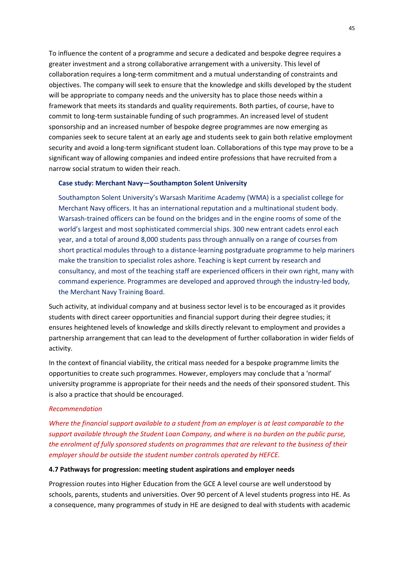To influence the content of a programme and secure a dedicated and bespoke degree requires a greater investment and a strong collaborative arrangement with a university. This level of collaboration requires a long‐term commitment and a mutual understanding of constraints and objectives. The company will seek to ensure that the knowledge and skills developed by the student will be appropriate to company needs and the university has to place those needs within a framework that meets its standards and quality requirements. Both parties, of course, have to commit to long‐term sustainable funding of such programmes. An increased level of student sponsorship and an increased number of bespoke degree programmes are now emerging as companies seek to secure talent at an early age and students seek to gain both relative employment security and avoid a long-term significant student loan. Collaborations of this type may prove to be a significant way of allowing companies and indeed entire professions that have recruited from a narrow social stratum to widen their reach.

### **Case study: Merchant Navy—Southampton Solent University**

Southampton Solent University's Warsash Maritime Academy (WMA) is a specialist college for Merchant Navy officers. It has an international reputation and a multinational student body. Warsash-trained officers can be found on the bridges and in the engine rooms of some of the world's largest and most sophisticated commercial ships. 300 new entrant cadets enrol each year, and a total of around 8,000 students pass through annually on a range of courses from short practical modules through to a distance‐learning postgraduate programme to help mariners make the transition to specialist roles ashore. Teaching is kept current by research and consultancy, and most of the teaching staff are experienced officers in their own right, many with command experience. Programmes are developed and approved through the industry‐led body, the Merchant Navy Training Board.

Such activity, at individual company and at business sector level is to be encouraged as it provides students with direct career opportunities and financial support during their degree studies; it ensures heightened levels of knowledge and skills directly relevant to employment and provides a partnership arrangement that can lead to the development of further collaboration in wider fields of activity.

In the context of financial viability, the critical mass needed for a bespoke programme limits the opportunities to create such programmes. However, employers may conclude that a 'normal' university programme is appropriate for their needs and the needs of their sponsored student. This is also a practice that should be encouraged.

#### *Recommendation*

*Where the financial support available to a student from an employer is at least comparable to the support available through the Student Loan Company, and where is no burden on the public purse, the enrolment of fully sponsored students on programmes that are relevant to the business of their employer should be outside the student number controls operated by HEFCE.*

#### **4.7 Pathways for progression: meeting student aspirations and employer needs**

Progression routes into Higher Education from the GCE A level course are well understood by schools, parents, students and universities. Over 90 percent of A level students progress into HE. As a consequence, many programmes of study in HE are designed to deal with students with academic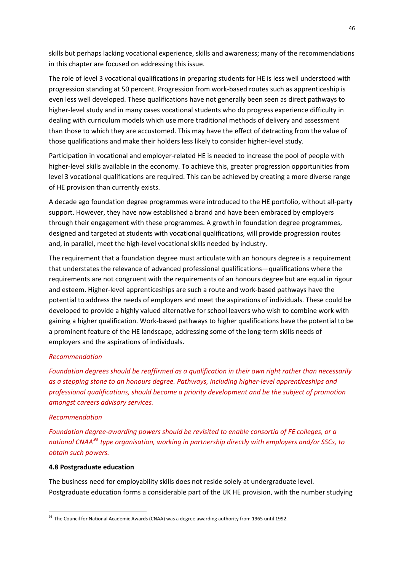skills but perhaps lacking vocational experience, skills and awareness; many of the recommendations in this chapter are focused on addressing this issue.

The role of level 3 vocational qualifications in preparing students for HE is less well understood with progression standing at 50 percent. Progression from work‐based routes such as apprenticeship is even less well developed. These qualifications have not generally been seen as direct pathways to higher-level study and in many cases vocational students who do progress experience difficulty in dealing with curriculum models which use more traditional methods of delivery and assessment than those to which they are accustomed. This may have the effect of detracting from the value of those qualifications and make their holders less likely to consider higher‐level study.

Participation in vocational and employer‐related HE is needed to increase the pool of people with higher-level skills available in the economy. To achieve this, greater progression opportunities from level 3 vocational qualifications are required. This can be achieved by creating a more diverse range of HE provision than currently exists.

A decade ago foundation degree programmes were introduced to the HE portfolio, without all‐party support. However, they have now established a brand and have been embraced by employers through their engagement with these programmes. A growth in foundation degree programmes, designed and targeted at students with vocational qualifications, will provide progression routes and, in parallel, meet the high‐level vocational skills needed by industry.

The requirement that a foundation degree must articulate with an honours degree is a requirement that understates the relevance of advanced professional qualifications—qualifications where the requirements are not congruent with the requirements of an honours degree but are equal in rigour and esteem. Higher‐level apprenticeships are such a route and work‐based pathways have the potential to address the needs of employers and meet the aspirations of individuals. These could be developed to provide a highly valued alternative for school leavers who wish to combine work with gaining a higher qualification. Work‐based pathways to higher qualifications have the potential to be a prominent feature of the HE landscape, addressing some of the long-term skills needs of employers and the aspirations of individuals.

## *Recommendation*

*Foundation degrees should be reaffirmed as a qualification in their own right rather than necessarily as a stepping stone to an honours degree. Pathways, including higher‐level apprenticeships and professional qualifications, should become a priority development and be the subject of promotion amongst careers advisory services.*

#### *Recommendation*

1

*Foundation degree‐awarding powers should be revisited to enable consortia of FE colleges, or a national CNAA[93](#page-52-0) type organisation, working in partnership directly with employers and/or SSCs, to obtain such powers.*

### **4.8 Postgraduate education**

The business need for employability skills does not reside solely at undergraduate level. Postgraduate education forms a considerable part of the UK HE provision, with the number studying

<span id="page-52-0"></span><sup>&</sup>lt;sup>93</sup> The Council for National Academic Awards (CNAA) was a degree awarding authority from 1965 until 1992.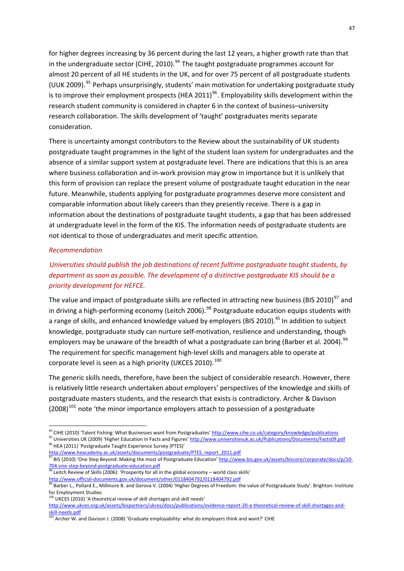for higher degrees increasing by 36 percent during the last 12 years, a higher growth rate than that in the undergraduate sector (CIHE, 2010).<sup>[94](#page-53-0)</sup> The taught postgraduate programmes account for almost 20 percent of all HE students in the UK, and for over 75 percent of all postgraduate students (UUK 2009).<sup>[95](#page-53-1)</sup> Perhaps unsurprisingly, students' main motivation for undertaking postgraduate study is to improve their employment prospects (HEA 2011)<sup>[96](#page-53-2)</sup>. Employability skills development within the research student community is considered in chapter 6 in the context of business–university research collaboration. The skills development of 'taught' postgraduates merits separate consideration.

There is uncertainty amongst contributors to the Review about the sustainability of UK students postgraduate taught programmes in the light of the student loan system for undergraduates and the absence of a similar support system at postgraduate level. There are indications that this is an area where business collaboration and in-work provision may grow in importance but it is unlikely that this form of provision can replace the present volume of postgraduate taught education in the near future. Meanwhile, students applying for postgraduate programmes deserve more consistent and comparable information about likely careers than they presently receive. There is a gap in information about the destinations of postgraduate taught students, a gap that has been addressed at undergraduate level in the form of the KIS. The information needs of postgraduate students are not identical to those of undergraduates and merit specific attention.

## *Recommendation*

1

# *Universities should publish the job destinations of recent fulltime postgraduate taught students, by department as soon as possible. The development of a distinctive postgraduate KIS should be a priority development for HEFCE.*

The value and impact of postgraduate skills are reflected in attracting new business (BIS 2010)<sup>[97](#page-53-3)</sup> and in driving a high-performing economy (Leitch 2006).<sup>[98](#page-53-4)</sup> Postgraduate education equips students with a range of skills, and enhanced knowledge valued by employers (BIS 2010).<sup>45</sup> In addition to subject knowledge, postgraduate study can nurture self-motivation, resilience and understanding, though employers may be unaware of the breadth of what a postgraduate can bring (Barber et al. 2004).<sup>[99](#page-53-5)</sup> The requirement for specific management high‐level skills and managers able to operate at corporate level is seen as a high priority (UKCES 2010).<sup>[100](#page-53-6)</sup>

The generic skills needs, therefore, have been the subject of considerable research. However, there is relatively little research undertaken about employers' perspectives of the knowledge and skills of postgraduate masters students, and the research that exists is contradictory. Archer & Davison  $(2008)^{101}$  $(2008)^{101}$  $(2008)^{101}$  note 'the minor importance employers attach to possession of a postgraduate

<sup>&</sup>lt;sup>94</sup> CIHE (2010) 'Talent Fishing: What Businesses want from Postgraduates' http://www.cihe.co.uk/category/knowledge/publications

<span id="page-53-1"></span><span id="page-53-0"></span><sup>95</sup> Universities UK (2009) 'Higher Education in Facts and Figures' <http://www.universitiesuk.ac.uk/Publications/Documents/Facts09.pdf> <sup>96</sup> HEA (2011) 'Postgraduate Taught Experience Survey (PTES)'

<span id="page-53-2"></span>[http://www.heacademy.ac.uk/assets/documents/postgraduate/PTES\\_report\\_2011.pdf](http://www.heacademy.ac.uk/assets/documents/postgraduate/PTES_report_2011.pdf)<br><sup>97</sup> PIS (2010) (One Star Bis 40) <sup>'</sup> BIS (2010) 'One Step Beyond: Making the most [of](http://www.bis.gov.uk/assets/biscore/corporate/docs/p/10-704-one-step-beyond-postgraduate-education.pdf) Postgraduate Education' [http://www.bis.gov.uk/assets/biscore/corporate/docs/p/10](http://www.bis.gov.uk/assets/biscore/corporate/docs/p/10-704-one-step-beyond-postgraduate-education.pdf)-

<span id="page-53-3"></span><sup>704‐</sup>one‐step‐beyond‐postgraduate‐[education.pdf](http://www.bis.gov.uk/assets/biscore/corporate/docs/p/10-704-one-step-beyond-postgraduate-education.pdf)

<span id="page-53-4"></span><sup>98</sup> Leitch Review of Skills (2006): 'Prosperity for all in the global economy – world class s[k](http://www.official-documents.gov.uk/document/other/0118404792/0118404792.pdf)ills' http://www.official-[documents.gov.uk/document/other/0118404792/0118404792.pdf](http://www.official-documents.gov.uk/document/other/0118404792/0118404792.pdf)<br><sup>99</sup> Parker - A. "

<span id="page-53-5"></span><sup>99</sup> Barber L., Pollard E., Millmore B. and Gerova V. (2004) 'Higher Degrees of Freedom: the value of Postgraduate Study'. Brighton: Institute for Employment Studies

<span id="page-53-6"></span> $100$  UKCES (2010) 'A theoretical review of skill shortages and skill needs' [http://www.ukces.org.uk/assets/bispartners/ukces/docs/publications/evidence](http://www.ukces.org.uk/assets/bispartners/ukces/docs/publications/evidence-report-20-a-theoretical-review-of-skill-shortages-and-skill-needs.pdf)-report-20-a-theoretical-review-of-skill-shortages-andskill‐[needs.pdf](http://www.ukces.org.uk/assets/bispartners/ukces/docs/publications/evidence-report-20-a-theoretical-review-of-skill-shortages-and-skill-needs.pdf)

<span id="page-53-7"></span> $101$  Archer W. and Davison J. (2008) 'Graduate employability: what do employers think and want?' CIHE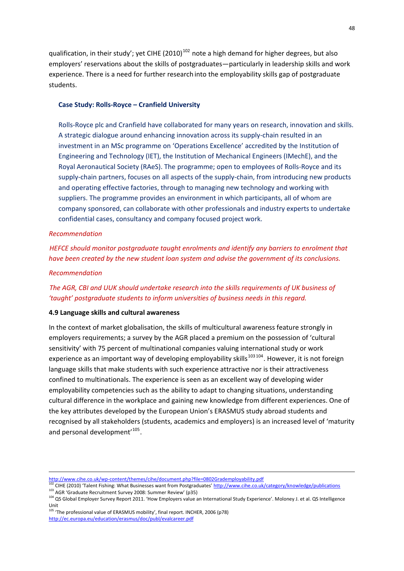qualification, in their study'; yet CIHE (2010)<sup>[102](#page-54-0)</sup> note a high demand for higher degrees, but also employers' reservations about the skills of postgraduates—particularly in leadership skills and work experience. There is a need for further research into the employability skills gap of postgraduate students.

#### **Case Study: Rolls‐Royce – Cranfield University**

Rolls‐Royce plc and Cranfield have collaborated for many years on research, innovation and skills. A strategic dialogue around enhancing innovation across its supply‐chain resulted in an investment in an MSc programme on 'Operations Excellence' accredited by the Institution of Engineering and Technology (IET), the Institution of Mechanical Engineers (IMechE), and the Royal Aeronautical Society (RAeS). The programme; open to employees of Rolls‐Royce and its supply-chain partners, focuses on all aspects of the supply-chain, from introducing new products and operating effective factories, through to managing new technology and working with suppliers. The programme provides an environment in which participants, all of whom are company sponsored, can collaborate with other professionals and industry experts to undertake confidential cases, consultancy and company focused project work.

#### *Recommendation*

*HEFCE should monitor postgraduate taught enrolments and identify any barriers to enrolment that have been created by the new student loan system and advise the government of its conclusions.*

#### *Recommendation*

<u>.</u>

# *The AGR, CBI and UUK should undertake research into the skills requirements of UK business of 'taught' postgraduate students to inform universities of business needs in this regard.*

#### **4.9 Language skills and cultural awareness**

In the context of market globalisation, the skills of multicultural awareness feature strongly in employers requirements; a survey by the AGR placed a premium on the possession of 'cultural sensitivity' with 75 percent of multinational companies valuing international study or work experience as an important way of developing employability skills<sup>[103 104](#page-54-1)</sup>. However, it is not foreign language skills that make students with such experience attractive nor is their attractiveness confined to multinationals. The experience is seen as an excellent way of developing wider employability competencies such as the ability to adapt to changing situations, understanding cultural difference in the workplace and gaining new knowledge from different experiences. One of the key attributes developed by the European Union's ERASMUS study abroad students and recognised by all stakeholders (students, academics and employers) is an increased level of 'maturity and personal development<sup>'[105](#page-54-2)</sup>.

<sup>105</sup> 'The professional value of ERASMUS mobility', final report. INCHER, 2006 (p78) http://ec.europa.eu/education/erasmus/doc/publ/evalcareer.pdf

[http://www.cihe.co.uk/wp](http://www.cihe.co.uk/wp-)‐content/themes/cihe/document.php?file=0802Grademployability.pdf

<sup>&</sup>lt;sup>2</sup> CIHE (2010) 'Talent Fishing: What Businesses want from Postgraduates' http://www.cihe.co.uk/category/knowledge/publications

<span id="page-54-1"></span><span id="page-54-0"></span><sup>103</sup> AGR 'Graduate Recruitment Survey 2008: Summer Review' (p35)

<span id="page-54-2"></span><sup>&</sup>lt;sup>104</sup> QS Global Employer Survey Report 2011. 'How Employers value an International Study Experience'. Moloney J. et al. QS Intelligence Unit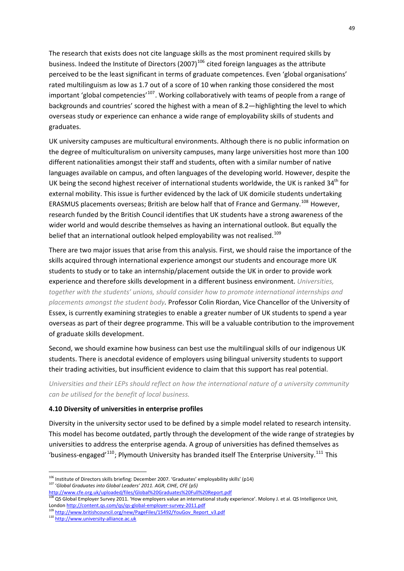The research that exists does not cite language skills as the most prominent required skills by business. Indeed the Institute of Directors (2007)<sup>[106](#page-55-0)</sup> cited foreign languages as the attribute perceived to be the least significant in terms of graduate competences. Even 'global organisations' rated multilinguism as low as 1.7 out of a score of 10 when ranking those considered the most important 'global competencies'<sup>[107](#page-55-1)</sup>. Working collaboratively with teams of people from a range of backgrounds and countries' scored the highest with a mean of 8.2—highlighting the level to which overseas study or experience can enhance a wide range of employability skills of students and graduates.

UK university campuses are multicultural environments. Although there is no public information on the degree of multiculturalism on university campuses, many large universities host more than 100 different nationalities amongst their staff and students, often with a similar number of native languages available on campus, and often languages of the developing world. However, despite the UK being the second highest receiver of international students worldwide, the UK is ranked 34<sup>th</sup> for external mobility. This issue is further evidenced by the lack of UK domicile students undertaking ERASMUS placements overseas; British are below half that of France and Germany.<sup>[108](#page-55-2)</sup> However, research funded by the British Council identifies that UK students have a strong awareness of the wider world and would describe themselves as having an international outlook. But equally the belief that an international outlook helped employability was not realised.<sup>[109](#page-55-3)</sup>

There are two major issues that arise from this analysis. First, we should raise the importance of the skills acquired through international experience amongst our students and encourage more UK students to study or to take an internship/placement outside the UK in order to provide work experience and therefore skills development in a different business environment. *Universities, together with the students' unions, should consider how to promote international internships and placements amongst the student body.* Professor Colin Riordan, Vice Chancellor of the University of Essex, is currently examining strategies to enable a greater number of UK students to spend a year overseas as part of their degree programme. This will be a valuable contribution to the improvement of graduate skills development.

Second, we should examine how business can best use the multilingual skills of our indigenous UK students. There is anecdotal evidence of employers using bilingual university students to support their trading activities, but insufficient evidence to claim that this support has real potential.

*Universities and their LEPs should reflect on how the international nature of a university community can be utilised for the benefit of local business.*

### **4.10 Diversity of universities in enterprise profiles**

Diversity in the university sector used to be defined by a simple model related to research intensity. This model has become outdated, partly through the development of the wide range of strategies by universities to address the enterprise agenda. A group of universities has defined themselves as 'business-engaged'<sup>[110](#page-55-4)</sup>; Plymouth University has branded itself The Enterprise University.<sup>[111](#page-55-4)</sup> This

<u>.</u>

<span id="page-55-0"></span> $106$  Institute of Directors skills briefing: December 2007. 'Graduates' employability skills' (p14) <sup>107</sup> '*Global Graduates into Global Leaders' 2011. AGR, CIHE, CFE (p5)*

<span id="page-55-1"></span>http://www.cfe.org.uk/uploaded/files/Global%20Graduates%20Full%20Report.pdf

<span id="page-55-2"></span><sup>108</sup> QS Global Employer Survey 2011. 'How employers value an international study experience'. Molony J. et al. QS Intelligence Unit, London http://content.qs.com/qs/qs-global-employer-survey-2011.pdf<br><sup>109</sup> kttp://content.gs.com/qs/qs-global-employer-survey-2011.pdf

<sup>&</sup>lt;sup>2</sup> [http://www.britishcouncil.org/new/PageFiles/15492/YouGov\\_Report\\_v3.pdf](http://www.britishcouncil.org/new/PageFiles/15492/YouGov_Report_v3.pdf)

<span id="page-55-4"></span><span id="page-55-3"></span><sup>110</sup> http://www.university-alliance.ac.uk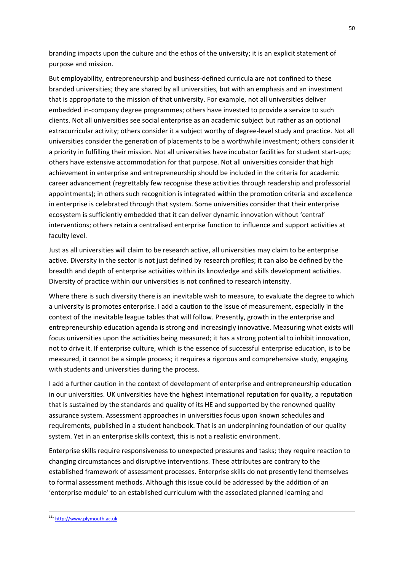branding impacts upon the culture and the ethos of the university; it is an explicit statement of purpose and mission.

But employability, entrepreneurship and business‐defined curricula are not confined to these branded universities; they are shared by all universities, but with an emphasis and an investment that is appropriate to the mission of that university. For example, not all universities deliver embedded in‐company degree programmes; others have invested to provide a service to such clients. Not all universities see social enterprise as an academic subject but rather as an optional extracurricular activity; others consider it a subject worthy of degree‐level study and practice. Not all universities consider the generation of placements to be a worthwhile investment; others consider it a priority in fulfilling their mission. Not all universities have incubator facilities for student start‐ups; others have extensive accommodation for that purpose. Not all universities consider that high achievement in enterprise and entrepreneurship should be included in the criteria for academic career advancement (regrettably few recognise these activities through readership and professorial appointments); in others such recognition is integrated within the promotion criteria and excellence in enterprise is celebrated through that system. Some universities consider that their enterprise ecosystem is sufficiently embedded that it can deliver dynamic innovation without 'central' interventions; others retain a centralised enterprise function to influence and support activities at faculty level.

Just as all universities will claim to be research active, all universities may claim to be enterprise active. Diversity in the sector is not just defined by research profiles; it can also be defined by the breadth and depth of enterprise activities within its knowledge and skills development activities. Diversity of practice within our universities is not confined to research intensity.

Where there is such diversity there is an inevitable wish to measure, to evaluate the degree to which a university is promotes enterprise. I add a caution to the issue of measurement, especially in the context of the inevitable league tables that will follow. Presently, growth in the enterprise and entrepreneurship education agenda is strong and increasingly innovative. Measuring what exists will focus universities upon the activities being measured; it has a strong potential to inhibit innovation, not to drive it. If enterprise culture, which is the essence of successful enterprise education, is to be measured, it cannot be a simple process; it requires a rigorous and comprehensive study, engaging with students and universities during the process.

I add a further caution in the context of development of enterprise and entrepreneurship education in our universities. UK universities have the highest international reputation for quality, a reputation that is sustained by the standards and quality of its HE and supported by the renowned quality assurance system. Assessment approaches in universities focus upon known schedules and requirements, published in a student handbook. That is an underpinning foundation of our quality system. Yet in an enterprise skills context, this is not a realistic environment.

Enterprise skills require responsiveness to unexpected pressures and tasks; they require reaction to changing circumstances and disruptive interventions. These attributes are contrary to the established framework of assessment processes. Enterprise skills do not presently lend themselves to formal assessment methods. Although this issue could be addressed by the addition of an 'enterprise module' to an established curriculum with the associated planned learning and

<sup>111</sup> http://www.plymouth.ac.uk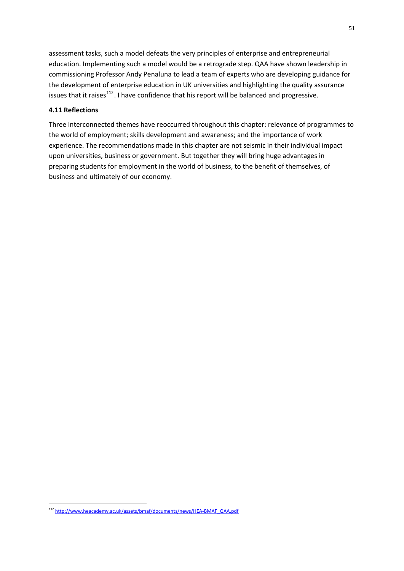assessment tasks, such a model defeats the very principles of enterprise and entrepreneurial education. Implementing such a model would be a retrograde step. QAA have shown leadership in commissioning Professor Andy Penaluna to lead a team of experts who are developing guidance for the development of enterprise education in UK universities and highlighting the quality assurance issues that it raises<sup>[112](#page-57-0)</sup>. I have confidence that his report will be balanced and progressive.

## **4.11 Reflections**

Three interconnected themes have reoccurred throughout this chapter: relevance of programmes to the world of employment; skills development and awareness; and the importance of work experience. The recommendations made in this chapter are not seismic in their individual impact upon universities, business or government. But together they will bring huge advantages in preparing students for employment in the world of business, to the benefit of themselves, of business and ultimately of our economy.

<span id="page-57-0"></span><sup>112</sup> [http://www.heacademy.ac.uk/assets/bmaf/documents/news/HEA](http://www.heacademy.ac.uk/assets/bmaf/documents/news/HEA-BMAF_QAA.pdf)-BMAF\_QAA.pdf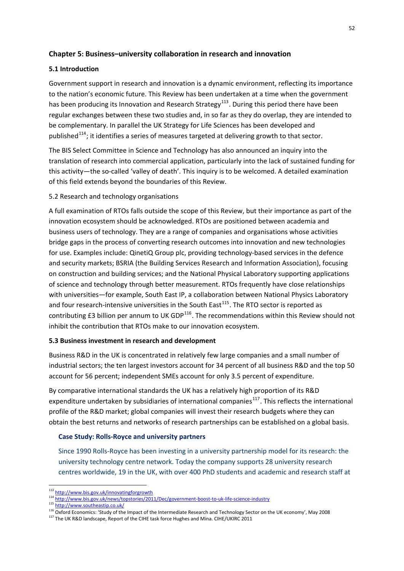# **Chapter 5: Business–university collaboration in research and innovation**

# **5.1 Introduction**

Government support in research and innovation is a dynamic environment, reflecting its importance to the nation's economic future. This Review has been undertaken at a time when the government has been producing its Innovation and Research Strategy<sup>[113](#page-58-0)</sup>. During this period there have been regular exchanges between these two studies and, in so far as they do overlap, they are intended to be complementary. In parallel the UK Strategy for Life Sciences has been developed and published<sup>[114](#page-58-1)</sup>; it identifies a series of measures targeted at delivering growth to that sector.

The BIS Select Committee in Science and Technology has also announced an inquiry into the translation of research into commercial application, particularly into the lack of sustained funding for this activity—the so-called 'valley of death'. This inquiry is to be welcomed. A detailed examination of this field extends beyond the boundaries of this Review.

# 5.2 Research and technology organisations

A full examination of RTOs falls outside the scope of this Review, but their importance as part of the innovation ecosystem should be acknowledged. RTOs are positioned between academia and business users of technology. They are a range of companies and organisations whose activities bridge gaps in the process of converting research outcomes into innovation and new technologies for use. Examples include: QinetiQ Group plc, providing technology-based services in the defence and security markets; BSRIA (the Building Services Research and Information Association), focusing on construction and building services; and the National Physical Laboratory supporting applications of science and technology through better measurement. RTOs frequently have close relationships with universities—for example, South East IP, a collaboration between National Physics Laboratory and four research-intensive universities in the South East<sup>[115](#page-58-2)</sup>. The RTO sector is reported as contributing £3 billion per annum to UK GDP<sup>[116](#page-58-3)</sup>. The recommendations within this Review should not inhibit the contribution that RTOs make to our innovation ecosystem.

# **5.3 Business investment in research and development**

Business R&D in the UK is concentrated in relatively few large companies and a small number of industrial sectors; the ten largest investors account for 34 percent of all business R&D and the top 50 account for 56 percent; independent SMEs account for only 3.5 percent of expenditure.

By comparative international standards the UK has a relatively high proportion of its R&D expenditure undertaken by subsidiaries of international companies<sup>[117](#page-58-4)</sup>. This reflects the international profile of the R&D market; global companies will invest their research budgets where they can obtain the best returns and networks of research partnerships can be established on a global basis.

# **Case Study: Rolls‐Royce and university partners**

Since 1990 Rolls‐Royce has been investing in a university partnership model for its research: the university technology centre network. Today the company supports 28 university research centres worldwide, 19 in the UK, with over 400 PhD students and academic and research staff at

<sup>1</sup> <sup>113</sup> <http://www.bis.gov.uk/innovatingforgrowth>

<span id="page-58-1"></span><span id="page-58-0"></span><sup>114</sup> [http://www.bis.gov.uk/news/topstories/2011/Dec/government](http://www.bis.gov.uk/news/topstories/2011/Dec/government-boost-to-uk-life-science-industry)-boost-to-uk-life-science-industr[y](http://www.bis.gov.uk/news/topstories/2011/Dec/government-boost-to-uk-life-science-industry)<br>115 http://www<u>.southeastip.co.uk/</u>

<span id="page-58-3"></span><span id="page-58-2"></span><sup>116</sup> Oxford Economics: 'Study of the Impact of the Intermediate Research and Technology Sector on the UK economy', May 2008

<span id="page-58-4"></span> $117$  The UK R&D landscape, Report of the CIHE task force Hughes and Mina. CIHE/UKIRC 2011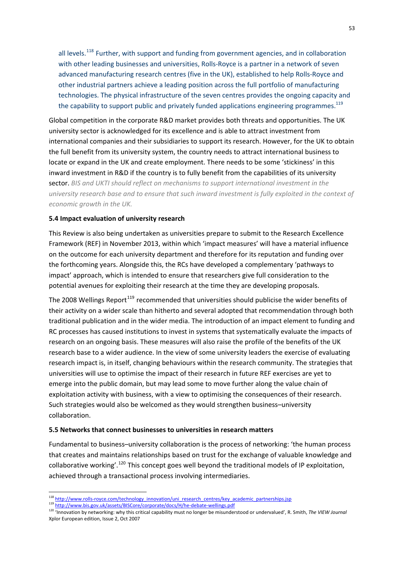all levels.<sup>[118](#page-59-0)</sup> Further, with support and funding from government agencies, and in collaboration with other leading businesses and universities, Rolls‐Royce is a partner in a network of seven advanced manufacturing research centres (five in the UK), established to help Rolls‐Royce and other industrial partners achieve a leading position across the full portfolio of manufacturing technologies. The physical infrastructure of the seven centres provides the ongoing capacity and the capability to support public and privately funded applications engineering programmes.<sup>119</sup>

Global competition in the corporate R&D market provides both threats and opportunities. The UK university sector is acknowledged for its excellence and is able to attract investment from international companies and their subsidiaries to support its research. However, for the UK to obtain the full benefit from its university system, the country needs to attract international business to locate or expand in the UK and create employment. There needs to be some 'stickiness' in this inward investment in R&D if the country is to fully benefit from the capabilities of its university sector. *BIS and UKTI should reflect on mechanisms to support international investment in the university research base and to ensure that such inward investment is fully exploited in the context of economic growth in the UK.* 

## **5.4 Impact evaluation of university research**

This Review is also being undertaken as universities prepare to submit to the Research Excellence Framework (REF) in November 2013, within which 'impact measures' will have a material influence on the outcome for each university department and therefore for its reputation and funding over the forthcoming years. Alongside this, the RCs have developed a complementary 'pathways to impact' approach, which is intended to ensure that researchers give full consideration to the potential avenues for exploiting their research at the time they are developing proposals.

The 2008 Wellings Report<sup>[119](#page-59-1)</sup> recommended that universities should publicise the wider benefits of their activity on a wider scale than hitherto and several adopted that recommendation through both traditional publication and in the wider media. The introduction of an impact element to funding and RC processes has caused institutions to invest in systems that systematically evaluate the impacts of research on an ongoing basis. These measures will also raise the profile of the benefits of the UK research base to a wider audience. In the view of some university leaders the exercise of evaluating research impact is, in itself, changing behaviours within the research community. The strategies that universities will use to optimise the impact of their research in future REF exercises are yet to emerge into the public domain, but may lead some to move further along the value chain of exploitation activity with business, with a view to optimising the consequences of their research. Such strategies would also be welcomed as they would strengthen business–university collaboration.

### **5.5 Networks that connect businesses to universities in research matters**

Fundamental to business–university collaboration is the process of networking: 'the human process that creates and maintains relationships based on trust for the exchange of valuable knowledge and collaborative working'.<sup>[120](#page-59-2)</sup> This concept goes well beyond the traditional models of IP exploitation, achieved through a transactional process involving intermediaries.

<sup>&</sup>lt;sup>118</sup> http://www.rolls-[royce.com/technology\\_innovation/uni\\_research\\_centres/key\\_academic\\_partnerships.jsp](http://www.rolls-royce.com/technology_innovation/uni_research_centres/key_academic_partnerships.jsp)<br><sup>119</sup> [http://www.bis.gov.uk/assets/BISCore/corporate/docs/H/he](http://www.bis.gov.uk/assets/BISCore/corporate/docs/H/he-debate-wellings.pdf)-debate-wellings.pdf

<span id="page-59-2"></span><span id="page-59-1"></span><span id="page-59-0"></span><sup>119</sup> http://www.bis.gov.uk/assets/BISCore/corporate/docs/H/he-debate-wellings.pdf<br><sup>120</sup> 'Innovation by networking: why this critical capability must no longer be misunderstood or undervalued', R. Smith, *The VIEW Journal* Xplor European edition, Issue 2, Oct 2007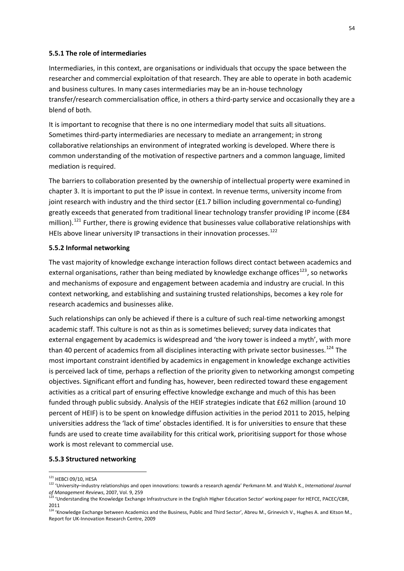#### **5.5.1 The role of intermediaries**

Intermediaries, in this context, are organisations or individuals that occupy the space between the researcher and commercial exploitation of that research. They are able to operate in both academic and business cultures. In many cases intermediaries may be an in‐house technology transfer/research commercialisation office, in others a third‐party service and occasionally they are a blend of both.

It is important to recognise that there is no one intermediary model that suits all situations. Sometimes third‐party intermediaries are necessary to mediate an arrangement; in strong collaborative relationships an environment of integrated working is developed. Where there is common understanding of the motivation of respective partners and a common language, limited mediation is required.

The barriers to collaboration presented by the ownership of intellectual property were examined in chapter 3. It is important to put the IP issue in context. In revenue terms, university income from joint research with industry and the third sector (£1.7 billion including governmental co-funding) greatly exceeds that generated from traditional linear technology transfer providing IP income (£84 million).<sup>[121](#page-60-0)</sup> Further, there is growing evidence that businesses value collaborative relationships with HEIs above linear university IP transactions in their innovation processes.<sup>[122](#page-60-1)</sup>

#### **5.5.2 Informal networking**

The vast majority of knowledge exchange interaction follows direct contact between academics and external organisations, rather than being mediated by knowledge exchange offices<sup>[123](#page-60-2)</sup>, so networks and mechanisms of exposure and engagement between academia and industry are crucial. In this context networking, and establishing and sustaining trusted relationships, becomes a key role for research academics and businesses alike.

Such relationships can only be achieved if there is a culture of such real‐time networking amongst academic staff. This culture is not as thin as is sometimes believed; survey data indicates that external engagement by academics is widespread and 'the ivory tower is indeed a myth', with more than 40 percent of academics from all disciplines interacting with private sector businesses.<sup>[124](#page-60-3)</sup> The most important constraint identified by academics in engagement in knowledge exchange activities is perceived lack of time, perhaps a reflection of the priority given to networking amongst competing objectives. Significant effort and funding has, however, been redirected toward these engagement activities as a critical part of ensuring effective knowledge exchange and much of this has been funded through public subsidy. Analysis of the HEIF strategies indicate that £62 million (around 10 percent of HEIF) is to be spent on knowledge diffusion activities in the period 2011 to 2015, helping universities address the 'lack of time' obstacles identified. It is for universities to ensure that these funds are used to create time availability for this critical work, prioritising support for those whose work is most relevant to commercial use.

#### **5.5.3 Structured networking**

<u>.</u>

<sup>&</sup>lt;sup>121</sup> HEBCI 09/10, HESA

<span id="page-60-1"></span><span id="page-60-0"></span><sup>122</sup> 'University–industry relationships and open innovations: towards a research agenda' Perkmann M. and Walsh K., *International Journal of Management Reviews*, 2007, Vol. 9, 259

<span id="page-60-2"></span><sup>&</sup>lt;sup>123</sup> 'Understanding the Knowledge Exchange Infrastructure in the English Higher Education Sector' working paper for HEFCE, PACEC/CBR, 2011

<span id="page-60-3"></span><sup>&</sup>lt;sup>124</sup> 'Knowledge Exchange between Academics and the Business, Public and Third Sector', Abreu M., Grinevich V., Hughes A. and Kitson M., Report for UK‐Innovation Research Centre, 2009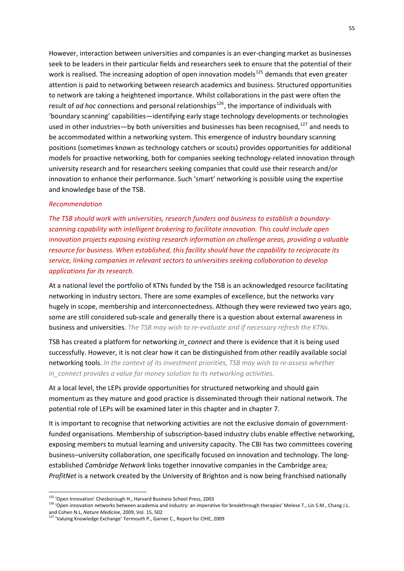However, interaction between universities and companies is an ever-changing market as businesses seek to be leaders in their particular fields and researchers seek to ensure that the potential of their work is realised. The increasing adoption of open innovation models<sup>[125](#page-61-0)</sup> demands that even greater attention is paid to networking between research academics and business. Structured opportunities to network are taking a heightened importance. Whilst collaborations in the past were often the result of *ad hoc* connections and personal relationships<sup>[126](#page-61-1)</sup>, the importance of individuals with 'boundary scanning' capabilities—identifying early stage technology developments or technologies used in other industries—by both universities and businesses has been recognised,<sup>[127](#page-61-2)</sup> and needs to be accommodated within a networking system. This emergence of industry boundary scanning positions (sometimes known as technology catchers or scouts) provides opportunities for additional models for proactive networking, both for companies seeking technology-related innovation through university research and for researchers seeking companies that could use their research and/or innovation to enhance their performance. Such 'smart' networking is possible using the expertise and knowledge base of the TSB.

## *Recommendation*

*The TSB should work with universities, research funders and business to establish a boundary‐ scanning capability with intelligent brokering to facilitate innovation. This could include open innovation projects exposing existing research information on challenge areas, providing a valuable resource for business. When established, this facility should have the capability to reciprocate its service, linking companies in relevant sectors to universities seeking collaboration to develop applications for its research.*

At a national level the portfolio of KTNs funded by the TSB is an acknowledged resource facilitating networking in industry sectors. There are some examples of excellence, but the networks vary hugely in scope, membership and interconnectedness. Although they were reviewed two years ago, some are still considered sub‐scale and generally there is a question about external awareness in business and universities. *The TSB may wish to re‐evaluate and if necessary refresh the KTNs.*

TSB has created a platform for networking *in\_connect* and there is evidence that it is being used successfully. However, it is not clear how it can be distinguished from other readily available social networking tools. *In the context of its investment priorities, TSB may wish to re‐assess whether in\_connect provides a value for money solution to its networking activities.*

At a local level, the LEPs provide opportunities for structured networking and should gain momentum as they mature and good practice is disseminated through their national network. The potential role of LEPs will be examined later in this chapter and in chapter 7.

It is important to recognise that networking activities are not the exclusive domain of government‐ funded organisations. Membership of subscription-based industry clubs enable effective networking, exposing members to mutual learning and university capacity. The CBI has two committees covering business–university collaboration, one specifically focused on innovation and technology. The long‐ established *Cambridge Network* links together innovative companies in the Cambridge area*; ProfitNet* is a network created by the University of Brighton and is now being franchised nationally

<span id="page-61-0"></span><sup>&</sup>lt;sup>125</sup> 'Open Innovation' Chesborough H., Harvard Business School Press, 2003

<span id="page-61-1"></span><sup>126 &#</sup>x27;Open innovation networks between academia and industry: an imperative for breakthrough therapies' Melese T., Lin S.M., Chang J.L. and Cohen N.L, *Nature Medicine*, 2009, Vol. 15, 502

<span id="page-61-2"></span><sup>&</sup>lt;sup>127</sup> 'Valuing Knowledge Exchange' Termouth P., Garner C., Report for CIHE, 2009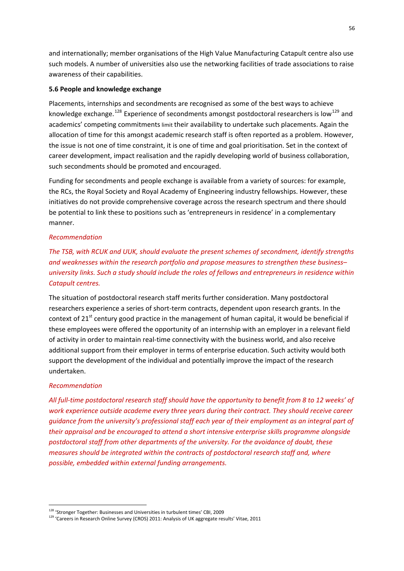and internationally; member organisations of the High Value Manufacturing Catapult centre also use such models. A number of universities also use the networking facilities of trade associations to raise awareness of their capabilities.

### **5.6 People and knowledge exchange**

Placements, internships and secondments are recognised as some of the best ways to achieve knowledge exchange.<sup>[128](#page-62-0)</sup> Experience of secondments amongst postdoctoral researchers is low<sup>[129](#page-62-1)</sup> and academics' competing commitmentslimit their availability to undertake such placements. Again the allocation of time for this amongst academic research staff is often reported as a problem. However, the issue is not one of time constraint, it is one of time and goal prioritisation. Set in the context of career development, impact realisation and the rapidly developing world of business collaboration, such secondments should be promoted and encouraged.

Funding for secondments and people exchange is available from a variety of sources: for example, the RCs, the Royal Society and Royal Academy of Engineering industry fellowships. However, these initiatives do not provide comprehensive coverage across the research spectrum and there should be potential to link these to positions such as 'entrepreneurs in residence' in a complementary manner.

#### *Recommendation*

# *The TSB, with RCUK and UUK, should evaluate the present schemes of secondment, identify strengths and weaknesses within the research portfolio and propose measures to strengthen these business*– *university links. Such a study should include the roles of fellows and entrepreneurs in residence within Catapult centres.*

The situation of postdoctoral research staff merits further consideration. Many postdoctoral researchers experience a series of short-term contracts, dependent upon research grants. In the context of 21<sup>st</sup> century good practice in the management of human capital, it would be beneficial if these employees were offered the opportunity of an internship with an employer in a relevant field of activity in order to maintain real-time connectivity with the business world, and also receive additional support from their employer in terms of enterprise education. Such activity would both support the development of the individual and potentially improve the impact of the research undertaken.

#### *Recommendation*

1

All full-time postdoctoral research staff should have the opportunity to benefit from 8 to 12 weeks' of *work experience outside academe every three years during their contract. They should receive career guidance from the university's professional staff each year of their employment as an integral part of their appraisal and be encouraged to attend a short intensive enterprise skills programme alongside postdoctoral staff from other departments of the university. For the avoidance of doubt, these measures should be integrated within the contracts of postdoctoral research staff and, where possible, embedded within external funding arrangements.*

<sup>&</sup>lt;sup>128</sup> 'Stronger Together: Businesses and Universities in turbulent times' CBI, 2009

<span id="page-62-1"></span><span id="page-62-0"></span><sup>129</sup> 'Careers in Research Online Survey (CROS) 2011: Analysis of UK aggregate results' Vitae, 2011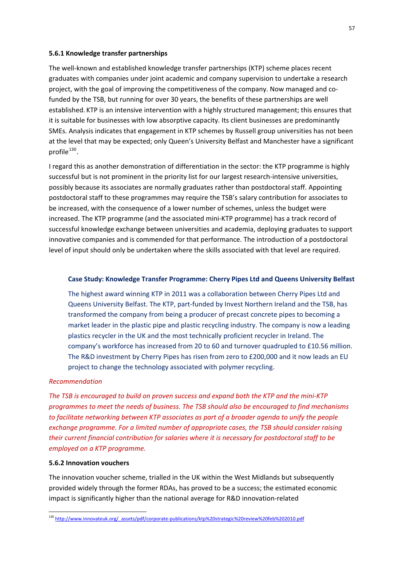#### **5.6.1 Knowledge transfer partnerships**

The well‐known and established knowledge transfer partnerships (KTP) scheme places recent graduates with companies under joint academic and company supervision to undertake a research project, with the goal of improving the competitiveness of the company. Now managed and co‐ funded by the TSB, but running for over 30 years, the benefits of these partnerships are well established. KTP is an intensive intervention with a highly structured management; this ensures that it is suitable for businesses with low absorptive capacity. Its client businesses are predominantly SMEs. Analysis indicates that engagement in KTP schemes by Russell group universities has not been at the level that may be expected; only Queen's University Belfast and Manchester have a significant profile $^{130}$  $^{130}$  $^{130}$ .

I regard this as another demonstration of differentiation in the sector: the KTP programme is highly successful but is not prominent in the priority list for our largest research-intensive universities, possibly because its associates are normally graduates rather than postdoctoral staff. Appointing postdoctoral staff to these programmes may require the TSB's salary contribution for associates to be increased, with the consequence of a lower number of schemes, unless the budget were increased. The KTP programme (and the associated mini‐KTP programme) has a track record of successful knowledge exchange between universities and academia, deploying graduates to support innovative companies and is commended for that performance. The introduction of a postdoctoral level of input should only be undertaken where the skills associated with that level are required.

### **Case Study: Knowledge Transfer Programme: Cherry Pipes Ltd and Queens University Belfast**

The highest award winning KTP in 2011 was a collaboration between Cherry Pipes Ltd and Queens University Belfast. The KTP, part‐funded by Invest Northern Ireland and the TSB, has transformed the company from being a producer of precast concrete pipes to becoming a market leader in the plastic pipe and plastic recycling industry. The company is now a leading plastics recycler in the UK and the most technically proficient recycler in Ireland. The company's workforce has increased from 20 to 60 and turnover quadrupled to £10.56 million. The R&D investment by Cherry Pipes has risen from zero to £200,000 and it now leads an EU project to change the technology associated with polymer recycling.

### *Recommendation*

*The TSB is encouraged to build on proven success and expand both the KTP and the mini‐KTP programmes to meet the needs of business. The TSB should also be encouraged to find mechanisms to facilitate networking between KTP associates as part of a broader agenda to unify the people exchange programme. For a limited number of appropriate cases, the TSB should consider raising their current financial contribution for salaries where it is necessary for postdoctoral staff to be employed on a KTP programme.* 

#### **5.6.2 Innovation vouchers**

1

The innovation voucher scheme, trialled in the UK within the West Midlands but subsequently provided widely through the former RDAs, has proved to be a success; the estimated economic impact is significantly higher than the national average for R&D innovation‐related

<span id="page-63-0"></span><sup>130</sup> http://www.innovateuk.org/\_assets/pdf/corporate-[publications/ktp%20strategic%20review%20feb%202010.pdf](http://www.innovateuk.org/_assets/pdf/corporate-publications/ktp%20strategic%20review%20feb%202010.pdf)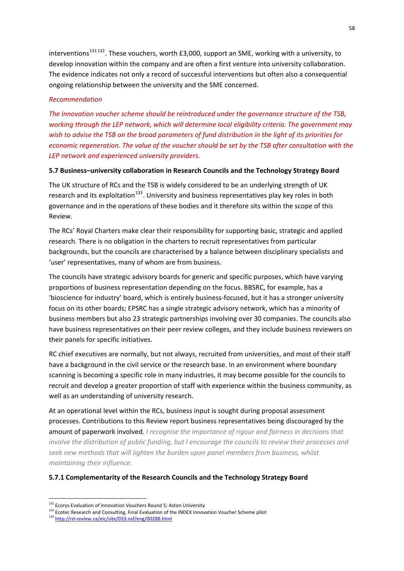interventions<sup>131132</sup>. These vouchers, worth £3,000, support an SME, working with a university, to develop innovation within the company and are often a first venture into university collaboration. The evidence indicates not only a record of successful interventions but often also a consequential ongoing relationship between the university and the SME concerned.

## *Recommendation*

*The innovation voucher scheme should be reintroduced under the governance structure of the TSB, working through the LEP network, which will determine local eligibility criteria. The government may* wish to advise the TSB on the broad parameters of fund distribution in the light of its priorities for *economic regeneration. The value of the voucher should be set by the TSB after consultation with the LEP network and experienced university providers.*

## **5.7 Business–university collaboration in Research Councils and the Technology Strategy Board**

The UK structure of RCs and the TSB is widely considered to be an underlying strength of UK research and its exploitation<sup>[133](#page-64-1)</sup>. University and business representatives play key roles in both governance and in the operations of these bodies and it therefore sits within the scope of this Review.

The RCs' Royal Charters make clear their responsibility for supporting basic, strategic and applied research. There is no obligation in the charters to recruit representatives from particular backgrounds, but the councils are characterised by a balance between disciplinary specialists and 'user' representatives, many of whom are from business.

The councils have strategic advisory boards for generic and specific purposes, which have varying proportions of business representation depending on the focus. BBSRC, for example, has a 'bioscience for industry' board, which is entirely business‐focused, but it has a stronger university focus on its other boards; EPSRC has a single strategic advisory network, which has a minority of business members but also 23 strategic partnerships involving over 30 companies. The councils also have business representatives on their peer review colleges, and they include business reviewers on their panels for specific initiatives.

RC chief executives are normally, but not always, recruited from universities, and most of their staff have a background in the civil service or the research base. In an environment where boundary scanning is becoming a specific role in many industries, it may become possible for the councils to recruit and develop a greater proportion of staff with experience within the business community, as well as an understanding of university research.

At an operational level within the RCs, business input is sought during proposal assessment processes. Contributions to this Review report business representatives being discouraged by the amount of paperwork involved*. I recognise the importance of rigour and fairness in decisions that involve the distribution of public funding, but I encourage the councils to review their processes and seek new methods that will lighten the burden upon panel members from business, whilst maintaining their influence*.

## **5.7.1 Complementarity of the Research Councils and the Technology Strategy Board**

<sup>&</sup>lt;sup>131</sup> Ecorys Evaluation of Innovation Vouchers Round 5; Aston University

<span id="page-64-0"></span><sup>132</sup> Ecotec Researc[h](http://rd-review.ca/eic/site/033.nsf/eng/00288.html) and Consulting, Final Evaluation of the INDEX Innovation Voucher Scheme pilot

<span id="page-64-1"></span><sup>133</sup> http://rd-[review.ca/eic/site/033.nsf/eng/00288.html](http://rd-review.ca/eic/site/033.nsf/eng/00288.html)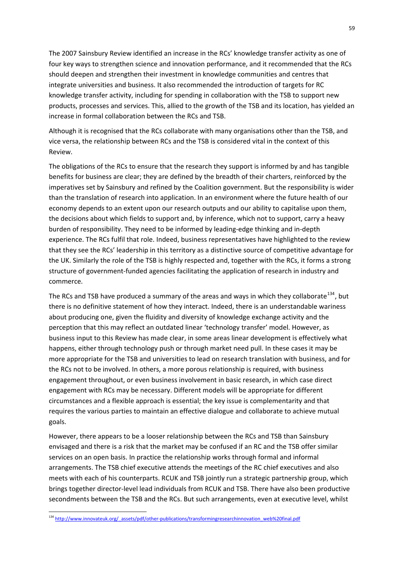The 2007 Sainsbury Review identified an increase in the RCs' knowledge transfer activity as one of four key ways to strengthen science and innovation performance, and it recommended that the RCs should deepen and strengthen their investment in knowledge communities and centres that integrate universities and business. It also recommended the introduction of targets for RC knowledge transfer activity, including for spending in collaboration with the TSB to support new products, processes and services. This, allied to the growth of the TSB and its location, has yielded an increase in formal collaboration between the RCs and TSB.

Although it is recognised that the RCs collaborate with many organisations other than the TSB, and vice versa, the relationship between RCs and the TSB is considered vital in the context of this Review.

The obligations of the RCs to ensure that the research they support is informed by and has tangible benefits for business are clear; they are defined by the breadth of their charters, reinforced by the imperatives set by Sainsbury and refined by the Coalition government. But the responsibility is wider than the translation of research into application. In an environment where the future health of our economy depends to an extent upon our research outputs and our ability to capitalise upon them, the decisions about which fields to support and, by inference, which not to support, carry a heavy burden of responsibility. They need to be informed by leading‐edge thinking and in‐depth experience. The RCs fulfil that role. Indeed, business representatives have highlighted to the review that they see the RCs' leadership in this territory as a distinctive source of competitive advantage for the UK. Similarly the role of the TSB is highly respected and, together with the RCs, it forms a strong structure of government‐funded agencies facilitating the application of research in industry and commerce.

The RCs and TSB have produced a summary of the areas and ways in which they collaborate<sup>[134](#page-65-0)</sup>, but there is no definitive statement of how they interact. Indeed, there is an understandable wariness about producing one, given the fluidity and diversity of knowledge exchange activity and the perception that this may reflect an outdated linear 'technology transfer' model. However, as business input to this Review has made clear, in some areas linear development is effectively what happens, either through technology push or through market need pull. In these cases it may be more appropriate for the TSB and universities to lead on research translation with business, and for the RCs not to be involved. In others, a more porous relationship is required, with business engagement throughout, or even business involvement in basic research, in which case direct engagement with RCs may be necessary. Different models will be appropriate for different circumstances and a flexible approach is essential; the key issue is complementarity and that requires the various parties to maintain an effective dialogue and collaborate to achieve mutual goals.

However, there appears to be a looser relationship between the RCs and TSB than Sainsbury envisaged and there is a risk that the market may be confused if an RC and the TSB offer similar services on an open basis. In practice the relationship works through formal and informal arrangements. The TSB chief executive attends the meetings of the RC chief executives and also meets with each of his counterparts. RCUK and TSB jointly run a strategic partnership group, which brings together director‐level lead individuals from RCUK and TSB. There have also been productive secondments between the TSB and the RCs. But such arrangements, even at executive level, whilst

<span id="page-65-0"></span><sup>134</sup> http://www.innovateuk.org/\_assets/pdf/other-[publications/transformingresearchinnovation\\_web%20final.pdf](http://www.innovateuk.org/_assets/pdf/other-publications/transformingresearchinnovation_web%20final.pdf)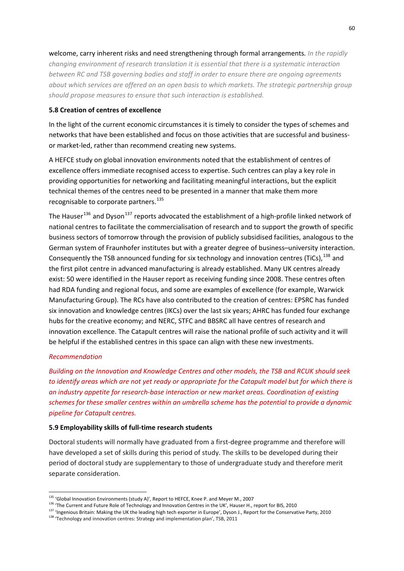welcome, carry inherent risks and need strengthening through formal arrangements*. In the rapidly changing environment of research translation it is essential that there is a systematic interaction between RC and TSB governing bodies and staff in order to ensure there are ongoing agreements about which services are offered on an open basis to which markets. The strategic partnership group should propose measures to ensure that such interaction is established.*

### **5.8 Creation of centres of excellence**

In the light of the current economic circumstances it is timely to consider the types of schemes and networks that have been established and focus on those activities that are successful and business‐ or market‐led, rather than recommend creating new systems.

A HEFCE study on global innovation environments noted that the establishment of centres of excellence offers immediate recognised access to expertise. Such centres can play a key role in providing opportunities for networking and facilitating meaningful interactions, but the explicit technical themes of the centres need to be presented in a manner that make them more recognisable to corporate partners.<sup>[135](#page-66-0)</sup>

The Hauser<sup>[136](#page-66-1)</sup> and Dyson<sup>[137](#page-66-2)</sup> reports advocated the establishment of a high-profile linked network of national centres to facilitate the commercialisation of research and to support the growth of specific business sectors of tomorrow through the provision of publicly subsidised facilities, analogous to the German system of Fraunhofer institutes but with a greater degree of business–university interaction. Consequently the TSB announced funding for six technology and innovation centres (TiCs), [138](#page-66-3) and the first pilot centre in advanced manufacturing is already established. Many UK centres already exist: 50 were identified in the Hauser report as receiving funding since 2008. These centres often had RDA funding and regional focus, and some are examples of excellence (for example, Warwick Manufacturing Group). The RCs have also contributed to the creation of centres: EPSRC has funded six innovation and knowledge centres (IKCs) over the last six years; AHRC has funded four exchange hubs for the creative economy; and NERC, STFC and BBSRC all have centres of research and innovation excellence. The Catapult centres will raise the national profile of such activity and it will be helpful if the established centres in this space can align with these new investments.

#### *Recommendation*

*Building on the Innovation and Knowledge Centres and other models, the TSB and RCUK should seek* to identify areas which are not yet ready or appropriate for the Catapult model but for which there is *an industry appetite for research‐base interaction or new market areas. Coordination of existing schemes for these smaller centres within an umbrella scheme has the potential to provide a dynamic pipeline for Catapult centres.*

### **5.9 Employability skills of full‐time research students**

Doctoral students will normally have graduated from a first‐degree programme and therefore will have developed a set of skills during this period of study. The skills to be developed during their period of doctoral study are supplementary to those of undergraduate study and therefore merit separate consideration.

<span id="page-66-0"></span><sup>&</sup>lt;sup>135</sup> 'Global Innovation Environments (study A)', Report to HEFCE, Knee P. and Meyer M., 2007

<span id="page-66-1"></span><sup>&</sup>lt;sup>136</sup> 'The Current and Future Role of Technology and Innovation Centres in the UK', Hauser H., report for BIS, 2010

<span id="page-66-2"></span><sup>137 &#</sup>x27;Ingenious Britain: Making the UK the leading high tech exporter in Europe', Dyson J., Report for the Conservative Party, 2010

<span id="page-66-3"></span><sup>138</sup> 'Technology and innovation centres: Strategy and implementation plan', TSB, 2011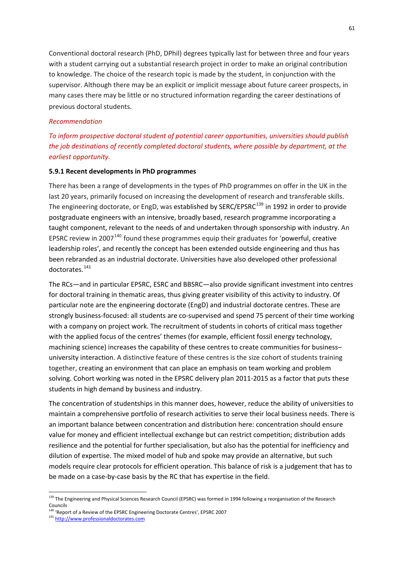Conventional doctoral research (PhD, DPhil) degrees typically last for between three and four years with a student carrying out a substantial research project in order to make an original contribution to knowledge. The choice of the research topic is made by the student, in conjunction with the supervisor. Although there may be an explicit or implicit message about future career prospects, in many cases there may be little or no structured information regarding the career destinations of previous doctoral students.

#### *Recommendation*

*To inform prospective doctoral student of potential career opportunities, universities should publish the job destinations of recently completed doctoral students, where possible by department, at the earliest opportunity.*

### **5.9.1 Recent developments in PhD programmes**

There has been a range of developments in the types of PhD programmes on offer in the UK in the last 20 years, primarily focused on increasing the development of research and transferable skills. The engineering doctorate, or EngD, was established by SERC/EPSRC<sup>[139](#page-67-0)</sup> in 1992 in order to provide postgraduate engineers with an intensive, broadly based, research programme incorporating a taught component, relevant to the needs of and undertaken through sponsorship with industry. An EPSRC review in 2007<sup>[140](#page-67-1)</sup> found these programmes equip their graduates for 'powerful, creative leadership roles', and recently the concept has been extended outside engineering and thus has been rebranded as an industrial doctorate. Universities have also developed other professional doctorates.<sup>[141](#page-67-2)</sup>

The RCs—and in particular EPSRC, ESRC and BBSRC—also provide significant investment into centres for doctoral training in thematic areas, thus giving greater visibility of this activity to industry. Of particular note are the engineering doctorate (EngD) and industrial doctorate centres. These are strongly business-focused: all students are co-supervised and spend 75 percent of their time working with a company on project work. The recruitment of students in cohorts of critical mass together with the applied focus of the centres' themes (for example, efficient fossil energy technology, machining science) increases the capability of these centres to create communities for business– university interaction. A distinctive feature of these centres is the size cohort of students training together, creating an environment that can place an emphasis on team working and problem solving. Cohort working was noted in the EPSRC delivery plan 2011-2015 as a factor that puts these students in high demand by business and industry.

The concentration of studentships in this manner does, however, reduce the ability of universities to maintain a comprehensive portfolio of research activities to serve their local business needs. There is an important balance between concentration and distribution here: concentration should ensure value for money and efficient intellectual exchange but can restrict competition; distribution adds resilience and the potential for further specialisation, but also has the potential for inefficiency and dilution of expertise. The mixed model of hub and spoke may provide an alternative, but such models require clear protocols for efficient operation. This balance of risk is a judgement that has to be made on a case‐by‐case basis by the RC that has expertise in the field.

<span id="page-67-0"></span><sup>&</sup>lt;sup>139</sup> The Engineering and Physical Sciences Research Council (EPSRC) was formed in 1994 following a reorganisation of the Research Councils

<span id="page-67-1"></span><sup>&</sup>lt;sup>140</sup> 'Report of a Review of the EPSRC Engineering Doctorate Centres', EPSRC 2007

<span id="page-67-2"></span><sup>141</sup> http://www.professionaldoctorates.com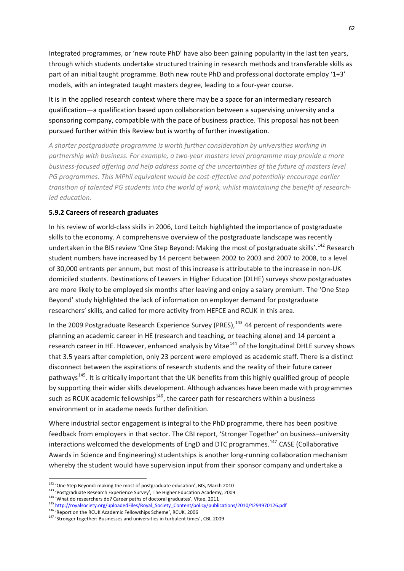Integrated programmes, or 'new route PhD' have also been gaining popularity in the last ten years, through which students undertake structured training in research methods and transferable skills as part of an initial taught programme. Both new route PhD and professional doctorate employ '1+3' models, with an integrated taught masters degree, leading to a four‐year course.

It is in the applied research context where there may be a space for an intermediary research qualification—a qualification based upon collaboration between a supervising university and a sponsoring company, compatible with the pace of business practice. This proposal has not been pursued further within this Review but is worthy of further investigation.

*A shorter postgraduate programme is worth further consideration by universities working in partnership with business. For example, a two‐year masters level programme may provide a more business‐focused offering and help address some of the uncertainties of the future of masters level PG programmes. This MPhil equivalent would be cost‐effective and potentially encourage earlier transition of talented PG students into the world of work, whilst maintaining the benefit of research‐ led education.*

## **5.9.2 Careers of research graduates**

In his review of world‐class skills in 2006, Lord Leitch highlighted the importance of postgraduate skills to the economy. A comprehensive overview of the postgraduate landscape was recently undertaken in the BIS review 'One Step Beyond: Making the most of postgraduate skills'.<sup>[142](#page-68-0)</sup> Research student numbers have increased by 14 percent between 2002 to 2003 and 2007 to 2008, to a level of 30,000 entrants per annum, but most of this increase is attributable to the increase in non‐UK domiciled students. Destinations of Leavers in Higher Education (DLHE) surveys show postgraduates are more likely to be employed six months after leaving and enjoy a salary premium. The 'One Step Beyond' study highlighted the lack of information on employer demand for postgraduate researchers' skills, and called for more activity from HEFCE and RCUK in this area.

In the 2009 Postgraduate Research Experience Survey (PRES),  $143$  44 percent of respondents were planning an academic career in HE (research and teaching, or teaching alone) and 14 percent a research career in HE. However, enhanced analysis by Vitae<sup>[144](#page-68-2)</sup> of the longitudinal DHLE survey shows that 3.5 years after completion, only 23 percent were employed as academic staff. There is a distinct disconnect between the aspirations of research students and the reality of their future career pathways<sup>[145](#page-68-3)</sup>. It is critically important that the UK benefits from this highly qualified group of people by supporting their wider skills development. Although advances have been made with programmes such as RCUK academic fellowships<sup>[146](#page-68-4)</sup>, the career path for researchers within a business environment or in academe needs further definition.

Where industrial sector engagement is integral to the PhD programme, there has been positive feedback from employers in that sector. The CBI report, 'Stronger Together' on business–university interactions welcomed the developments of EngD and DTC programmes.<sup>[147](#page-68-5)</sup> CASE (Collaborative Awards in Science and Engineering) studentships is another long‐running collaboration mechanism whereby the student would have supervision input from their sponsor company and undertake a

<u>.</u>

 $142$  'One Step Beyond: making the most of postgraduate education', BIS, March 2010

<span id="page-68-1"></span><span id="page-68-0"></span><sup>&</sup>lt;sup>143</sup> 'Postgraduate Research Experience Survey', The Higher Education Academy, 2009<br><sup>144</sup> 'What do researchers do? Career paths of doctoral graduates', Vitae, 2011

<span id="page-68-3"></span><span id="page-68-2"></span><sup>145</sup> [http://royalsociety.org/uploadedFiles/Royal\\_Society\\_Content/policy/publications/2010/4294970126.pdf](http://royalsociety.org/uploadedFiles/Royal_Society_Content/policy/publications/2010/4294970126.pdf)

<span id="page-68-4"></span><sup>146 &#</sup>x27;Report on the RCUK Academic Fellowships Scheme', RCUK, 2006

<span id="page-68-5"></span><sup>&</sup>lt;sup>147</sup> 'Stronger together: Businesses and universities in turbulent times', CBI, 2009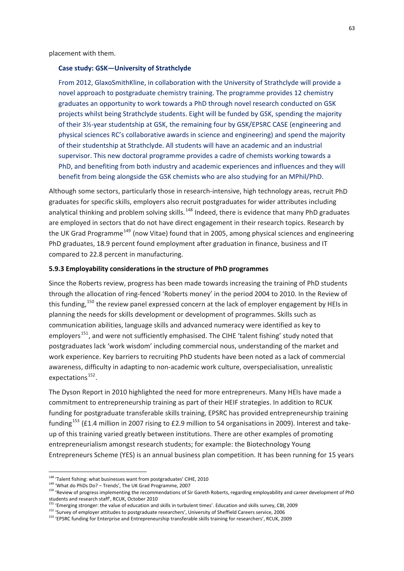placement with them.

#### **Case study: GSK—University of Strathclyde**

From 2012, GlaxoSmithKline, in collaboration with the University of Strathclyde will provide a novel approach to postgraduate chemistry training. The programme provides 12 chemistry graduates an opportunity to work towards a PhD through novel research conducted on GSK projects whilst being Strathclyde students. Eight will be funded by GSK, spending the majority of their 3½‐year studentship at GSK, the remaining four by GSK/EPSRC CASE (engineering and physical sciences RC's collaborative awards in science and engineering) and spend the majority of their studentship at Strathclyde. All students will have an academic and an industrial supervisor. This new doctoral programme provides a cadre of chemists working towards a PhD, and benefiting from both industry and academic experiences and influences and they will benefit from being alongside the GSK chemists who are also studying for an MPhil/PhD.

Although some sectors, particularly those in research-intensive, high technology areas, recruit PhD graduates for specific skills, employers also recruit postgraduates for wider attributes including analytical thinking and problem solving skills.<sup>[148](#page-69-0)</sup> Indeed, there is evidence that many PhD graduates are employed in sectors that do not have direct engagement in their research topics. Research by the UK Grad Programme<sup>[149](#page-69-1)</sup> (now Vitae) found that in 2005, among physical sciences and engineering PhD graduates, 18.9 percent found employment after graduation in finance, business and IT compared to 22.8 percent in manufacturing.

### **5.9.3 Employability considerations in the structure of PhD programmes**

Since the Roberts review, progress has been made towards increasing the training of PhD students through the allocation of ring‐fenced 'Roberts money' in the period 2004 to 2010. In the Review of this funding,<sup>[150](#page-69-2)</sup> the review panel expressed concern at the lack of employer engagement by HEIs in planning the needs for skills development or development of programmes. Skills such as communication abilities, language skills and advanced numeracy were identified as key to employers<sup>[151](#page-69-3)</sup>, and were not sufficiently emphasised. The CIHE 'talent fishing' study noted that postgraduates lack 'work wisdom' including commercial nous, understanding of the market and work experience. Key barriers to recruiting PhD students have been noted as a lack of commercial awareness, difficulty in adapting to non‐academic work culture, overspecialisation, unrealistic expectations $^{152}$  $^{152}$  $^{152}$ .

The Dyson Report in 2010 highlighted the need for more entrepreneurs. Many HEIs have made a commitment to entrepreneurship training as part of their HEIF strategies. In addition to RCUK funding for postgraduate transferable skills training, EPSRC has provided entrepreneurship training funding<sup>[153](#page-69-5)</sup> (£1.4 million in 2007 rising to £2.9 million to 54 organisations in 2009). Interest and takeup of this training varied greatly between institutions. There are other examples of promoting entrepreneurialism amongst research students; for example: the Biotechnology Young Entrepreneurs Scheme (YES) is an annual business plan competition. It has been running for 15 years

<u>.</u>

<sup>&</sup>lt;sup>148</sup> 'Talent fishing: what businesses want from postgraduates' CIHE, 2010

<span id="page-69-0"></span><sup>149</sup> 'What do PhDs Do? – Trends', The UK Grad Programme, 2007

<span id="page-69-2"></span><span id="page-69-1"></span><sup>150</sup> 'Review of progress implementing the recommendations of Sir Gareth Roberts, regarding employability and career development of PhD students and research staff', RCUK, October 2010<br><sup>151</sup> 'Emerging stronger: the value of education and skills in turbulent times'. Education and skills survey, CBI, 2009

<span id="page-69-4"></span><span id="page-69-3"></span><sup>152</sup> 'Survey of employer attitudes to postgraduate researchers', University of Sheffield Careers service, 2006

<span id="page-69-5"></span><sup>&</sup>lt;sup>153</sup> 'EPSRC funding for Enterprise and Entrepreneurship transferable skills training for researchers', RCUK, 2009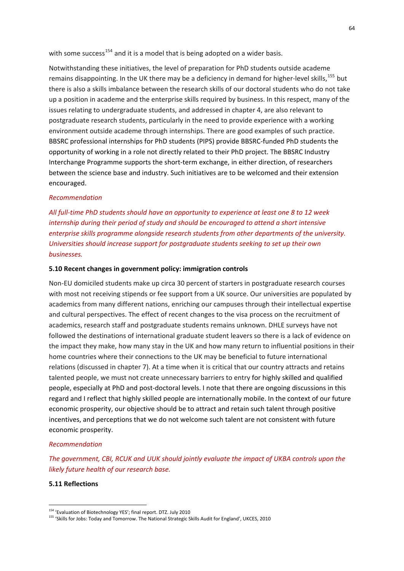with some success<sup>[154](#page-70-0)</sup> and it is a model that is being adopted on a wider basis.

Notwithstanding these initiatives, the level of preparation for PhD students outside academe remains disappointing. In the UK there may be a deficiency in demand for higher-level skills,<sup>[155](#page-70-1)</sup> but there is also a skills imbalance between the research skills of our doctoral students who do not take up a position in academe and the enterprise skills required by business. In this respect, many of the issues relating to undergraduate students, and addressed in chapter 4, are also relevant to postgraduate research students, particularly in the need to provide experience with a working environment outside academe through internships. There are good examples of such practice. BBSRC professional internships for PhD students (PIPS) provide BBSRC‐funded PhD students the opportunity of working in a role not directly related to their PhD project. The BBSRC Industry Interchange Programme supports the short‐term exchange, in either direction, of researchers between the science base and industry. Such initiatives are to be welcomed and their extension encouraged.

## *Recommendation*

All full-time PhD students should have an opportunity to experience at least one 8 to 12 week *internship during their period of study and should be encouraged to attend a short intensive enterprise skills programme alongside research students from other departments of the university. Universities should increase support for postgraduate students seeking to set up their own businesses.*

#### **5.10 Recent changes in government policy: immigration controls**

Non‐EU domiciled students make up circa 30 percent of starters in postgraduate research courses with most not receiving stipends or fee support from a UK source. Our universities are populated by academics from many different nations, enriching our campuses through their intellectual expertise and cultural perspectives. The effect of recent changes to the visa process on the recruitment of academics, research staff and postgraduate students remains unknown. DHLE surveys have not followed the destinations of international graduate student leavers so there is a lack of evidence on the impact they make, how many stay in the UK and how many return to influential positions in their home countries where their connections to the UK may be beneficial to future international relations (discussed in chapter 7). At a time when it is critical that our country attracts and retains talented people, we must not create unnecessary barriers to entry for highly skilled and qualified people, especially at PhD and post‐doctoral levels. I note that there are ongoing discussions in this regard and I reflect that highly skilled people are internationally mobile. In the context of our future economic prosperity, our objective should be to attract and retain such talent through positive incentives, and perceptions that we do not welcome such talent are not consistent with future economic prosperity.

#### *Recommendation*

*The government, CBI, RCUK and UUK should jointly evaluate the impact of UKBA controls upon the likely future health of our research base.*

#### **5.11 Reflections**

<span id="page-70-0"></span><sup>&</sup>lt;sup>154</sup> 'Evaluation of Biotechnology YES'; final report. DTZ. July 2010

<span id="page-70-1"></span><sup>155</sup> 'Skills for Jobs: Today and Tomorrow. The National Strategic Skills Audit for England', UKCES, 2010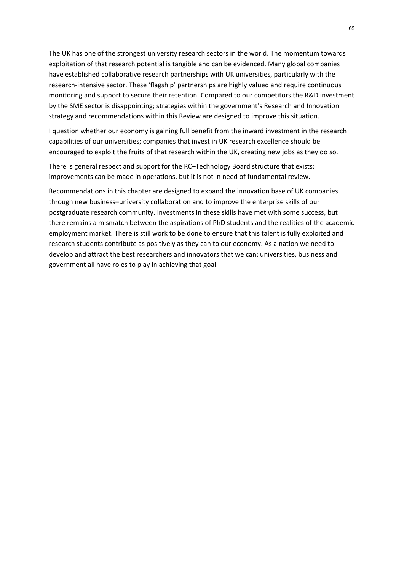The UK has one of the strongest university research sectors in the world. The momentum towards exploitation of that research potential is tangible and can be evidenced. Many global companies have established collaborative research partnerships with UK universities, particularly with the research‐intensive sector. These 'flagship' partnerships are highly valued and require continuous monitoring and support to secure their retention. Compared to our competitors the R&D investment by the SME sector is disappointing; strategies within the government's Research and Innovation strategy and recommendations within this Review are designed to improve this situation.

I question whether our economy is gaining full benefit from the inward investment in the research capabilities of our universities; companies that invest in UK research excellence should be encouraged to exploit the fruits of that research within the UK, creating new jobs as they do so.

There is general respect and support for the RC–Technology Board structure that exists; improvements can be made in operations, but it is not in need of fundamental review.

Recommendations in this chapter are designed to expand the innovation base of UK companies through new business–university collaboration and to improve the enterprise skills of our postgraduate research community. Investments in these skills have met with some success, but there remains a mismatch between the aspirations of PhD students and the realities of the academic employment market. There is still work to be done to ensure that this talent is fully exploited and research students contribute as positively as they can to our economy. As a nation we need to develop and attract the best researchers and innovators that we can; universities, business and government all have roles to play in achieving that goal.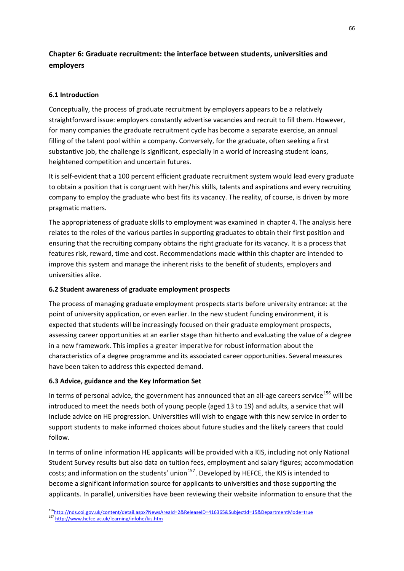# **Chapter 6: Graduate recruitment: the interface between students, universities and employers**

## **6.1 Introduction**

Conceptually, the process of graduate recruitment by employers appears to be a relatively straightforward issue: employers constantly advertise vacancies and recruit to fill them. However, for many companies the graduate recruitment cycle has become a separate exercise, an annual filling of the talent pool within a company. Conversely, for the graduate, often seeking a first substantive job, the challenge is significant, especially in a world of increasing student loans, heightened competition and uncertain futures.

It is self‐evident that a 100 percent efficient graduate recruitment system would lead every graduate to obtain a position that is congruent with her/his skills, talents and aspirations and every recruiting company to employ the graduate who best fits its vacancy. The reality, of course, is driven by more pragmatic matters.

The appropriateness of graduate skills to employment was examined in chapter 4. The analysis here relates to the roles of the various parties in supporting graduates to obtain their first position and ensuring that the recruiting company obtains the right graduate for its vacancy. It is a process that features risk, reward, time and cost. Recommendations made within this chapter are intended to improve this system and manage the inherent risks to the benefit of students, employers and universities alike.

### **6.2 Student awareness of graduate employment prospects**

The process of managing graduate employment prospects starts before university entrance: at the point of university application, or even earlier. In the new student funding environment, it is expected that students will be increasingly focused on their graduate employment prospects, assessing career opportunities at an earlier stage than hitherto and evaluating the value of a degree in a new framework. This implies a greater imperative for robust information about the characteristics of a degree programme and its associated career opportunities. Several measures have been taken to address this expected demand.

### **6.3 Advice, guidance and the Key Information Set**

In terms of personal advice, the government has announced that an all-age careers service<sup>[156](#page-72-0)</sup> will be introduced to meet the needs both of young people (aged 13 to 19) and adults, a service that will include advice on HE progression. Universities will wish to engage with this new service in order to support students to make informed choices about future studies and the likely careers that could follow.

In terms of online information HE applicants will be provided with a KIS, including not only National Student Survey results but also data on tuition fees, employment and salary figures; accommodation costs; and information on the students' union $157$ . Developed by HEFCE, the KIS is intended to become a significant information source for applicants to universities and those supporting the applicants. In parallel, universities have been reviewing their website information to ensure that the

<sup>1</sup> 156<http://nds.coi.gov.uk/content/detail.aspx?NewsAreaId=2&ReleaseID=416365&SubjectId=15&DepartmentMode=true>

<span id="page-72-1"></span><span id="page-72-0"></span><sup>157</sup> <http://www.hefce.ac.uk/learning/infohe/kis.htm>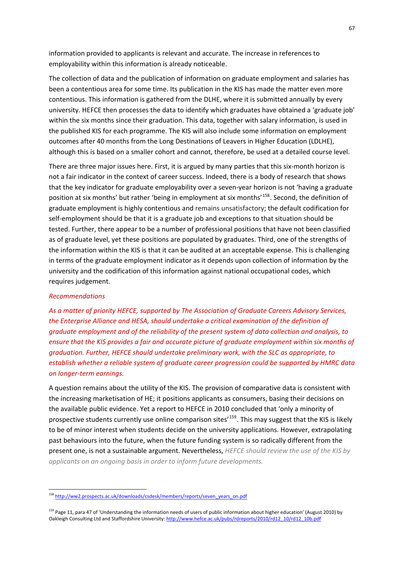information provided to applicants is relevant and accurate. The increase in references to employability within this information is already noticeable.

The collection of data and the publication of information on graduate employment and salaries has been a contentious area for some time. Its publication in the KIS has made the matter even more contentious. This information is gathered from the DLHE, where it is submitted annually by every university. HEFCE then processes the data to identify which graduates have obtained a 'graduate job' within the six months since their graduation. This data, together with salary information, is used in the published KIS for each programme. The KIS will also include some information on employment outcomes after 40 months from the Long Destinations of Leavers in Higher Education (LDLHE), although this is based on a smaller cohort and cannot, therefore, be used at a detailed course level.

There are three major issues here. First, it is argued by many parties that this six-month horizon is not a fair indicator in the context of career success. Indeed, there is a body of research that shows that the key indicator for graduate employability over a seven-year horizon is not 'having a graduate position at six months' but rather 'being in employment at six months'<sup>[158](#page-73-0)</sup>. Second, the definition of graduate employment is highly contentious and remains unsatisfactory; the default codification for self-employment should be that it is a graduate job and exceptions to that situation should be tested. Further, there appear to be a number of professional positions that have not been classified as of graduate level, yet these positions are populated by graduates. Third, one of the strengths of the information within the KIS is that it can be audited at an acceptable expense. This is challenging in terms of the graduate employment indicator as it depends upon collection of information by the university and the codification of this information against national occupational codes, which requires judgement.

#### *Recommendations*

1

*As a matter of priority HEFCE, supported by The Association of Graduate Careers Advisory Services, the Enterprise Alliance and HESA, should undertake a critical examination of the definition of graduate employment and of the reliability of the present system of data collection and analysis, to ensure that the KIS provides a fair and accurate picture of graduate employment within six months of graduation. Further, HEFCE should undertake preliminary work, with the SLC as appropriate, to establish whether a reliable system of graduate career progression could be supported by HMRC data on longer‐term earnings.*

A question remains about the utility of the KIS. The provision of comparative data is consistent with the increasing marketisation of HE; it positions applicants as consumers, basing their decisions on the available public evidence. Yet a report to HEFCE in 2010 concluded that 'only a minority of prospective students currently use online comparison sites<sup>'[159](#page-73-1)</sup>. This may suggest that the KIS is likely to be of minor interest when students decide on the university applications. However, extrapolating past behaviours into the future, when the future funding system is so radically different from the present one, is not a sustainable argument. Nevertheless, *HEFCE should review the use of the KIS by applicants on an ongoing basis in order to inform future developments.*

<span id="page-73-0"></span><sup>158</sup> [http://ww2.prospects.ac.uk/downloads/csdesk/members/reports/seven\\_years\\_on.pdf](http://ww2.prospects.ac.uk/downloads/csdesk/members/reports/seven_years_on.pdf)

<span id="page-73-1"></span><sup>&</sup>lt;sup>159</sup> Page 11, para 47 of 'Unders[t](http://www.hefce.ac.uk/pubs/rdreports/2010/rd12_10/rd12_10b.pdf)anding the information needs of users of public information about higher education' (August 2010) by Oakleigh Consulting Ltd and Staffordshire University: [http://www.hefce.ac.uk/pubs/rdreports/2010/rd12\\_10/rd12\\_10b.pdf](http://www.hefce.ac.uk/pubs/rdreports/2010/rd12_10/rd12_10b.pdf)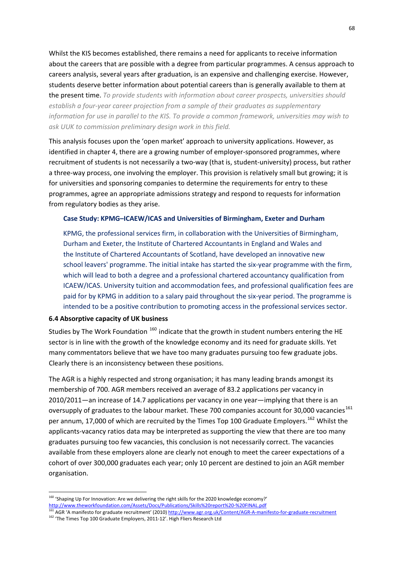Whilst the KIS becomes established, there remains a need for applicants to receive information about the careers that are possible with a degree from particular programmes. A census approach to careers analysis, several years after graduation, is an expensive and challenging exercise. However, students deserve better information about potential careers than is generally available to them at the present time. *To provide students with information about career prospects, universities should establish a four‐year career projection from a sample of their graduates as supplementary information for use in parallel to the KIS. To provide a common framework, universities may wish to ask UUK to commission preliminary design work in this field.*

This analysis focuses upon the 'open market' approach to university applications. However, as identified in chapter 4, there are a growing number of employer‐sponsored programmes, where recruitment of students is not necessarily a two‐way (that is, student‐university) process, but rather a three-way process, one involving the employer. This provision is relatively small but growing; it is for universities and sponsoring companies to determine the requirements for entry to these programmes, agree an appropriate admissions strategy and respond to requests for information from regulatory bodies as they arise.

#### **Case Study: KPMG–ICAEW/ICAS and Universities of Birmingham, Exeter and Durham**

KPMG, the professional services firm, in collaboration with the Universities of Birmingham, Durham and Exeter, the Institute of Chartered Accountants in England and Wales and the Institute of Chartered Accountants of Scotland, have developed an innovative new school leavers' programme. The initial intake has started the six-year programme with the firm, which will lead to both a degree and a professional chartered accountancy qualification from ICAEW/ICAS. University tuition and accommodation fees, and professional qualification fees are paid for by KPMG in addition to a salary paid throughout the six-year period. The programme is intended to be a positive contribution to promoting access in the professional services sector.

### **6.4 Absorptive capacity of UK bu[sin](#page-74-0)ess**

1

Studies by The Work Foundation <sup>160</sup> indicate that the growth in student numbers entering the HE sector is in line with the growth of the knowledge economy and its need for graduate skills. Yet many commentators believe that we have too many graduates pursuing too few graduate jobs. Clearly there is an inconsistency between these positions.

The AGR is a highly respected and strong organisation; it has many leading brands amongst its membership of 700. AGR members received an average of 83.2 applications per vacancy in 2010/2011—an increase of 14.7 applications per vacancy in one year—implying that there is an oversupply of graduates to the labour market. These 7[00](#page-74-1) companies account for 30,000 vacancies<sup>161</sup> per annum, 17,000 of which are recruited by the Times Top 100 Graduate Employers.<sup>162</sup> Whilst the applicants‐vacancy ratios data may be interpreted as supporting the view that there are too many graduates pursuing too few vacancies, this conclusion is not necessarily correct. The vacancies available from these employers alone are clearly not enough to meet the career expectations of a cohort of over 300,000 graduates each year; only 10 percent are destined to join an AGR member organisation.

<span id="page-74-0"></span><sup>&</sup>lt;sup>160</sup> ['](http://www.theworkfoundation.com/Assets/Docs/Publications/Skills%20report%20-%20FINAL.pdf)Shaping Up For Innovation: Are we delivering the right skills for the 2020 knowledge economy?' [http://www.theworkfoundation.com/Assets/Docs/Publications/Skills%20report%20](http://www.theworkfoundation.com/Assets/Docs/Publications/Skills%20report%20-%20FINAL.pdf)-%20FINAL.pdf<br>161.com/theworkfoundation.com/Assets/Docs/Publications/Skills%20report%20-%20FINAL.pdf

<span id="page-74-1"></span><sup>161</sup> AGR 'A manifesto for graduate recruitment' (2010) [http://www.agr.org.uk/Content/AGR](http://www.agr.org.uk/Content/AGR-A-manifesto-for-graduate-recruitment)‐A‐manifesto‐for‐graduate‐recruitmen[t](http://www.agr.org.uk/Content/AGR-A-manifesto-for-graduate-recruitment) <sup>162</sup> 'The Times Top 100 Graduate Employers, 2011‐12'. High Fliers Research Ltd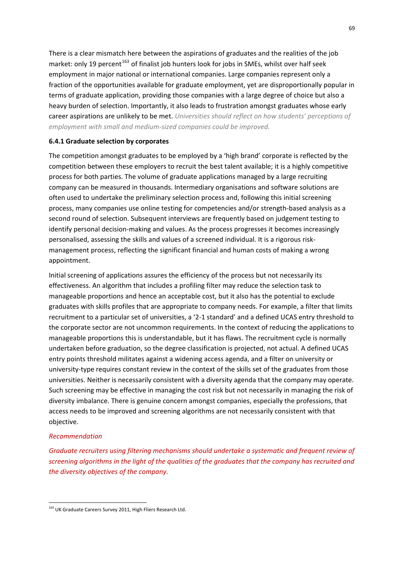There is a clear mismatch here between the aspirations of graduates and the realities of the job market: only 19 percent<sup>[163](#page-75-0)</sup> of finalist job hunters look for jobs in SMEs, whilst over half seek employment in major national or international companies. Large companies represent only a fraction of the opportunities available for graduate employment, yet are disproportionally popular in terms of graduate application, providing those companies with a large degree of choice but also a heavy burden of selection. Importantly, it also leads to frustration amongst graduates whose early career aspirations are unlikely to be met. *Universities should reflect on how students' perceptions of employment with small and medium‐sized companies could be improved.*

### **6.4.1 Graduate selection by corporates**

The competition amongst graduates to be employed by a 'high brand' corporate is reflected by the competition between these employers to recruit the best talent available; it is a highly competitive process for both parties. The volume of graduate applications managed by a large recruiting company can be measured in thousands. Intermediary organisations and software solutions are often used to undertake the preliminary selection process and, following this initial screening process, many companies use online testing for competencies and/or strength‐based analysis as a second round of selection. Subsequent interviews are frequently based on judgement testing to identify personal decision‐making and values. As the process progresses it becomes increasingly personalised, assessing the skills and values of a screened individual. It is a rigorous risk‐ management process, reflecting the significant financial and human costs of making a wrong appointment.

Initial screening of applications assures the efficiency of the process but not necessarily its effectiveness. An algorithm that includes a profiling filter may reduce the selection task to manageable proportions and hence an acceptable cost, but it also has the potential to exclude graduates with skills profiles that are appropriate to company needs. For example, a filter that limits recruitment to a particular set of universities, a '2‐1 standard' and a defined UCAS entry threshold to the corporate sector are not uncommon requirements. In the context of reducing the applications to manageable proportions this is understandable, but it has flaws. The recruitment cycle is normally undertaken before graduation, so the degree classification is projected, not actual. A defined UCAS entry points threshold militates against a widening access agenda, and a filter on university or university-type requires constant review in the context of the skills set of the graduates from those universities. Neither is necessarily consistent with a diversity agenda that the company may operate. Such screening may be effective in managing the cost risk but not necessarily in managing the risk of diversity imbalance. There is genuine concern amongst companies, especially the professions, that access needs to be improved and screening algorithms are not necessarily consistent with that objective.

### *Recommendation*

1

*Graduate recruiters using filtering mechanisms should undertake a systematic and frequent review of screening algorithms in the light of the qualities of the graduates that the company has recruited and the diversity objectives of the company.*

<span id="page-75-0"></span><sup>163</sup> UK Graduate Careers Survey 2011, High Fliers Research Ltd.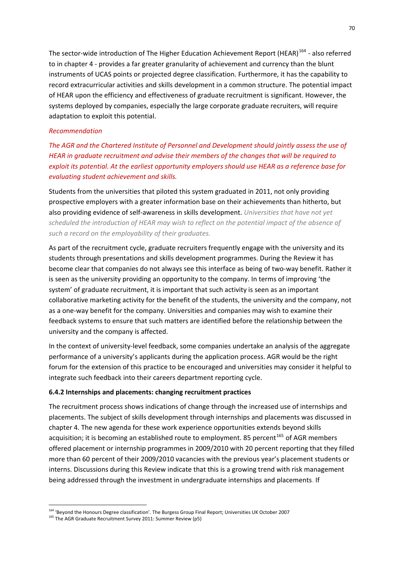The sector-wide introduction of The Higher Education Achievement Report (HEAR)<sup>[164](#page-76-0)</sup> - also referred to in chapter 4 ‐ provides a far greater granularity of achievement and currency than the blunt instruments of UCAS points or projected degree classification. Furthermore, it has the capability to record extracurricular activities and skills development in a common structure. The potential impact of HEAR upon the efficiency and effectiveness of graduate recruitment is significant. However, the systems deployed by companies, especially the large corporate graduate recruiters, will require adaptation to exploit this potential.

#### *Recommendation*

*The AGR and the Chartered Institute of Personnel and Development should jointly assess the use of HEAR in graduate recruitment and advise their members of the changes that will be required to exploit its potential. At the earliest opportunity employers should use HEAR as a reference base for evaluating student achievement and skills.*

Students from the universities that piloted this system graduated in 2011, not only providing prospective employers with a greater information base on their achievements than hitherto, but also providing evidence of self‐awareness in skills development. *Universities that have not yet scheduled the introduction of HEAR may wish to reflect on the potential impact of the absence of such a record on the employability of their graduates.*

As part of the recruitment cycle, graduate recruiters frequently engage with the university and its students through presentations and skills development programmes. During the Review it has become clear that companies do not always see this interface as being of two-way benefit. Rather it is seen as the university providing an opportunity to the company. In terms of improving 'the system' of graduate recruitment, it is important that such activity is seen as an important collaborative marketing activity for the benefit of the students, the university and the company, not as a one‐way benefit for the company. Universities and companies may wish to examine their feedback systems to ensure that such matters are identified before the relationship between the university and the company is affected.

In the context of university‐level feedback, some companies undertake an analysis of the aggregate performance of a university's applicants during the application process. AGR would be the right forum for the extension of this practice to be encouraged and universities may consider it helpful to integrate such feedback into their careers department reporting cycle.

#### **6.4.2 Internships and placements: changing recruitment practices**

The recruitment process shows indications of change through the increased use of internships and placements. The subject of skills development through internships and placements was discussed in chapter 4. The new agenda for these work experience opportunities extends beyond skills acquisition; it is becoming an established route to employment. 85 percent<sup>[165](#page-76-1)</sup> of AGR members offered placement or internship programmes in 2009/2010 with 20 percent reporting that they filled more than 60 percent of their 2009/2010 vacancies with the previous year's placement students or interns. Discussions during this Review indicate that this is a growing trend with risk management being addressed through the investment in undergraduate internships and placements. If

<sup>&</sup>lt;sup>164</sup> 'Beyond the Honours Degree classification'. The Burgess Group Final Report; Universities UK October 2007

<span id="page-76-1"></span><span id="page-76-0"></span><sup>165</sup> The AGR Graduate Recruitment Survey 2011: Summer Review (p5)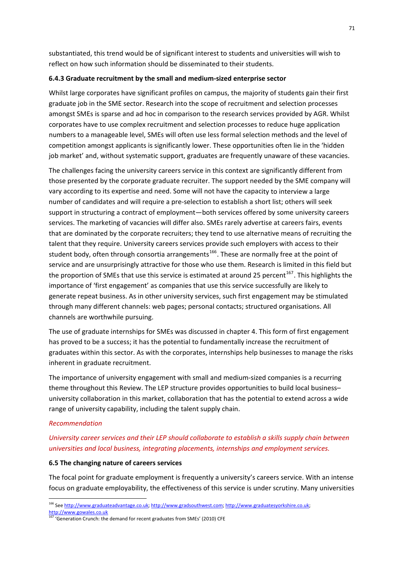substantiated, this trend would be of significant interest to students and universities will wish to reflect on how such information should be disseminated to their students.

#### **6.4.3 Graduate recruitment by the small and medium‐sized enterprise sector**

Whilst large corporates have significant profiles on campus, the majority of students gain their first graduate job in the SME sector. Research into the scope of recruitment and selection processes amongst SMEs is sparse and ad hoc in comparison to the research services provided by AGR. Whilst corporates have to use complex recruitment and selection processes to reduce huge application numbers to a manageable level, SMEs will often use less formal selection methods and the level of competition amongst applicants is significantly lower. These opportunities often lie in the 'hidden job market' and, without systematic support, graduates are frequently unaware of these vacancies.

The challenges facing the university careers service in this context are significantly different from those presented by the corporate graduate recruiter. The support needed by the SME company will vary according to its expertise and need. Some will not have the capacity to interview a large number of candidates and will require a pre‐selection to establish a short list; others will seek support in structuring a contract of employment—both services offered by some university careers services. The marketing of vacancies will differ also. SMEs rarely advertise at careers fairs, events that are dominated by the corporate recruiters; they tend to use alternative means of recruiting the talent that they require. University careers services provide such employers with access to their student body, often through consortia arrangements<sup>[166](#page-77-0)</sup>. These are normally free at the point of service and are unsurprisingly attractive for those who use them. Research is limited in this field but the proportion of SMEs that use this service is estimated at around 25 percent<sup>[167](#page-77-1)</sup>. This highlights the importance of 'first engagement' as companies that use this service successfully are likely to generate repeat business. As in other university services, such first engagement may be stimulated through many different channels: web pages; personal contacts; structured organisations. All channels are worthwhile pursuing.

The use of graduate internships for SMEs was discussed in chapter 4. This form of first engagement has proved to be a success; it has the potential to fundamentally increase the recruitment of graduates within this sector. As with the corporates, internships help businesses to manage the risks inherent in graduate recruitment.

The importance of university engagement with small and medium‐sized companies is a recurring theme throughout this Review. The LEP structure provides opportunities to build local business– university collaboration in this market, collaboration that has the potential to extend across a wide range of university capability, including the talent supply chain.

#### *Recommendation*

# *University career services and their LEP should collaborate to establish a skills supply chain between universities and local business, integrating placements, internships and employment services.*

#### **6.5 The changing nature of careers services**

The focal point for graduate employment is frequently a university's careers service. With an intense focus on graduate employability, the effectiveness of this service is under scrutiny. Many universities

<span id="page-77-0"></span><sup>&</sup>lt;sup>166</sup> See http://www.graduateadvantage.co.uk; http://www.gradsouthwest.com; http://www.graduatesyorkshire.co.uk;

http://www.gowales.co.uk

<span id="page-77-1"></span><sup>167 &#</sup>x27;Generation Crunch: the demand for recent graduates from SMEs' (2010) CFE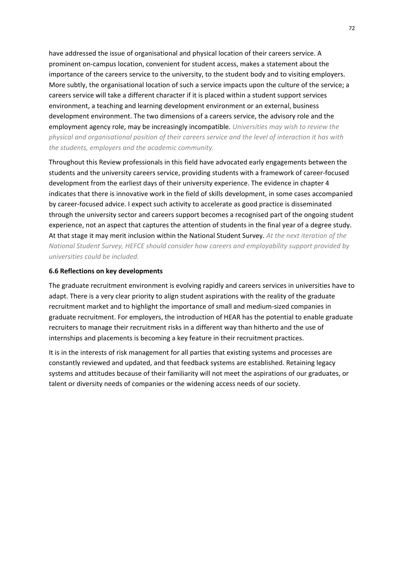have addressed the issue of organisational and physical location of their careers service. A prominent on‐campus location, convenient for student access, makes a statement about the importance of the careers service to the university, to the student body and to visiting employers. More subtly, the organisational location of such a service impacts upon the culture of the service; a careers service will take a different character if it is placed within a student support services environment, a teaching and learning development environment or an external, business development environment. The two dimensions of a careers service, the advisory role and the employment agency role, may be increasingly incompatible. *Universities may wish to review the physical and organisational position of their careers service and the level of interaction it has with the students, employers and the academic community.*

Throughout this Review professionals in this field have advocated early engagements between the students and the university careers service, providing students with a framework of career‐focused development from the earliest days of their university experience. The evidence in chapter 4 indicates that there is innovative work in the field of skills development, in some cases accompanied by career‐focused advice. I expect such activity to accelerate as good practice is disseminated through the university sector and careers support becomes a recognised part of the ongoing student experience, not an aspect that captures the attention of students in the final year of a degree study. At that stage it may merit inclusion within the National Student Survey. *At the next iteration of the National Student Survey, HEFCE should consider how careers and employability support provided by universities could be included.*

#### **6.6 Reflections on key developments**

The graduate recruitment environment is evolving rapidly and careers services in universities have to adapt. There is a very clear priority to align student aspirations with the reality of the graduate recruitment market and to highlight the importance of small and medium‐sized companies in graduate recruitment. For employers, the introduction of HEAR has the potential to enable graduate recruiters to manage their recruitment risks in a different way than hitherto and the use of internships and placements is becoming a key feature in their recruitment practices.

It is in the interests of risk management for all parties that existing systems and processes are constantly reviewed and updated, and that feedback systems are established. Retaining legacy systems and attitudes because of their familiarity will not meet the aspirations of our graduates, or talent or diversity needs of companies or the widening access needs of our society.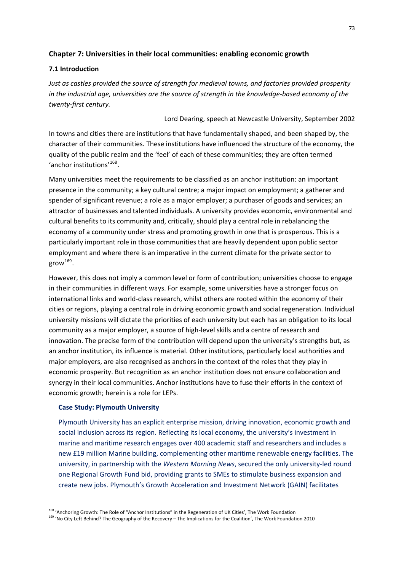## **Chapter 7: Universities in their local communities: enabling economic growth**

### **7.1 Introduction**

*Just as castles provided the source of strength for medieval towns, and factories provided prosperity* in the industrial age, universities are the source of strength in the knowledge-based economy of the *twenty‐first century.*

#### Lord Dearing, speech at Newcastle University, September 2002

In towns and cities there are institutions that have fundamentally shaped, and been shaped by, the character of their communities. These institutions have influenced the structure of the economy, the quality of the public realm and the 'feel' of each of these communities; they are often termed 'anchor institutions'[168](#page-79-0).

Many universities meet the requirements to be classified as an anchor institution: an important presence in the community; a key cultural centre; a major impact on employment; a gatherer and spender of significant revenue; a role as a major employer; a purchaser of goods and services; an attractor of businesses and talented individuals. A university provides economic, environmental and cultural benefits to its community and, critically, should play a central role in rebalancing the economy of a community under stress and promoting growth in one that is prosperous. This is a particularly important role in those communities that are heavily dependent upon public sector employment and where there is an imperative in the current climate for the private sector to  $grow^{169}$  $grow^{169}$  $grow^{169}$ .

However, this does not imply a common level or form of contribution; universities choose to engage in their communities in different ways. For example, some universities have a stronger focus on international links and world‐class research, whilst others are rooted within the economy of their cities or regions, playing a central role in driving economic growth and social regeneration. Individual university missions will dictate the priorities of each university but each has an obligation to its local community as a major employer, a source of high‐level skills and a centre of research and innovation. The precise form of the contribution will depend upon the university's strengths but, as an anchor institution, its influence is material. Other institutions, particularly local authorities and major employers, are also recognised as anchors in the context of the roles that they play in economic prosperity. But recognition as an anchor institution does not ensure collaboration and synergy in their local communities. Anchor institutions have to fuse their efforts in the context of economic growth; herein is a role for LEPs.

### **Case Study: Plymouth University**

1

Plymouth University has an explicit enterprise mission, driving innovation, economic growth and social inclusion across its region. Reflecting its local economy, the university's investment in marine and maritime research engages over 400 academic staff and researchers and includes a new £19 million Marine building, complementing other maritime renewable energy facilities. The university, in partnership with the *Western Morning News*, secured the only university‐led round one Regional Growth Fund bid, providing grants to SMEs to stimulate business expansion and create new jobs. Plymouth's Growth Acceleration and Investment Network (GAIN) facilitates

<sup>&</sup>lt;sup>168</sup> 'Anchoring Growth: The Role of "Anchor Institutions" in the Regeneration of UK Cities', The Work Foundation

<span id="page-79-1"></span><span id="page-79-0"></span><sup>&</sup>lt;sup>169</sup> 'No City Left Behind? The Geography of the Recovery – The Implications for the Coalition', The Work Foundation 2010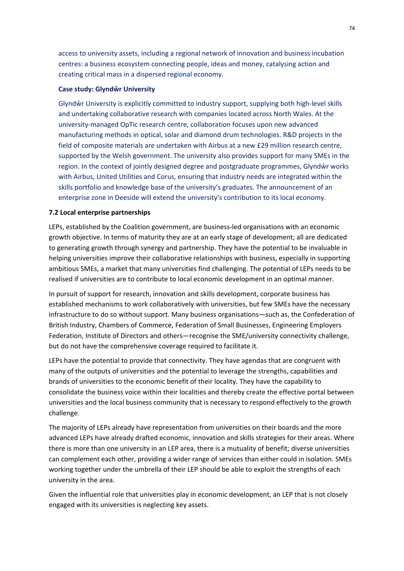access to university assets, including a regional network of innovation and business incubation centres: a business ecosystem connecting people, ideas and money, catalysing action and creating critical mass in a dispersed regional economy.

### **Case study: Glyndŵr University**

Glyndŵr University is explicitly committed to industry support, supplying both high‐level skills and undertaking collaborative research with companies located across North Wales. At the university‐managed OpTic research centre, collaboration focuses upon new advanced manufacturing methods in optical, solar and diamond drum technologies. R&D projects in the field of composite materials are undertaken with Airbus at a new £29 million research centre, supported by the Welsh government. The university also provides support for many SMEs in the region. In the context of jointly designed degree and postgraduate programmes, Glyndŵr works with Airbus, United Utilities and Corus, ensuring that industry needs are integrated within the skills portfolio and knowledge base of the university's graduates. The announcement of an enterprise zone in Deeside will extend the university's contribution to its local economy.

### **7.2 Local enterprise partnerships**

LEPs, established by the Coalition government, are business-led organisations with an economic growth objective. In terms of maturity they are at an early stage of development; all are dedicated to generating growth through synergy and partnership. They have the potential to be invaluable in helping universities improve their collaborative relationships with business, especially in supporting ambitious SMEs, a market that many universities find challenging. The potential of LEPs needs to be realised if universities are to contribute to local economic development in an optimal manner.

In pursuit of support for research, innovation and skills development, corporate business has established mechanisms to work collaboratively with universities, but few SMEs have the necessary infrastructure to do so without support. Many business organisations—such as, the Confederation of British Industry, Chambers of Commerce, Federation of Small Businesses, Engineering Employers Federation, Institute of Directors and others—recognise the SME/university connectivity challenge, but do not have the comprehensive coverage required to facilitate it.

LEPs have the potential to provide that connectivity. They have agendas that are congruent with many of the outputs of universities and the potential to leverage the strengths, capabilities and brands of universities to the economic benefit of their locality. They have the capability to consolidate the business voice within their localities and thereby create the effective portal between universities and the local business community that is necessary to respond effectively to the growth challenge.

The majority of LEPs already have representation from universities on their boards and the more advanced LEPs have already drafted economic, innovation and skills strategies for their areas. Where there is more than one university in an LEP area, there is a mutuality of benefit; diverse universities can complement each other, providing a wider range of services than either could in isolation. SMEs working together under the umbrella of their LEP should be able to exploit the strengths of each university in the area.

Given the influential role that universities play in economic development, an LEP that is not closely engaged with its universities is neglecting key assets.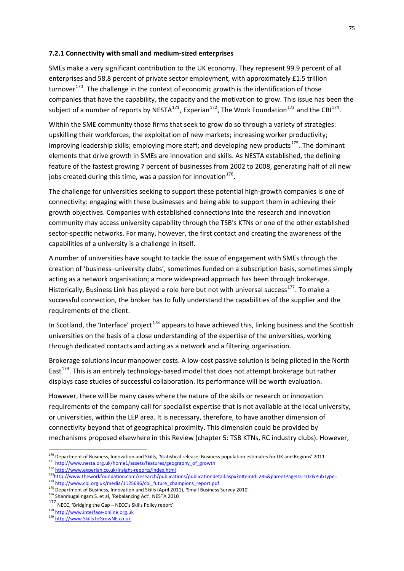### **7.2.1 Connectivity with small and medium‐sized enterprises**

SMEs make a very significant contribution to the UK economy. They represent 99.9 percent of all enterprises and 58.8 percent of private sector employment, with approximately £1.5 trillion turnover $170$ . The challenge in the context of economic growth is the identification of those companies that have the capability, the capacity and the motivation to grow. This issue has been the subject of a number of reports by NESTA<sup>[171](#page-81-1)</sup>, Experian<sup>[172](#page-81-2)</sup>, The Work Foundation<sup>[173](#page-81-3)</sup> and the CBI<sup>[174](#page-81-4)</sup>.

Within the SME community those firms that seek to grow do so through a variety of strategies: upskilling their workforces; the exploitation of new markets; increasing worker productivity; improving leadership skills; employing more staff; and developing new products<sup>[175](#page-81-5)</sup>. The dominant elements that drive growth in SMEs are innovation and skills. As NESTA established, the defining feature of the fastest growing 7 percent of businesses from 2002 to 2008, generating half of all new jobs created during this time, was a passion for innovation $176$ .

The challenge for universities seeking to support these potential high‐growth companies is one of connectivity: engaging with these businesses and being able to support them in achieving their growth objectives. Companies with established connections into the research and innovation community may access university capability through the TSB's KTNs or one of the other established sector-specific networks. For many, however, the first contact and creating the awareness of the capabilities of a university is a challenge in itself.

A number of universities have sought to tackle the issue of engagement with SMEs through the creation of 'business–university clubs', sometimes funded on a subscription basis, sometimes simply acting as a network organisation; a more widespread approach has been through brokerage. Historically, Business Link has played a role here but not with universal success<sup>[177](#page-81-7)</sup>. To make a successful connection, the broker has to fully understand the capabilities of the supplier and the requirements of the client.

In Scotland, the 'Interface' project<sup>[178](#page-81-8)</sup> appears to have achieved this, linking business and the Scottish universities on the basis of a close understanding of the expertise of the universities, working through dedicated contacts and acting as a network and a filtering organisation.

Brokerage solutions incur manpower costs. A low‐cost passive solution is being piloted in the North East<sup>[179](#page-81-9)</sup>. This is an entirely technology-based model that does not attempt brokerage but rather displays case studies of successful collaboration. Its performance will be worth evaluation.

However, there will be many cases where the nature of the skills or research or innovation requirements of the company call for specialist expertise that is not available at the local university, or universities, within the LEP area. It is necessary, therefore, to have another dimension of connectivity beyond that of geographical proximity. This dimension could be provided by mechanisms proposed elsewhere in this Review (chapter 5: TSB KTNs, RC industry clubs). However,

- <span id="page-81-3"></span><span id="page-81-2"></span>173<http://www.theworkfoundation.com/research/publications/publicationdetail.aspx?oItemId=285&parentPageID=102&PubType>= 174 [http://www.cbi.org.uk/media/1125696/cbi\\_future\\_champions\\_report.pdf](http://www.cbi.org.uk/media/1125696/cbi_future_champions_report.pdf)
- <span id="page-81-5"></span><span id="page-81-4"></span><sup>175</sup> Department of Business, Innovation and Skills (April 2011), 'Small Business Survey 2010'

<span id="page-81-6"></span><sup>176</sup> Shanmugalingam S. et al, 'Rebalancing Act', NESTA 2010

<span id="page-81-8"></span>178 [http://www.interface](http://www.interface-online.org.uk/)-online.org.uk

<span id="page-81-1"></span><span id="page-81-0"></span><sup>&</sup>lt;sup>170</sup> Department of Business, Innovation and Skills, 'Statistical release: Business population estimates for UK and Regions' 2011 171 http://www.nesta.org.uk/home1/assets/features/geo[gr](http://www.experian.co.uk/insight-reports/index.html)aphy\_of\_growth\_<br>172 http://www.experian.co.uk/insight-reports/index.html

<span id="page-81-7"></span><sup>177</sup> NECC, 'Bridging the Gap – NECC's [Sk](http://www.interface-online.org.uk/)ills Policy report'

<span id="page-81-9"></span><sup>179</sup> http://www.SkillsToGrowNE.co.uk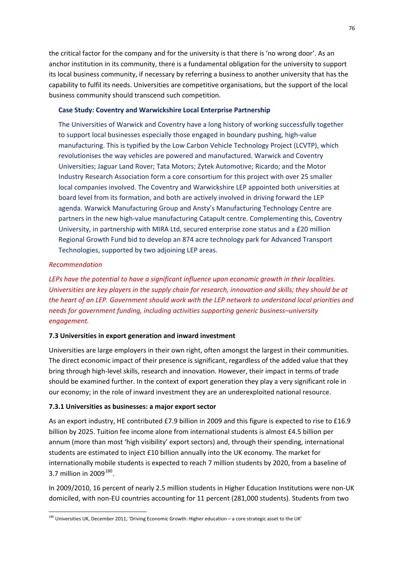the critical factor for the company and for the university is that there is 'no wrong door'. As an anchor institution in its community, there is a fundamental obligation for the university to support its local business community, if necessary by referring a business to another university that has the capability to fulfil its needs. Universities are competitive organisations, but the support of the local business community should transcend such competition.

### **Case Study: Coventry and Warwickshire Local Enterprise Partnership**

The Universities of Warwick and Coventry have a long history of working successfully together to support local businesses especially those engaged in boundary pushing, high‐value manufacturing. This is typified by the Low Carbon Vehicle Technology Project (LCVTP), which revolutionises the way vehicles are powered and manufactured. Warwick and Coventry Universities; Jaguar Land Rover; Tata Motors; Zytek Automotive; Ricardo; and the Motor Industry Research Association form a core consortium for this project with over 25 smaller local companies involved. The Coventry and Warwickshire LEP appointed both universities at board level from its formation, and both are actively involved in driving forward the LEP agenda. Warwick Manufacturing Group and Ansty's Manufacturing Technology Centre are partners in the new high-value manufacturing Catapult centre. Complementing this, Coventry University, in partnership with MIRA Ltd, secured enterprise zone status and a £20 million Regional Growth Fund bid to develop an 874 acre technology park for Advanced Transport Technologies, supported by two adjoining LEP areas.

### *Recommendation*

1

*LEPs have the potential to have a significant influence upon economic growth in their localities. Universities are key players in the supply chain for research, innovation and skills; they should be at the heart of an LEP. Government should work with the LEP network to understand local priorities and needs for government funding, including activities supporting generic business–university engagement.*

### **7.3 Universities in export generation and inward investment**

Universities are large employers in their own right, often amongst the largest in their communities. The direct economic impact of their presence is significant, regardless of the added value that they bring through high‐level skills, research and innovation. However, their impact in terms of trade should be examined further. In the context of export generation they play a very significant role in our economy; in the role of inward investment they are an underexploited national resource.

### **7.3.1 Universities as businesses: a major export sector**

As an export industry, HE contributed £7.9 billion in 2009 and this figure is expected to rise to £16.9 billion by 2025. Tuition fee income alone from international students is almost £4.5 billion per annum (more than most 'high visibility' export sectors) and, through their spending, international students are estimated to inject £10 billion annually into the UK economy. The market for internationally mobile students is expected to reach 7 million students by 2020, from a baseline of 3.7 million in  $2009^{180}$  $2009^{180}$  $2009^{180}$ .

In 2009/2010, 16 percent of nearly 2.5 million students in Higher Education Institutions were non‐UK domiciled, with non‐EU countries accounting for 11 percent (281,000 students). Students from two

<span id="page-82-0"></span> $^{180}$  Universities UK, December 2011, 'Driving Economic Growth: Higher education – a core strategic asset to the UK'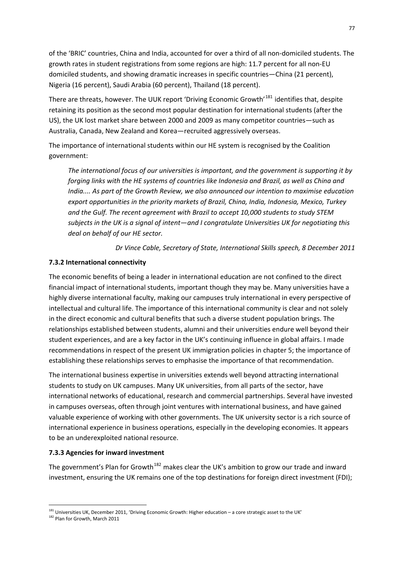of the 'BRIC' countries, China and India, accounted for over a third of all non‐domiciled students. The growth rates in student registrations from some regions are high: 11.7 percent for all non‐EU domiciled students, and showing dramatic increases in specific countries—China (21 percent), Nigeria (16 percent), Saudi Arabia (60 percent), Thailand (18 percent).

There are threats, however. The UUK report 'Driving Economic Growth'<sup>[181](#page-83-0)</sup> identifies that, despite retaining its position as the second most popular destination for international students (after the US), the UK lost market share between 2000 and 2009 as many competitor countries—such as Australia, Canada, New Zealand and Korea—recruited aggressively overseas.

The importance of international students within our HE system is recognised by the Coalition government:

*The international focus of our universities is important, and the government is supporting it by forging links with the HE systems of countries like Indonesia and Brazil, as well as China and India.... As part of the Growth Review, we also announced our intention to maximise education export opportunities in the priority markets of Brazil, China, India, Indonesia, Mexico, Turkey and the Gulf. The recent agreement with Brazil to accept 10,000 students to study STEM subjects in the UK is a signal of intent—and I congratulate Universities UK for negotiating this deal on behalf of our HE sector.*

*Dr Vince Cable, Secretary of State, International Skills speech, 8 December 2011*

### **7.3.2 International connectivity**

The economic benefits of being a leader in international education are not confined to the direct financial impact of international students, important though they may be. Many universities have a highly diverse international faculty, making our campuses truly international in every perspective of intellectual and cultural life. The importance of this international community is clear and not solely in the direct economic and cultural benefits that such a diverse student population brings. The relationships established between students, alumni and their universities endure well beyond their student experiences, and are a key factor in the UK's continuing influence in global affairs. I made recommendations in respect of the present UK immigration policies in chapter 5; the importance of establishing these relationships serves to emphasise the importance of that recommendation.

The international business expertise in universities extends well beyond attracting international students to study on UK campuses. Many UK universities, from all parts of the sector, have international networks of educational, research and commercial partnerships. Several have invested in campuses overseas, often through joint ventures with international business, and have gained valuable experience of working with other governments. The UK university sector is a rich source of international experience in business operations, especially in the developing economies. It appears to be an underexploited national resource.

#### **7.3.3 Agencies for inward investment**

The government's Plan for Growth<sup>[182](#page-83-1)</sup> makes clear the UK's ambition to grow our trade and inward investment, ensuring the UK remains one of the top destinations for foreign direct investment (FDI);

 $181$  Universities UK, December 2011, 'Driving Economic Growth: Higher education – a core strategic asset to the UK'

<span id="page-83-1"></span><span id="page-83-0"></span><sup>&</sup>lt;sup>182</sup> Plan for Growth, March 2011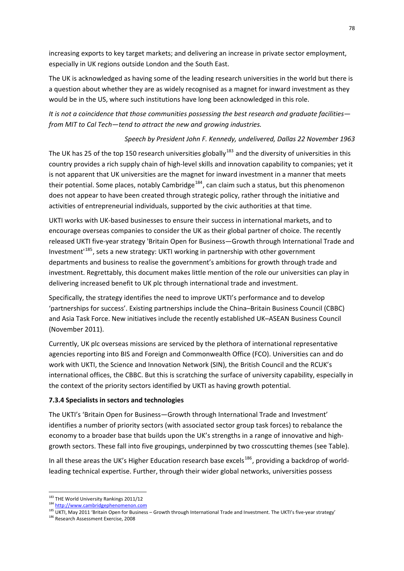increasing exports to key target markets; and delivering an increase in private sector employment, especially in UK regions outside London and the South East.

The UK is acknowledged as having some of the leading research universities in the world but there is a question about whether they are as widely recognised as a magnet for inward investment as they would be in the US, where such institutions have long been acknowledged in this role.

*It is not a coincidence that those communities possessing the best research and graduate facilities from MIT to Cal Tech—tend to attract the new and growing industries.*

## *Speech by President John F. Kennedy, undelivered, Dallas 22 November 1963*

The UK has 25 of the top 150 research universities globally<sup>[183](#page-84-0)</sup> and the diversity of universities in this country provides a rich supply chain of high-level skills and innovation capability to companies; yet it is not apparent that UK universities are the magnet for inward investment in a manner that meets their potential. Some places, notably Cambridge<sup>[184](#page-84-1)</sup>, can claim such a status, but this phenomenon does not appear to have been created through strategic policy, rather through the initiative and activities of entrepreneurial individuals, supported by the civic authorities at that time.

UKTI works with UK‐based businesses to ensure their success in international markets, and to encourage overseas companies to consider the UK as their global partner of choice. The recently released UKTI five‐year strategy 'Britain Open for Business*—*Growth through International Trade and Investment'[185](#page-84-2), sets a new strategy: UKTI working in partnership with other government departments and business to realise the government's ambitions for growth through trade and investment. Regrettably, this document makes little mention of the role our universities can play in delivering increased benefit to UK plc through international trade and investment.

Specifically, the strategy identifies the need to improve UKTI's performance and to develop 'partnerships for success'. Existing partnerships include the China–Britain Business Council (CBBC) and Asia Task Force. New initiatives include the recently established UK–ASEAN Business Council (November 2011).

Currently, UK plc overseas missions are serviced by the plethora of international representative agencies reporting into BIS and Foreign and Commonwealth Office (FCO). Universities can and do work with UKTI, the Science and Innovation Network (SIN), the British Council and the RCUK's international offices, the CBBC. But this is scratching the surface of university capability, especially in the context of the priority sectors identified by UKTI as having growth potential.

### **7.3.4 Specialists in sectors and technologies**

The UKTI's 'Britain Open for Business—Growth through International Trade and Investment' identifies a number of priority sectors (with associated sector group task forces) to rebalance the economy to a broader base that builds upon the UK's strengths in a range of innovative and high‐ growth sectors. These fall into five groupings, underpinned by two crosscutting themes (see Table).

In all these areas the UK's Higher Education research base excels<sup>[186](#page-84-3)</sup>, providing a backdrop of worldleading technical expertise. Further, through their wider global networks, universities possess

 $^{183}$  THE World University Rankings 2011/12

<span id="page-84-1"></span><span id="page-84-0"></span><sup>184</sup> [http://www.cambridgephenomenon.com](http://www.cambridgephenomenon.com/)

<span id="page-84-2"></span><sup>185</sup> UKTI, May 2011 'Britain Open for Business – Growth through International Trade and Investment. The UKTI's five-year strategy'

<span id="page-84-3"></span><sup>186</sup> Research Assessment Exercise, 2008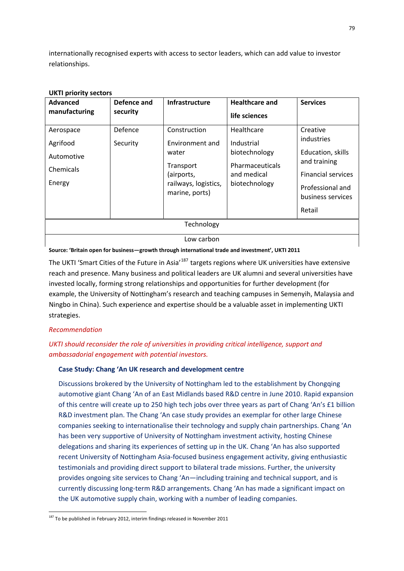internationally recognised experts with access to sector leaders, which can add value to investor relationships.

| <b>Advanced</b><br>manufacturing                           | Defence and<br>security | <b>Infrastructure</b>                                                                                         | <b>Healthcare and</b><br>life sciences                                                       | <b>Services</b>                                                                                                                             |
|------------------------------------------------------------|-------------------------|---------------------------------------------------------------------------------------------------------------|----------------------------------------------------------------------------------------------|---------------------------------------------------------------------------------------------------------------------------------------------|
| Aerospace<br>Agrifood<br>Automotive<br>Chemicals<br>Energy | Defence<br>Security     | Construction<br>Environment and<br>water<br>Transport<br>(airports,<br>railways, logistics,<br>marine, ports) | Healthcare<br>Industrial<br>biotechnology<br>Pharmaceuticals<br>and medical<br>biotechnology | Creative<br>industries<br>Education, skills<br>and training<br><b>Financial services</b><br>Professional and<br>business services<br>Retail |
| Technology                                                 |                         |                                                                                                               |                                                                                              |                                                                                                                                             |
| Low carbon                                                 |                         |                                                                                                               |                                                                                              |                                                                                                                                             |

### **UKTI priority sectors**

**Source: 'Britain open for business—growth through international trade and investment', UKTI 2011**

The UKTI 'Smart Cities of the Future in Asia'<sup>[187](#page-85-0)</sup> targets regions where UK universities have extensive reach and presence. Many business and political leaders are UK alumni and several universities have invested locally, forming strong relationships and opportunities for further development (for example, the University of Nottingham's research and teaching campuses in Semenyih, Malaysia and Ningbo in China). Such experience and expertise should be a valuable asset in implementing UKTI strategies.

### *Recommendation*

1

## *UKTI should reconsider the role of universities in providing critical intelligence, support and ambassadorial engagement with potential investors.*

### **Case Study: Chang 'An UK research and development centre**

Discussions brokered by the University of Nottingham led to the establishment by Chongqing automotive giant Chang 'An of an East Midlands based R&D centre in June 2010. Rapid expansion of this centre will create up to 250 high tech jobs over three years as part of Chang 'An's £1 billion R&D investment plan. The Chang 'An case study provides an exemplar for other large Chinese companies seeking to internationalise their technology and supply chain partnerships. Chang 'An has been very supportive of University of Nottingham investment activity, hosting Chinese delegations and sharing its experiences of setting up in the UK. Chang 'An has also supported recent University of Nottingham Asia‐focused business engagement activity, giving enthusiastic testimonials and providing direct support to bilateral trade missions. Further, the university provides ongoing site services to Chang 'An—including training and technical support, and is currently discussing long‐term R&D arrangements. Chang 'An has made a significant impact on the UK automotive supply chain, working with a number of leading companies.

<span id="page-85-0"></span> $187$  To be published in February 2012, interim findings released in November 2011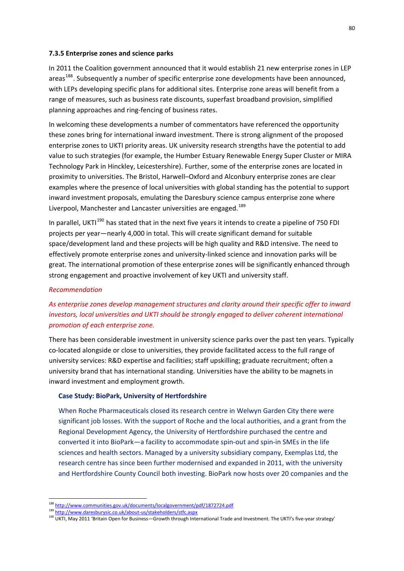#### **7.3.5 Enterprise zones and science parks**

In 2011 the Coalition government announced that it would establish 21 new enterprise zones in LEP areas<sup>[188](#page-86-0)</sup>. Subsequently a number of specific enterprise zone developments have been announced, with LEPs developing specific plans for additional sites. Enterprise zone areas will benefit from a range of measures, such as business rate discounts, superfast broadband provision, simplified planning approaches and ring‐fencing of business rates.

In welcoming these developments a number of commentators have referenced the opportunity these zones bring for international inward investment. There is strong alignment of the proposed enterprise zones to UKTI priority areas. UK university research strengths have the potential to add value to such strategies (for example, the Humber Estuary Renewable Energy Super Cluster or MIRA Technology Park in Hinckley, Leicestershire). Further, some of the enterprise zones are located in proximity to universities. The Bristol, Harwell–Oxford and Alconbury enterprise zones are clear examples where the presence of local universities with global standing has the potential to support inward investment proposals, emulating the Daresbury science campus enterprise zone where Liverpool, Manchester and Lancaster universities are engaged.<sup>[189](#page-86-1)</sup>

In parallel, UKTI<sup>[190](#page-86-2)</sup> has stated that in the next five years it intends to create a pipeline of 750 FDI projects per year—nearly 4,000 in total. This will create significant demand for suitable space/development land and these projects will be high quality and R&D intensive. The need to effectively promote enterprise zones and university‐linked science and innovation parks will be great. The international promotion of these enterprise zones will be significantly enhanced through strong engagement and proactive involvement of key UKTI and university staff.

#### *Recommendation*

1

# *As enterprise zones develop management structures and clarity around their specific offer to inward investors, local universities and UKTI should be strongly engaged to deliver coherent international promotion of each enterprise zone.*

There has been considerable investment in university science parks over the past ten years. Typically co‐located alongside or close to universities, they provide facilitated access to the full range of university services: R&D expertise and facilities; staff upskilling; graduate recruitment; often a university brand that has international standing. Universities have the ability to be magnets in inward investment and employment growth.

#### **Case Study: BioPark, University of Hertfordshire**

When Roche Pharmaceuticals closed its research centre in Welwyn Garden City there were significant job losses. With the support of Roche and the local authorities, and a grant from the Regional Development Agency, the University of Hertfordshire purchased the centre and converted it into BioPark—a facility to accommodate spin-out and spin-in SMEs in the life sciences and health sectors. Managed by a university subsidiary company, Exemplas Ltd, the research centre has since been further modernised and expanded in 2011, with the university and Hertfordshire County Council both investing. BioPark now hosts over 20 companies and the

<sup>&</sup>lt;sup>188</sup> <http://www.communities.gov.uk/documents/localgovernment/pdf/1872724.pdf>

<span id="page-86-1"></span><span id="page-86-0"></span><sup>189</sup> [http://www.daresburysic.co.uk/about](http://www.daresburysic.co.uk/about-us/stakeholders/stfc.aspx)-us/stakeholders/stfc.aspx

<span id="page-86-2"></span><sup>190</sup> UKTI, May 2011 'Britain Open for Business—Growth through International Trade and Investment. The UKTI's five-year strategy'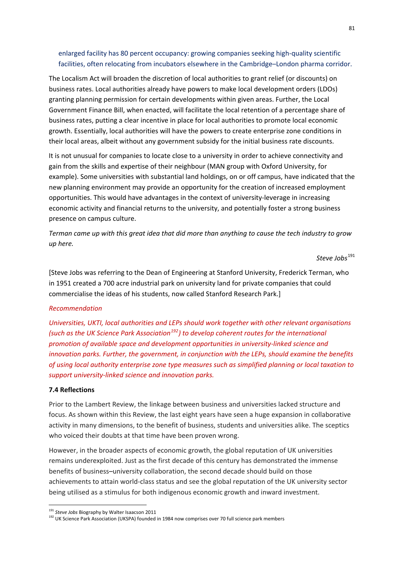## enlarged facility has 80 percent occupancy: growing companies seeking high-quality scientific facilities, often relocating from incubators elsewhere in the Cambridge–London pharma corridor.

The Localism Act will broaden the discretion of local authorities to grant relief (or discounts) on business rates. Local authorities already have powers to make local development orders (LDOs) granting planning permission for certain developments within given areas. Further, the Local Government Finance Bill, when enacted, will facilitate the local retention of a percentage share of business rates, putting a clear incentive in place for local authorities to promote local economic growth. Essentially, local authorities will have the powers to create enterprise zone conditions in their local areas, albeit without any government subsidy for the initial business rate discounts.

It is not unusual for companies to locate close to a university in order to achieve connectivity and gain from the skills and expertise of their neighbour (MAN group with Oxford University, for example). Some universities with substantial land holdings, on or off campus, have indicated that the new planning environment may provide an opportunity for the creation of increased employment opportunities. This would have advantages in the context of university‐leverage in increasing economic activity and financial returns to the university, and potentially foster a strong business presence on campus culture.

Terman came up with this great idea that did more than anything to cause the tech industry to grow *up here.*

*Steve Jobs*[191](#page-87-0)

[Steve Jobs was referring to the Dean of Engineering at Stanford University, Frederick Terman, who in 1951 created a 700 acre industrial park on university land for private companies that could commercialise the ideas of his students, now called Stanford Research Park.]

#### *Recommendation*

*Universities, UKTI, local authorities and LEPs should work together with other relevant organisations (such as the UK Science Park Association[192](#page-87-1)) to develop coherent routes for the international promotion of available space and development opportunities in university‐linked science and innovation parks. Further, the government, in conjunction with the LEPs, should examine the benefits of using local authority enterprise zone type measures such as simplified planning or local taxation to support university‐linked science and innovation parks.*

#### **7.4 Reflections**

1

Prior to the Lambert Review, the linkage between business and universities lacked structure and focus. As shown within this Review, the last eight years have seen a huge expansion in collaborative activity in many dimensions, to the benefit of business, students and universities alike. The sceptics who voiced their doubts at that time have been proven wrong.

However, in the broader aspects of economic growth, the global reputation of UK universities remains underexploited. Just as the first decade of this century has demonstrated the immense benefits of business–university collaboration, the second decade should build on those achievements to attain world‐class status and see the global reputation of the UK university sector being utilised as a stimulus for both indigenous economic growth and inward investment.

<span id="page-87-0"></span><sup>191</sup> *Steve Jobs* Biography by Walter Isaacson 2011

<span id="page-87-1"></span><sup>192</sup> UK Science Park Association (UKSPA) founded in 1984 now comprises over 70 full science park members